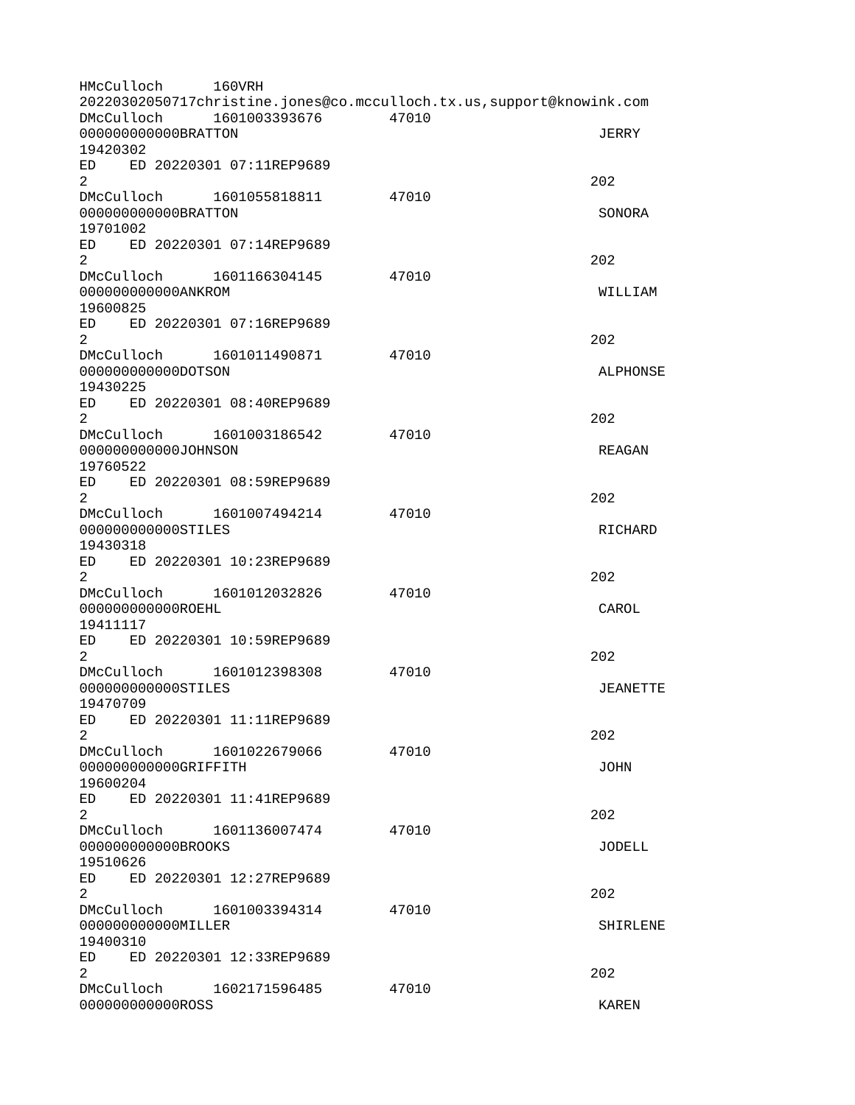HMcCulloch 160VRH 20220302050717christine.jones@co.mcculloch.tx.us,support@knowink.com DMcCulloch 1601003393676 47010 000000000000BRATTON JERRY 19420302 ED ED 20220301 07:11REP9689  $2^{\circ}$ DMcCulloch 1601055818811 47010 000000000000BRATTON SONORA 19701002 ED ED 20220301 07:14REP9689  $2^{\circ}$ DMcCulloch 1601166304145 47010 000000000000ANKROM WILLIAM 19600825 ED ED 20220301 07:16REP9689  $2^2$ DMcCulloch 1601011490871 47010 000000000000DOTSON ALPHONSE 19430225 ED ED 20220301 08:40REP9689  $2^{\circ}$ DMcCulloch 1601003186542 47010 000000000000JOHNSON REAGAN 19760522 ED ED 20220301 08:59REP9689  $2^{\circ}$ DMcCulloch 1601007494214 47010 000000000000STILES RICHARD 19430318 ED ED 20220301 10:23REP9689  $2^2$ DMcCulloch 1601012032826 47010 000000000000ROEHL CAROL 19411117 ED ED 20220301 10:59REP9689  $2^{\circ}$ DMcCulloch 1601012398308 47010 000000000000STILES JEANETTE 19470709 ED ED 20220301 11:11REP9689  $2^{\circ}$ DMcCulloch 1601022679066 47010 000000000000GRIFFITH JOHN 19600204 ED ED 20220301 11:41REP9689  $2^2$ DMcCulloch 1601136007474 47010 000000000000BROOKS JODELL 19510626 ED ED 20220301 12:27REP9689  $2^{\circ}$ DMcCulloch 1601003394314 47010 0000000000000MILLER SHIRLENE 19400310 ED ED 20220301 12:33REP9689  $2^{\circ}$ DMcCulloch 1602171596485 47010 000000000000ROSS KAREN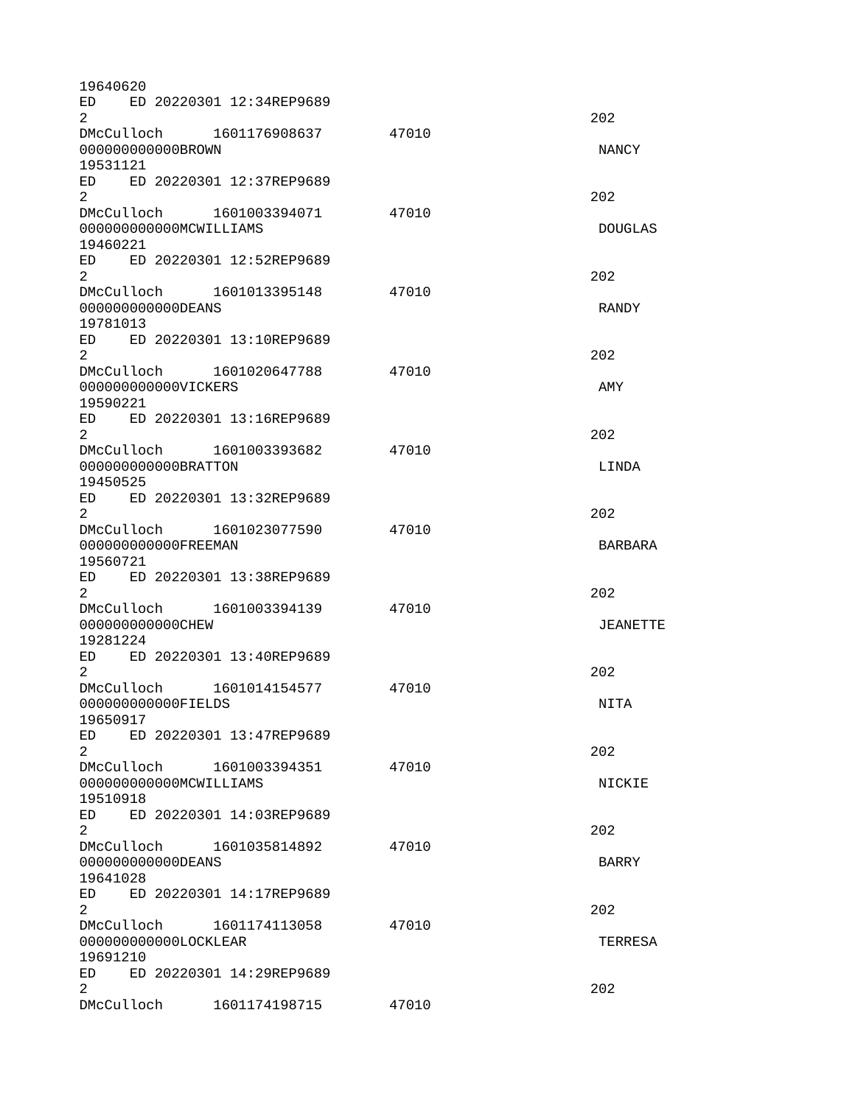| 19640620                                                                                                                                                                                                                       |                             |       |                 |
|--------------------------------------------------------------------------------------------------------------------------------------------------------------------------------------------------------------------------------|-----------------------------|-------|-----------------|
| ED.<br>2                                                                                                                                                                                                                       | ED 20220301 12:34REP9689    |       | 202             |
|                                                                                                                                                                                                                                | DMcCulloch 1601176908637    | 47010 |                 |
| 00000000000BR0WN                                                                                                                                                                                                               |                             |       | <b>NANCY</b>    |
| 19531121                                                                                                                                                                                                                       |                             |       |                 |
|                                                                                                                                                                                                                                | ED ED 20220301 12:37REP9689 |       |                 |
| $\overline{2}$                                                                                                                                                                                                                 |                             |       | 202             |
| 000000000000MCWILLIAMS                                                                                                                                                                                                         | DMcCulloch 1601003394071    | 47010 |                 |
| 19460221                                                                                                                                                                                                                       |                             |       | <b>DOUGLAS</b>  |
|                                                                                                                                                                                                                                | ED ED 20220301 12:52REP9689 |       |                 |
| $\overline{2}$                                                                                                                                                                                                                 |                             |       | 202             |
|                                                                                                                                                                                                                                | DMcCulloch 1601013395148    | 47010 |                 |
| 000000000000DEANS                                                                                                                                                                                                              |                             |       | <b>RANDY</b>    |
| 19781013                                                                                                                                                                                                                       |                             |       |                 |
| ED                                                                                                                                                                                                                             | ED 20220301 13:10REP9689    |       |                 |
| 2                                                                                                                                                                                                                              |                             |       | 202             |
|                                                                                                                                                                                                                                | DMcCulloch 1601020647788    | 47010 |                 |
| 000000000000VICKERS                                                                                                                                                                                                            |                             |       | AMY             |
| 19590221                                                                                                                                                                                                                       |                             |       |                 |
|                                                                                                                                                                                                                                | ED ED 20220301 13:16REP9689 |       |                 |
| $\overline{2}$                                                                                                                                                                                                                 |                             |       | 202             |
|                                                                                                                                                                                                                                | DMcCulloch 1601003393682    | 47010 |                 |
| 000000000000BRATTON                                                                                                                                                                                                            |                             |       | LINDA           |
| 19450525                                                                                                                                                                                                                       | ED ED 20220301 13:32REP9689 |       |                 |
| $\overline{2}$                                                                                                                                                                                                                 |                             |       | 202             |
|                                                                                                                                                                                                                                | DMcCulloch 1601023077590    | 47010 |                 |
| 00000000000FREEMAN                                                                                                                                                                                                             |                             |       | <b>BARBARA</b>  |
| 19560721                                                                                                                                                                                                                       |                             |       |                 |
|                                                                                                                                                                                                                                | ED ED 20220301 13:38REP9689 |       |                 |
| $\overline{2}$                                                                                                                                                                                                                 |                             |       | 202             |
|                                                                                                                                                                                                                                | DMcCulloch 1601003394139    | 47010 |                 |
| 00000000000CHEW                                                                                                                                                                                                                |                             |       | <b>JEANETTE</b> |
| 19281224                                                                                                                                                                                                                       |                             |       |                 |
| ED                                                                                                                                                                                                                             | ED 20220301 13:40REP9689    |       |                 |
| 2                                                                                                                                                                                                                              |                             |       | 202             |
|                                                                                                                                                                                                                                | DMcCulloch 1601014154577    | 47010 |                 |
| 00000000000FIELDS                                                                                                                                                                                                              |                             |       | <b>NITA</b>     |
| 19650917                                                                                                                                                                                                                       |                             |       |                 |
| ED.                                                                                                                                                                                                                            | ED 20220301 13:47REP9689    |       |                 |
| $\overline{2}$                                                                                                                                                                                                                 | DMcCulloch 1601003394351    | 47010 | 202             |
| 000000000000MCWILLIAMS                                                                                                                                                                                                         |                             |       | NICKIE          |
| 19510918                                                                                                                                                                                                                       |                             |       |                 |
| ED                                                                                                                                                                                                                             | ED 20220301 14:03REP9689    |       |                 |
| $\overline{2}$                                                                                                                                                                                                                 |                             |       | 202             |
| DMcCulloch                                                                                                                                                                                                                     | 1601035814892               | 47010 |                 |
| 000000000000DEANS                                                                                                                                                                                                              |                             |       | <b>BARRY</b>    |
| 19641028                                                                                                                                                                                                                       |                             |       |                 |
| ED and the set of the set of the set of the set of the set of the set of the set of the set of the set of the set of the set of the set of the set of the set of the set of the set of the set of the set of the set of the se | ED 20220301 14:17REP9689    |       |                 |
| $\overline{2}$                                                                                                                                                                                                                 |                             |       | 202             |
|                                                                                                                                                                                                                                | DMcCulloch 1601174113058    | 47010 |                 |
| 000000000000LOCKLEAR                                                                                                                                                                                                           |                             |       | TERRESA         |
| 19691210                                                                                                                                                                                                                       |                             |       |                 |
| ED.                                                                                                                                                                                                                            | ED 20220301 14:29REP9689    |       |                 |
| $\overline{2}$                                                                                                                                                                                                                 |                             |       | 202             |
| DMcCulloch                                                                                                                                                                                                                     | 1601174198715               | 47010 |                 |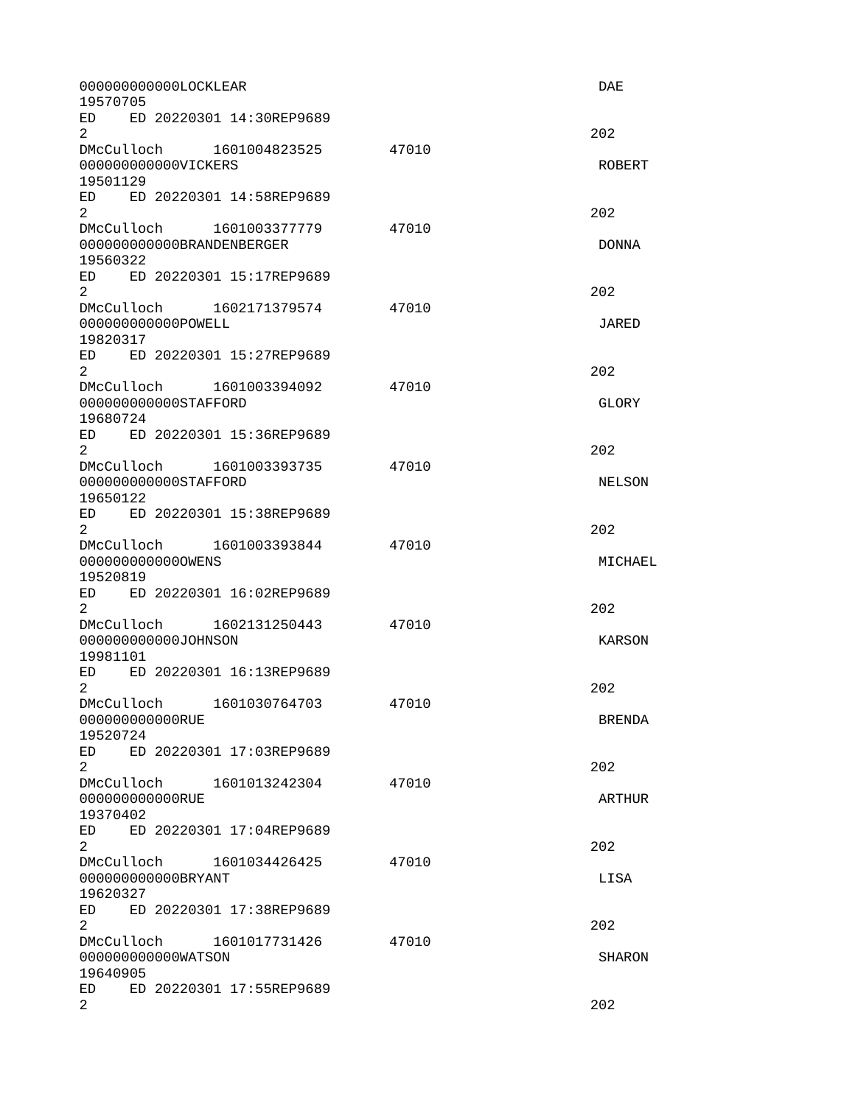| 000000000000LOCKLEAR<br>19570705                                     |       | <b>DAE</b>    |
|----------------------------------------------------------------------|-------|---------------|
| ED ED 20220301 14:30REP9689<br>$\overline{2}$                        |       | 202           |
| DMcCulloch 1601004823525<br>000000000000VICKERS<br>19501129          | 47010 | <b>ROBERT</b> |
| ED ED 20220301 14:58REP9689<br>$\overline{2}$                        |       | 202           |
| DMcCulloch<br>1601003377779<br>000000000000BRANDENBERGER<br>19560322 | 47010 | <b>DONNA</b>  |
| ED ED 20220301 15:17REP9689<br>$\overline{2}$                        |       | 202           |
| DMcCulloch 1602171379574<br>00000000000P0WELL<br>19820317            | 47010 | JARED         |
| ED<br>ED 20220301 15:27REP9689<br>2                                  |       | 202           |
| DMcCulloch 1601003394092<br>000000000000STAFF0RD<br>19680724         | 47010 | GLORY         |
| ED ED 20220301 15:36REP9689<br>$\overline{2}$                        |       | 202           |
| DMcCulloch 1601003393735<br>000000000000STAFF0RD<br>19650122         | 47010 | <b>NELSON</b> |
| ED<br>ED 20220301 15:38REP9689<br>$\overline{2}$                     |       | 202           |
| DMcCulloch 1601003393844<br>0000000000000WENS<br>19520819            | 47010 | MICHAEL       |
| ED ED 20220301 16:02REP9689<br>$\overline{2}$                        |       | 202           |
| DMcCulloch 1602131250443<br>000000000000J0HNSON<br>19981101          | 47010 | <b>KARSON</b> |
| ED.<br>ED 20220301 16:13REP9689<br>2                                 |       | 202           |
| DMcCulloch 1601030764703<br>00000000000RUE<br>19520724               | 47010 | <b>BRENDA</b> |
| ED<br>ED 20220301 17:03REP9689<br>$\mathbf{2}^{\prime}$              |       | 202           |
| DMcCulloch 1601013242304<br>00000000000RUE<br>19370402               | 47010 | <b>ARTHUR</b> |
| ED<br>ED 20220301 17:04REP9689<br>$\overline{2}$                     |       | 202           |
| DMcCulloch<br>1601034426425<br>00000000000BRYANT<br>19620327         | 47010 | <b>LISA</b>   |
| ED ED 20220301 17:38REP9689<br>$\overline{2}$                        |       | 202           |
| DMcCulloch<br>1601017731426<br>000000000000WATSON<br>19640905        | 47010 | <b>SHARON</b> |
| ED.<br>ED 20220301 17:55REP9689<br>$\overline{2}$                    |       | 202           |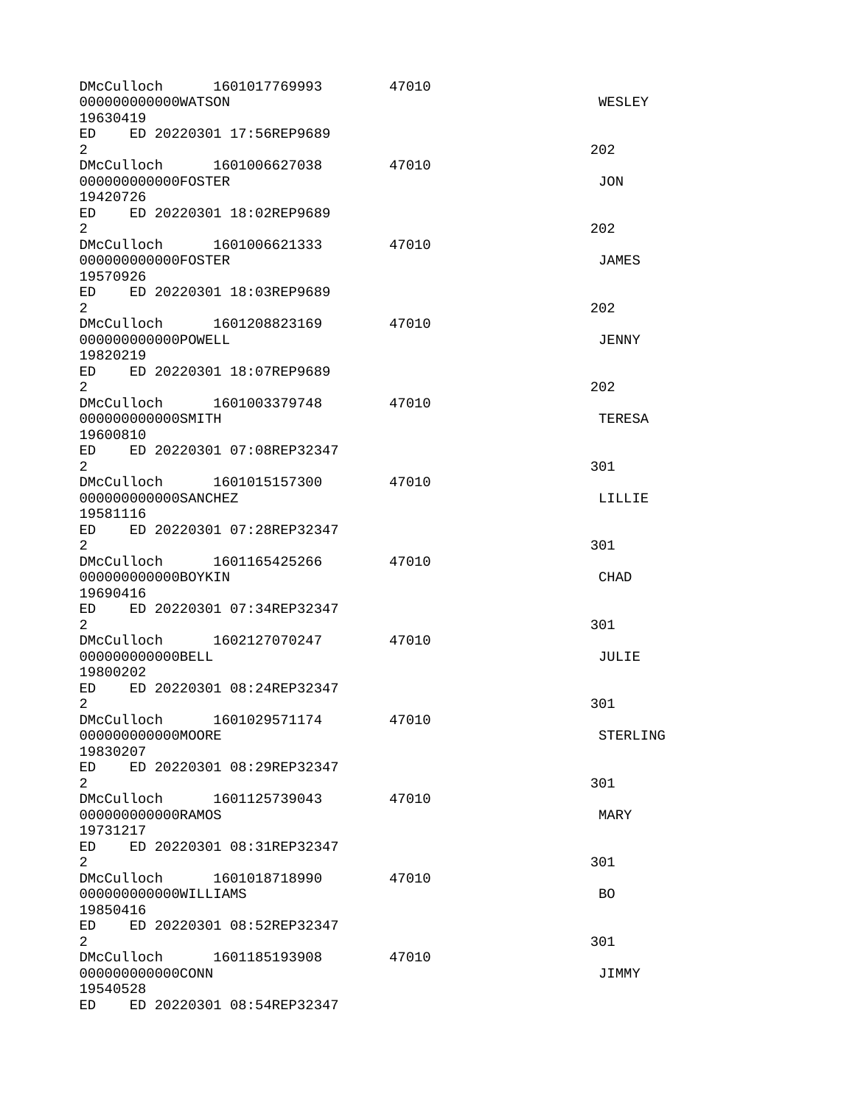| DMcCulloch<br>000000000000WATS0N<br>19630419                                                                                                                                                                                   | 1601017769993                | 47010 | WESLEY          |
|--------------------------------------------------------------------------------------------------------------------------------------------------------------------------------------------------------------------------------|------------------------------|-------|-----------------|
| $\overline{2}$                                                                                                                                                                                                                 | ED ED 20220301 17:56REP9689  |       | 202             |
| 00000000000F0STER<br>19420726                                                                                                                                                                                                  | DMcCulloch 1601006627038     | 47010 | <b>JON</b>      |
| $\overline{2}$                                                                                                                                                                                                                 | ED ED 20220301 18:02REP9689  |       | 202             |
| 00000000000F0STER<br>19570926                                                                                                                                                                                                  | DMcCulloch 1601006621333     | 47010 | <b>JAMES</b>    |
| $\overline{2}$                                                                                                                                                                                                                 | ED ED 20220301 18:03REP9689  |       | 202             |
| 00000000000P0WELL<br>19820219                                                                                                                                                                                                  | DMcCulloch 1601208823169     | 47010 | JENNY           |
| ED<br>$\overline{2}$                                                                                                                                                                                                           | ED 20220301 18:07REP9689     |       | 202             |
| 000000000000SMITH<br>19600810                                                                                                                                                                                                  | DMcCulloch 1601003379748     | 47010 | <b>TERESA</b>   |
| $\overline{2}$                                                                                                                                                                                                                 | ED ED 20220301 07:08REP32347 |       | 301             |
| 000000000000SANCHEZ<br>19581116                                                                                                                                                                                                | DMcCulloch 1601015157300     | 47010 | LILLIE          |
| $\overline{2}$                                                                                                                                                                                                                 | ED ED 20220301 07:28REP32347 |       | 301             |
| 000000000000B0YKIN<br>19690416                                                                                                                                                                                                 | DMcCulloch 1601165425266     | 47010 | <b>CHAD</b>     |
| ED<br>2                                                                                                                                                                                                                        | ED 20220301 07:34REP32347    |       | 301             |
| 00000000000BELL<br>19800202                                                                                                                                                                                                    | DMcCulloch 1602127070247     | 47010 | JULIE           |
| ED<br>$2^{\circ}$                                                                                                                                                                                                              | ED 20220301 08:24REP32347    |       | 301             |
| DMcCulloch<br>00000000000M00RE<br>19830207                                                                                                                                                                                     | 1601029571174                | 47010 | <b>STERLING</b> |
| ED<br>2                                                                                                                                                                                                                        | ED 20220301 08:29REP32347    |       | 301             |
| 00000000000RAM0S<br>19731217                                                                                                                                                                                                   | DMcCulloch 1601125739043     | 47010 | MARY            |
| $\overline{2}$                                                                                                                                                                                                                 | ED ED 20220301 08:31REP32347 |       | 301             |
| 000000000000WILLIAMS<br>19850416                                                                                                                                                                                               | DMcCulloch 1601018718990     | 47010 | B <sub>0</sub>  |
| $\overline{2}$                                                                                                                                                                                                                 | ED ED 20220301 08:52REP32347 |       | 301             |
| 000000000000C0NN<br>19540528                                                                                                                                                                                                   | DMcCulloch 1601185193908     | 47010 | JIMMY           |
| ED and the set of the set of the set of the set of the set of the set of the set of the set of the set of the set of the set of the set of the set of the set of the set of the set of the set of the set of the set of the se | ED 20220301 08:54REP32347    |       |                 |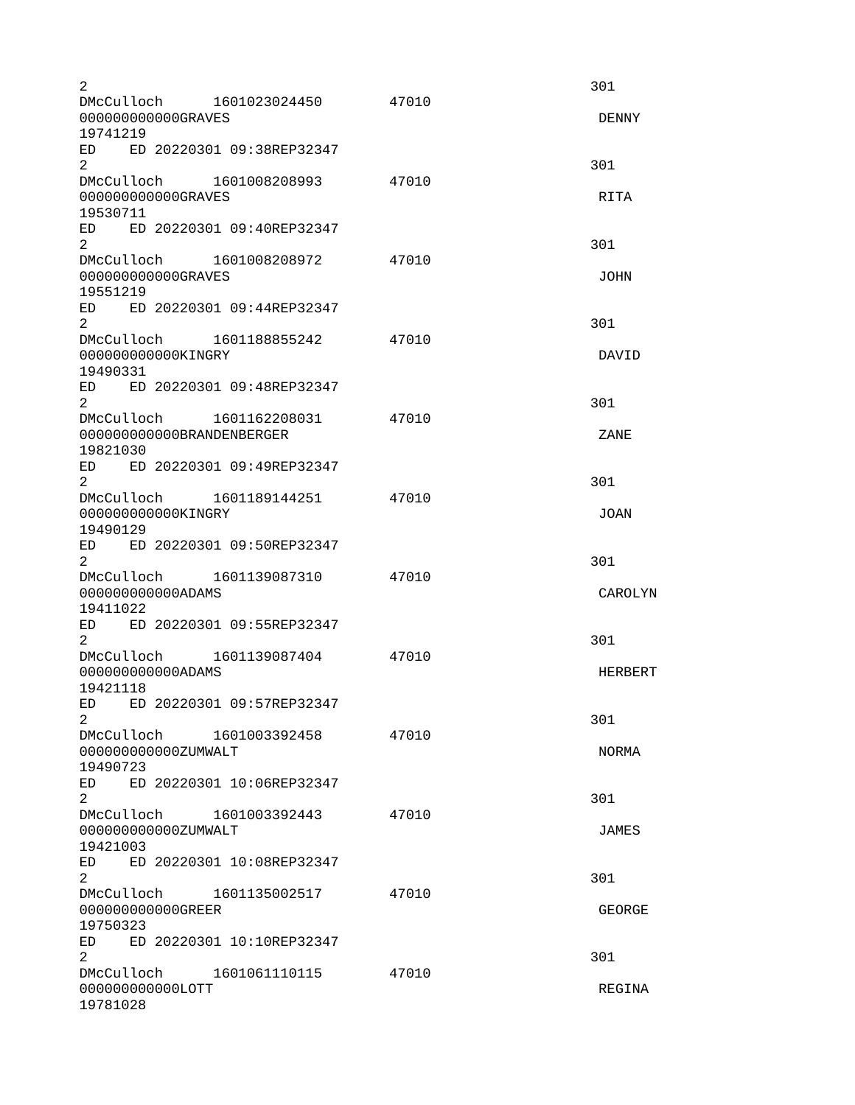| 2                                                                                             |       | 301            |
|-----------------------------------------------------------------------------------------------|-------|----------------|
| DMcCulloch 1601023024450<br>000000000000GRAVES                                                | 47010 | <b>DENNY</b>   |
| 19741219                                                                                      |       |                |
| ED ED 20220301 09:38REP32347<br>$\overline{2}$<br>DMcCulloch 1601008208993                    | 47010 | 301            |
| 000000000000GRAVES<br>19530711                                                                |       | RITA           |
| ED ED 20220301 09:40REP32347<br>$\overline{2}$                                                |       | 301            |
| DMcCulloch 1601008208972<br>00000000000GRAVES<br>19551219                                     | 47010 | <b>JOHN</b>    |
| ED ED 20220301 09:44REP32347<br>2                                                             |       | 301            |
| DMcCulloch 1601188855242<br>000000000000KINGRY<br>19490331                                    | 47010 | DAVID          |
| ED<br>ED 20220301 09:48REP32347<br>$\overline{2}$                                             |       | 301            |
| DMcCulloch 1601162208031<br>000000000000BRANDENBERGER                                         | 47010 | ZANE           |
| 19821030<br>ED ED 20220301 09:49REP32347<br>2                                                 |       | 301            |
| 000000000000KINGRY                                                                            | 47010 | JOAN           |
| 19490129<br>ED ED 20220301 09:50REP32347<br>$\overline{2}$                                    |       | 301            |
| DMcCulloch 1601139087310<br>000000000000ADAMS<br>19411022                                     | 47010 | <b>CAROLYN</b> |
| ED 20220301 09:55REP32347<br>ED<br>2                                                          |       | 301            |
| DMcCulloch<br>1601139087404<br>000000000000ADAMS<br>19421118                                  | 47010 | <b>HERBERT</b> |
| ED ED 20220301 09:57REP32347<br>$\overline{c}$                                                |       | 301            |
| DMcCulloch<br>1601003392458<br>000000000000ZUMWALT<br>19490723                                | 47010 | <b>NORMA</b>   |
| ED 20220301 10:06REP32347<br>ED<br>2                                                          |       | 301            |
| DMcCulloch<br>1601003392443<br>000000000000ZUMWALT<br>19421003                                | 47010 | <b>JAMES</b>   |
| ED <sub>2</sub><br>ED 20220301 10:08REP32347<br>$\overline{2}$<br>DMcCulloch<br>1601135002517 | 47010 | 301            |
| 00000000000GREER<br>19750323<br>ED 20220301 10:10REP32347<br>ED.                              |       | <b>GEORGE</b>  |
| $\overline{2}$<br>DMcCulloch<br>1601061110115                                                 | 47010 | 301            |
| 000000000000L0TT<br>19781028                                                                  |       | REGINA         |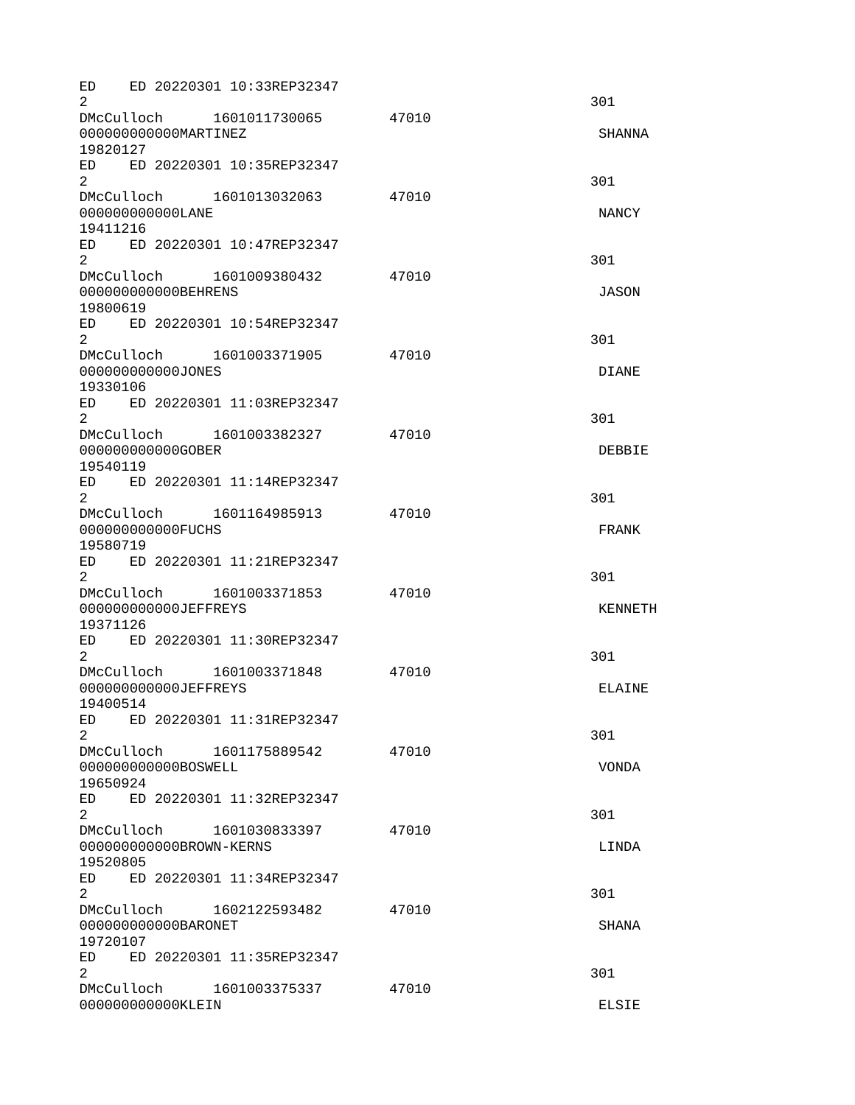| ED 20220301 10:33REP32347<br>ED.<br>2                                                                                                                                                                                                                                                                     |               |       | 301            |
|-----------------------------------------------------------------------------------------------------------------------------------------------------------------------------------------------------------------------------------------------------------------------------------------------------------|---------------|-------|----------------|
| DMcCulloch 1601011730065<br>000000000000MARTINEZ<br>19820127                                                                                                                                                                                                                                              |               | 47010 | <b>SHANNA</b>  |
| ED and the set of the set of the set of the set of the set of the set of the set of the set of the set of the set of the set of the set of the set of the set of the set of the set of the set of the set of the set of the se<br>ED 20220301 10:35REP32347<br>2                                          |               |       | 301            |
| DMcCulloch<br>00000000000LANE<br>19411216                                                                                                                                                                                                                                                                 | 1601013032063 | 47010 | <b>NANCY</b>   |
| ED ED 20220301 10:47REP32347<br>$\overline{2}$                                                                                                                                                                                                                                                            |               |       | 301            |
| DMcCulloch<br>000000000000BEHRENS<br>19800619                                                                                                                                                                                                                                                             | 1601009380432 | 47010 | <b>JASON</b>   |
| ED 20220301 10:54REP32347<br>ED<br>2<br>DMcCulloch 1601003371905                                                                                                                                                                                                                                          |               |       | 301            |
| 000000000000JONES<br>19330106                                                                                                                                                                                                                                                                             |               | 47010 | <b>DTANF</b>   |
| ED ED 20220301 11:03REP32347<br>$\overline{2}$<br>DMcCulloch                                                                                                                                                                                                                                              | 1601003382327 | 47010 | 301            |
| 000000000000G0BER<br>19540119                                                                                                                                                                                                                                                                             |               |       | DEBBIE         |
| ED and the set of the set of the set of the set of the set of the set of the set of the set of the set of the set of the set of the set of the set of the set of the set of the set of the set of the set of the set of the se<br>ED 20220301 11:14REP32347<br>$\overline{2}$<br>DMcCulloch 1601164985913 |               | 47010 | 301            |
| 00000000000FUCHS<br>19580719                                                                                                                                                                                                                                                                              |               |       | FRANK          |
| ED ED 20220301 11:21REP32347<br>$\overline{2}$<br>DMcCulloch 1601003371853                                                                                                                                                                                                                                |               | 47010 | 301            |
| 000000000000JEFFREYS<br>19371126                                                                                                                                                                                                                                                                          |               |       | <b>KENNETH</b> |
| ED 20220301 11:30REP32347<br>ED<br>$\overline{2}$<br>DMcCulloch                                                                                                                                                                                                                                           | 1601003371848 | 47010 | 301            |
| 000000000000JEFFREYS<br>19400514                                                                                                                                                                                                                                                                          |               |       | ELAINE         |
| ED ED 20220301 11:31REP32347<br>$\overline{2}$<br>DMcCulloch 1601175889542                                                                                                                                                                                                                                |               | 47010 | 301            |
| 000000000000B0SWELL<br>19650924                                                                                                                                                                                                                                                                           |               |       | <b>VONDA</b>   |
| ED<br>ED 20220301 11:32REP32347<br>$\overline{2}$<br>DMcCulloch 1601030833397                                                                                                                                                                                                                             |               | 47010 | 301            |
| 000000000000BR0WN-KERNS<br>19520805                                                                                                                                                                                                                                                                       |               |       | LINDA          |
| ED and the set of the set of the set of the set of the set of the set of the set of the set of the set of the set of the set of the set of the set of the set of the set of the set of the set of the set of the set of the se<br>ED 20220301 11:34REP32347<br>$\overline{2}$<br>DMcCulloch               | 1602122593482 | 47010 | 301            |
| 00000000000BARONET<br>19720107<br>ED <sub>11</sub>                                                                                                                                                                                                                                                        |               |       | <b>SHANA</b>   |
| ED 20220301 11:35REP32347<br>$\overline{2}$<br>DMcCulloch 1601003375337                                                                                                                                                                                                                                   |               | 47010 | 301            |
| 00000000000KLEIN                                                                                                                                                                                                                                                                                          |               |       | <b>ELSIE</b>   |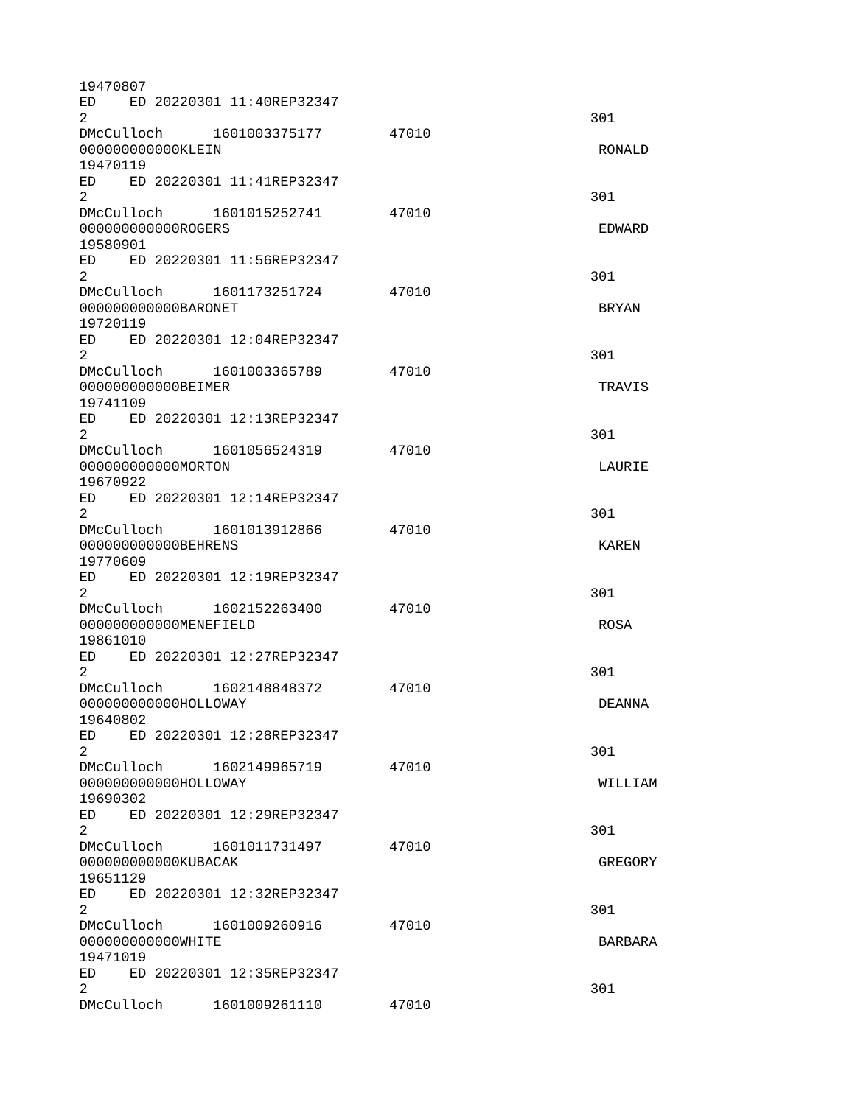| 19470807                                                                                                                                                                                                                                         |                              |       |               |
|--------------------------------------------------------------------------------------------------------------------------------------------------------------------------------------------------------------------------------------------------|------------------------------|-------|---------------|
| ED.<br>$\overline{2}$                                                                                                                                                                                                                            | ED 20220301 11:40REP32347    |       | 301           |
| 000000000000KLEIN                                                                                                                                                                                                                                | DMcCulloch 1601003375177     | 47010 | RONALD        |
| 19470119                                                                                                                                                                                                                                         |                              |       |               |
| $\overline{2}$                                                                                                                                                                                                                                   | ED ED 20220301 11:41REP32347 |       | 301           |
|                                                                                                                                                                                                                                                  | DMcCulloch 1601015252741     | 47010 |               |
| 000000000000R0GERS<br>19580901                                                                                                                                                                                                                   |                              |       | EDWARD        |
|                                                                                                                                                                                                                                                  | ED ED 20220301 11:56REP32347 |       |               |
| $2^{\circ}$                                                                                                                                                                                                                                      |                              |       | 301           |
|                                                                                                                                                                                                                                                  |                              | 47010 |               |
| 00000000000BARONET                                                                                                                                                                                                                               |                              |       | <b>BRYAN</b>  |
| 19720119<br>ED.                                                                                                                                                                                                                                  | ED 20220301 12:04REP32347    |       |               |
| 2                                                                                                                                                                                                                                                |                              |       | 301           |
|                                                                                                                                                                                                                                                  | DMcCulloch 1601003365789     | 47010 |               |
| 000000000000BEIMER                                                                                                                                                                                                                               |                              |       | TRAVIS        |
| 19741109                                                                                                                                                                                                                                         |                              |       |               |
|                                                                                                                                                                                                                                                  | ED ED 20220301 12:13REP32347 |       |               |
| $\overline{2}$                                                                                                                                                                                                                                   |                              |       | 301           |
|                                                                                                                                                                                                                                                  | DMcCulloch 1601056524319     | 47010 |               |
| 00000000000MORTON                                                                                                                                                                                                                                |                              |       | LAURIE        |
| 19670922                                                                                                                                                                                                                                         |                              |       |               |
| ED and the set of the set of the set of the set of the set of the set of the set of the set of the set of the set of the set of the set of the set of the set of the set of the set of the set of the set of the set of the se<br>$\overline{2}$ | ED 20220301 12:14REP32347    |       | 301           |
|                                                                                                                                                                                                                                                  | DMcCulloch 1601013912866     | 47010 |               |
| 000000000000BEHRENS                                                                                                                                                                                                                              |                              |       | <b>KAREN</b>  |
| 19770609                                                                                                                                                                                                                                         |                              |       |               |
|                                                                                                                                                                                                                                                  | ED ED 20220301 12:19REP32347 |       |               |
| $\overline{2}$                                                                                                                                                                                                                                   |                              |       | 301           |
|                                                                                                                                                                                                                                                  | DMcCulloch 1602152263400     | 47010 |               |
| 000000000000MENEFIELD                                                                                                                                                                                                                            |                              |       | <b>ROSA</b>   |
| 19861010                                                                                                                                                                                                                                         |                              |       |               |
| ED                                                                                                                                                                                                                                               | ED 20220301 12:27REP32347    |       |               |
| $\overline{2}$                                                                                                                                                                                                                                   |                              |       | 301           |
| DMcCulloch                                                                                                                                                                                                                                       | 1602148848372                | 47010 |               |
| 000000000000HOLLOWAY<br>19640802                                                                                                                                                                                                                 |                              |       | <b>DEANNA</b> |
| ED                                                                                                                                                                                                                                               | ED 20220301 12:28REP32347    |       |               |
| $\overline{2}$                                                                                                                                                                                                                                   |                              |       | 301           |
|                                                                                                                                                                                                                                                  | DMcCulloch 1602149965719     | 47010 |               |
| 000000000000HOLLOWAY                                                                                                                                                                                                                             |                              |       | WILLIAM       |
| 19690302                                                                                                                                                                                                                                         |                              |       |               |
| ED                                                                                                                                                                                                                                               | ED 20220301 12:29REP32347    |       |               |
| $\overline{2}$                                                                                                                                                                                                                                   |                              |       | 301           |
| DMcCulloch                                                                                                                                                                                                                                       | 1601011731497                | 47010 |               |
| 000000000000KUBACAK                                                                                                                                                                                                                              |                              |       | GREGORY       |
| 19651129                                                                                                                                                                                                                                         |                              |       |               |
| ED and the set of the set of the set of the set of the set of the set of the set of the set of the set of the set of the set of the set of the set of the set of the set of the set of the set of the set of the set of the se                   | ED 20220301 12:32REP32347    |       |               |
| $\overline{2}$                                                                                                                                                                                                                                   |                              |       | 301           |
| DMcCulloch<br>000000000000WHITE                                                                                                                                                                                                                  | 1601009260916                | 47010 | BARBARA       |
| 19471019                                                                                                                                                                                                                                         |                              |       |               |
| ED and the set of the set of the set of the set of the set of the set of the set of the set of the set of the set of the set of the set of the set of the set of the set of the set of the set of the set of the set of the se                   | ED 20220301 12:35REP32347    |       |               |
| $\overline{2}$                                                                                                                                                                                                                                   |                              |       | 301           |
| DMcCulloch                                                                                                                                                                                                                                       | 1601009261110                | 47010 |               |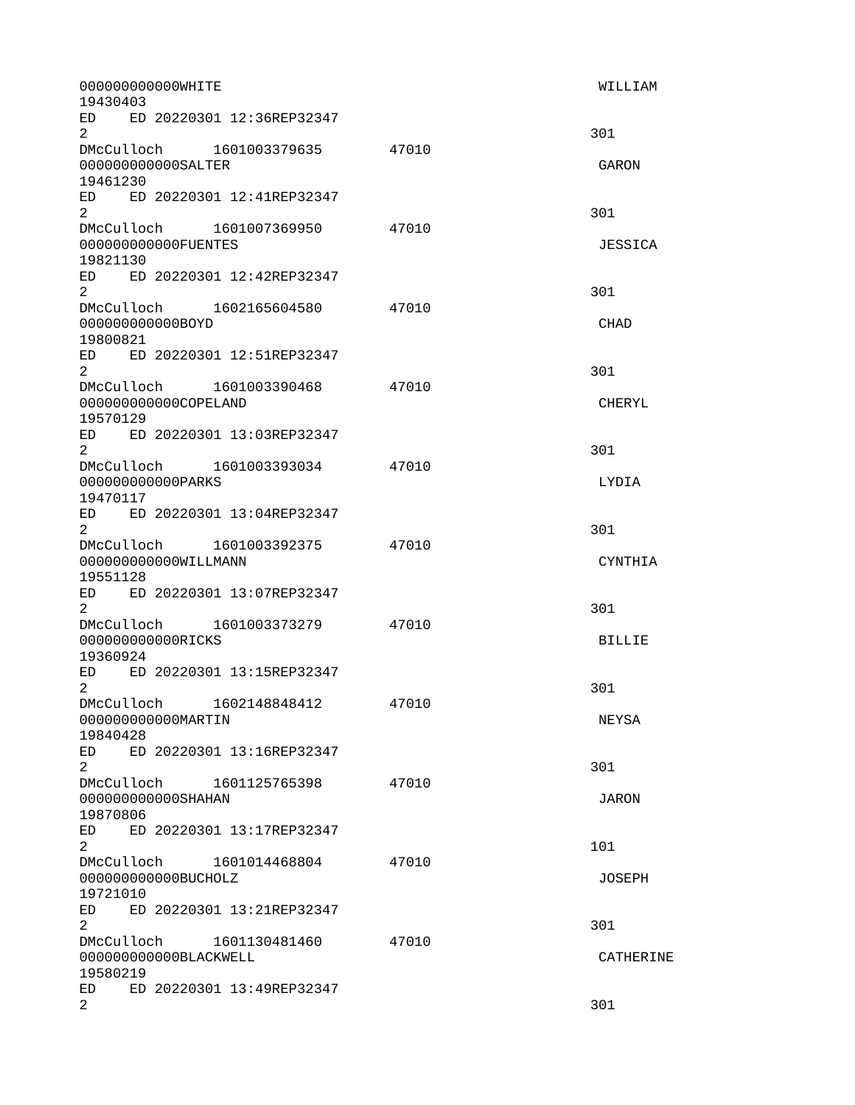| 000000000000WHITE<br>19430403                                 |                                |       | WILLIAM       |
|---------------------------------------------------------------|--------------------------------|-------|---------------|
| ED ED 20220301 12:36REP32347<br>$\overline{2}$                |                                |       | 301           |
| 000000000000SALTER<br>19461230                                | DMcCulloch 1601003379635 47010 |       | GARON         |
| ED ED 20220301 12:41REP32347<br>$\overline{2}$                |                                |       | 301           |
| 00000000000FUENTES<br>19821130                                | DMcCulloch 1601007369950 47010 |       | JESSICA       |
| ED ED 20220301 12:42REP32347<br>2 <sup>1</sup>                |                                |       | 301           |
| DMcCulloch 1602165604580<br>00000000000B0YD<br>19800821       |                                | 47010 | <b>CHAD</b>   |
| ED ED 20220301 12:51REP32347<br>2                             |                                |       | 301           |
| 000000000000C0PELAND<br>19570129                              | DMcCulloch 1601003390468 47010 |       | <b>CHERYL</b> |
| ED ED 20220301 13:03REP32347<br>$\overline{2}$                |                                |       | 301           |
| 00000000000PARKS<br>19470117                                  | DMcCulloch 1601003393034 47010 |       | LYDIA         |
| ED ED 20220301 13:04REP32347<br>$\overline{2}$                |                                |       | 301           |
| DMcCulloch 1601003392375<br>000000000000WILLMANN<br>19551128  |                                | 47010 | CYNTHIA       |
| ED ED 20220301 13:07REP32347<br>$2^{\circ}$                   |                                |       | 301           |
| DMcCulloch 1601003373279<br>000000000000RICKS<br>19360924     |                                | 47010 | <b>BILLIE</b> |
| ED.<br>ED 20220301 13:15REP32347<br>$\overline{2}$            |                                |       | 301           |
| DMcCulloch 1602148848412<br>000000000000MARTIN<br>19840428    |                                | 47010 | <b>NEYSA</b>  |
| ED ED 20220301 13:16REP32347<br>$\overline{2}$                |                                |       | 301           |
| DMcCulloch<br>000000000000SHAHAN<br>19870806                  | 1601125765398                  | 47010 | <b>JARON</b>  |
| ED<br>$\overline{2}$                                          | ED 20220301 13:17REP32347      |       | 101           |
| DMcCulloch<br>00000000000BUCHOLZ<br>19721010                  | 1601014468804                  | 47010 | <b>JOSEPH</b> |
| ED<br>$\overline{2}$                                          | ED 20220301 13:21REP32347      |       | 301           |
| DMcCulloch 1601130481460<br>000000000000BLACKWELL<br>19580219 |                                | 47010 | CATHERINE     |
| ED<br>$\overline{2}$                                          | ED 20220301 13:49REP32347      |       | 301           |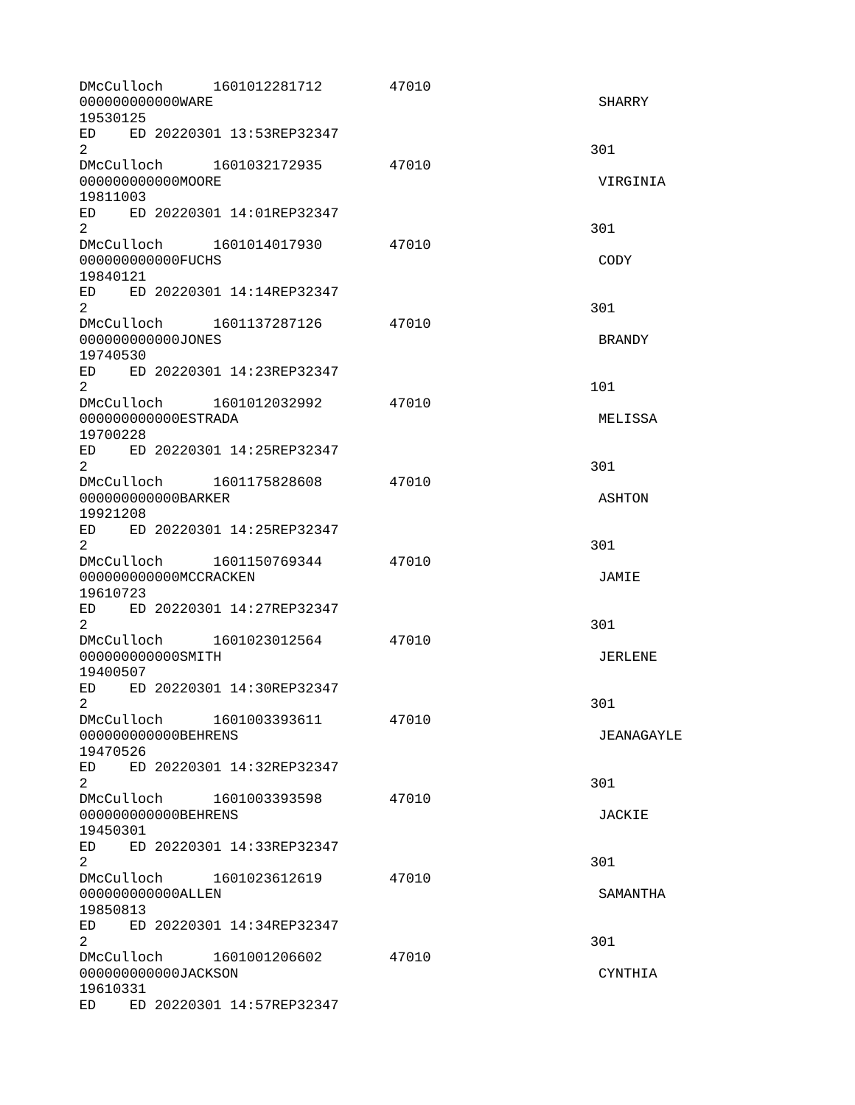| DMcCulloch  1601012281712<br>000000000000WARE<br>19530125                                                                                                                                                                                                                           | 47010 | <b>SHARRY</b>  |
|-------------------------------------------------------------------------------------------------------------------------------------------------------------------------------------------------------------------------------------------------------------------------------------|-------|----------------|
| ED ED 20220301 13:53REP32347<br>$\overline{2}$                                                                                                                                                                                                                                      |       | 301            |
| 00000000000M00RE<br>19811003                                                                                                                                                                                                                                                        | 47010 | VIRGINIA       |
| ED ED 20220301 14:01REP32347<br>2 <sup>1</sup>                                                                                                                                                                                                                                      |       | 301            |
| DMcCulloch  1601014017930<br>00000000000FUCHS<br>19840121                                                                                                                                                                                                                           | 47010 | <b>CODY</b>    |
| ED ED 20220301 14:14REP32347<br>$\overline{2}$                                                                                                                                                                                                                                      |       | 301            |
| DMcCulloch 1601137287126 47010<br>000000000000JONES<br>19740530                                                                                                                                                                                                                     |       | <b>BRANDY</b>  |
| ED and the set of the set of the set of the set of the set of the set of the set of the set of the set of the set of the set of the set of the set of the set of the set of the set of the set of the set of the set of the se<br>ED 20220301 14:23REP32347<br>$\overline{2}$       |       | 101            |
| DMcCulloch 1601012032992<br>00000000000ESTRADA<br>19700228                                                                                                                                                                                                                          | 47010 | MELISSA        |
| ED ED 20220301 14:25REP32347<br>$\overline{2}$                                                                                                                                                                                                                                      |       | 301            |
| 000000000000BARKER<br>19921208                                                                                                                                                                                                                                                      | 47010 | <b>ASHTON</b>  |
| ED and the set of the set of the set of the set of the set of the set of the set of the set of the set of the set of the set of the set of the set of the set of the set of the set of the set of the set of the set of the se<br>ED 20220301 14:25REP32347<br>2 <sup>1</sup>       |       | 301            |
| DMcCulloch 1601150769344<br>000000000000MCCRACKEN<br>19610723                                                                                                                                                                                                                       | 47010 | JAMIE          |
| ED 20220301 14:27REP32347<br>ED and the set of the set of the set of the set of the set of the set of the set of the set of the set of the set of the set of the set of the set of the set of the set of the set of the set of the set of the set of the se<br>$\mathbf{2}^{\circ}$ |       | 301            |
| DMcCulloch 1601023012564 47010<br>000000000000SMITH<br>19400507                                                                                                                                                                                                                     |       | <b>JERLENE</b> |
| ED 20220301 14:30REP32347<br>ED.<br>$\mathbf{2}$                                                                                                                                                                                                                                    |       | 301            |
| DMcCulloch<br>1601003393611<br>000000000000BEHRENS<br>19470526                                                                                                                                                                                                                      | 47010 | JEANAGAYLE     |
| ED and the set of the set of the set of the set of the set of the set of the set of the set of the set of the set of the set of the set of the set of the set of the set of the set of the set of the set of the set of the se<br>ED 20220301 14:32REP32347<br>2                    |       | 301            |
| DMcCulloch 1601003393598<br>000000000000BEHRENS<br>19450301                                                                                                                                                                                                                         | 47010 | <b>JACKIE</b>  |
| ED <sub>11</sub><br>ED 20220301 14:33REP32347<br>$\overline{2}$                                                                                                                                                                                                                     |       | 301            |
| DMcCulloch<br>1601023612619<br>000000000000ALLEN<br>19850813                                                                                                                                                                                                                        | 47010 | SAMANTHA       |
| ED 20220301 14:34REP32347<br>ED and the set of the set of the set of the set of the set of the set of the set of the set of the set of the set of the set of the set of the set of the set of the set of the set of the set of the set of the set of the se<br>$\overline{2}$       |       | 301            |
| DMcCulloch 1601001206602<br>000000000000JACKS0N<br>19610331                                                                                                                                                                                                                         | 47010 | CYNTHIA        |
| ED and the set of the set of the set of the set of the set of the set of the set of the set of the set of the set of the set of the set of the set of the set of the set of the set of the set of the set of the set of the se<br>ED 20220301 14:57REP32347                         |       |                |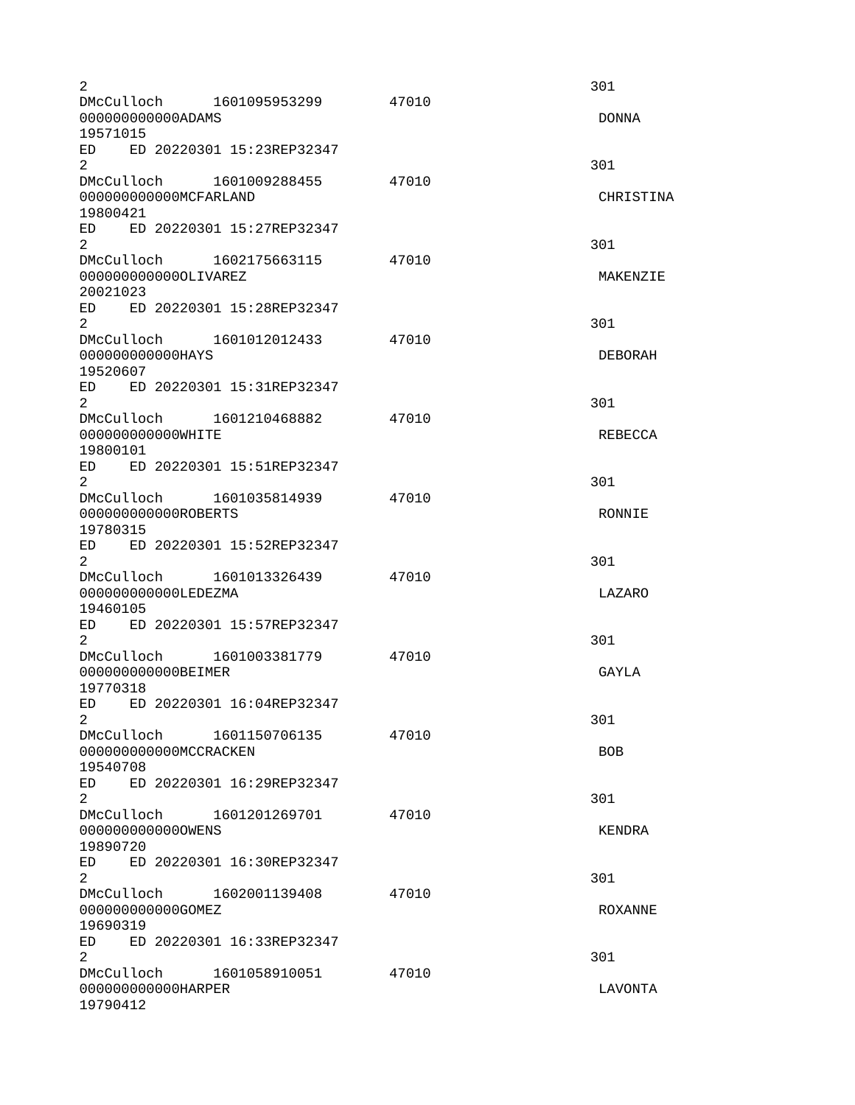| $\overline{c}$                                                                                                                                                                                                                                                                            |       | 301                   |
|-------------------------------------------------------------------------------------------------------------------------------------------------------------------------------------------------------------------------------------------------------------------------------------------|-------|-----------------------|
| DMcCulloch 1601095953299<br>000000000000ADAMS<br>19571015                                                                                                                                                                                                                                 | 47010 | <b>DONNA</b>          |
| ED ED 20220301 15:23REP32347<br>$\overline{2}$                                                                                                                                                                                                                                            |       | 301                   |
| DMcCulloch 1601009288455 47010<br>000000000000MCFARLAND                                                                                                                                                                                                                                   |       | CHRISTINA             |
| 19800421<br>ED ED 20220301 15:27REP32347<br>2 <sup>1</sup>                                                                                                                                                                                                                                |       | 301                   |
| DMcCulloch 1602175663115 47010<br>0000000000000LIVAREZ                                                                                                                                                                                                                                    |       | MAKENZIE              |
| 20021023<br>ED and the set of the set of the set of the set of the set of the set of the set of the set of the set of the set of the set of the set of the set of the set of the set of the set of the set of the set of the set of the se<br>ED 20220301 15:28REP32347<br>$\overline{2}$ |       | 301                   |
| DMcCulloch 1601012012433 47010<br>000000000000HAYS                                                                                                                                                                                                                                        |       | <b>DEBORAH</b>        |
| 19520607<br>ED ED 20220301 15:31REP32347                                                                                                                                                                                                                                                  |       |                       |
| $\overline{2}$<br>DMcCulloch 1601210468882 47010<br>000000000000WHITE                                                                                                                                                                                                                     |       | 301<br><b>REBECCA</b> |
| 19800101<br>ED ED 20220301 15:51REP32347                                                                                                                                                                                                                                                  |       |                       |
| $\overline{2}$<br>DMcCulloch 1601035814939 47010<br>00000000000R0BERTS                                                                                                                                                                                                                    |       | 301<br>RONNIE         |
| 19780315<br>ED ED 20220301 15:52REP32347<br>$\overline{2}$                                                                                                                                                                                                                                |       | 301                   |
| DMcCulloch 1601013326439<br>000000000000LEDEZMA                                                                                                                                                                                                                                           | 47010 | LAZARO                |
| 19460105<br>ED ED 20220301 15:57REP32347<br>$\overline{2}$                                                                                                                                                                                                                                |       | 301                   |
| DMcCulloch 1601003381779 47010<br>00000000000BEIMER                                                                                                                                                                                                                                       |       | GAYLA                 |
| 19770318<br>ED ED 20220301 16:04REP32347<br>$\overline{2}$                                                                                                                                                                                                                                |       | 301                   |
| DMcCulloch<br>1601150706135 47010<br>000000000000MCCRACKEN                                                                                                                                                                                                                                |       | <b>BOB</b>            |
| 19540708<br>ED<br>ED 20220301 16:29REP32347<br>$\overline{2}$                                                                                                                                                                                                                             |       | 301                   |
| DMcCulloch 1601201269701<br>0000000000000WENS<br>19890720                                                                                                                                                                                                                                 | 47010 | <b>KENDRA</b>         |
| ED and the set of the set of the set of the set of the set of the set of the set of the set of the set of the set of the set of the set of the set of the set of the set of the set of the set of the set of the set of the se<br>ED 20220301 16:30REP32347<br>$\overline{a}$             |       | 301                   |
| 000000000000GOMEZ<br>19690319                                                                                                                                                                                                                                                             | 47010 | <b>ROXANNE</b>        |
| ED and the set of the set of the set of the set of the set of the set of the set of the set of the set of the set of the set of the set of the set of the set of the set of the set of the set of the set of the set of the se<br>ED 20220301 16:33REP32347<br>$\overline{2}$             |       | 301                   |
| DMcCulloch 1601058910051<br>000000000000HARPER<br>19790412                                                                                                                                                                                                                                | 47010 | LAVONTA               |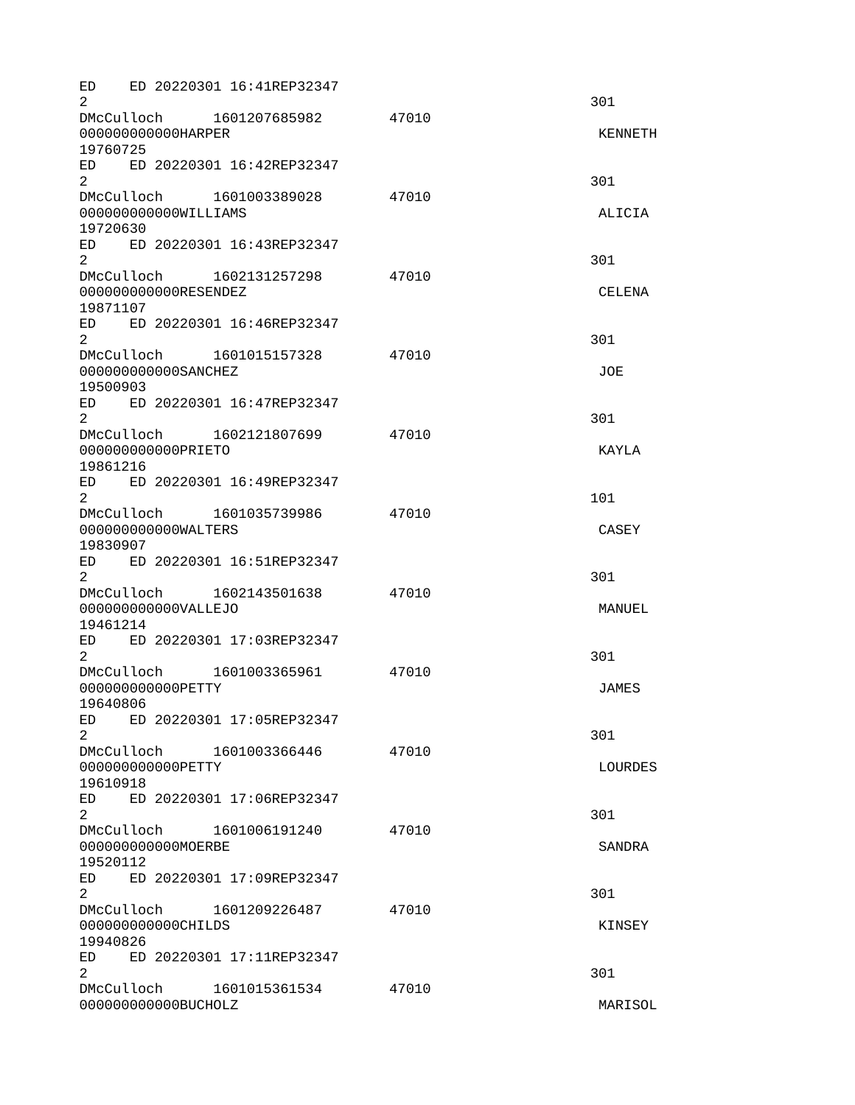| ED 20220301 16:41REP32347<br>ED.<br>2                                                                                                                                                                                                                                         |       | 301            |
|-------------------------------------------------------------------------------------------------------------------------------------------------------------------------------------------------------------------------------------------------------------------------------|-------|----------------|
| DMcCulloch 1601207685982<br>000000000000HARPER<br>19760725                                                                                                                                                                                                                    | 47010 | <b>KENNETH</b> |
| ED ED 20220301 16:42REP32347<br>2                                                                                                                                                                                                                                             |       | 301            |
| DMcCulloch<br>1601003389028<br>000000000000WILLIAMS<br>19720630                                                                                                                                                                                                               | 47010 | ALICIA         |
| ED ED 20220301 16:43REP32347<br>$\overline{2}$                                                                                                                                                                                                                                |       | 301            |
| DMcCulloch<br>1602131257298<br>000000000000RESENDEZ<br>19871107                                                                                                                                                                                                               | 47010 | <b>CELENA</b>  |
| ED<br>ED 20220301 16:46REP32347<br>2                                                                                                                                                                                                                                          |       | 301            |
| DMcCulloch 1601015157328<br>000000000000SANCHEZ<br>19500903                                                                                                                                                                                                                   | 47010 | JOE            |
| ED ED 20220301 16:47REP32347<br>$\overline{2}$                                                                                                                                                                                                                                |       | 301            |
| DMcCulloch<br>1602121807699<br>000000000000PRIET0<br>19861216                                                                                                                                                                                                                 | 47010 | KAYL A         |
| ED 20220301 16:49REP32347<br>ED<br>$\overline{2}$                                                                                                                                                                                                                             |       | 101            |
| DMcCulloch 1601035739986<br>000000000000WALTERS<br>19830907                                                                                                                                                                                                                   | 47010 | <b>CASEY</b>   |
| ED ED 20220301 16:51REP32347<br>$\overline{2}$                                                                                                                                                                                                                                |       | 301            |
| DMcCulloch 1602143501638<br>000000000000VALLEJ0<br>19461214                                                                                                                                                                                                                   | 47010 | MANUEL         |
| ED 20220301 17:03REP32347<br>ED<br>$\overline{2}$                                                                                                                                                                                                                             |       | 301            |
| DMcCulloch 1601003365961<br>000000000000PETTY<br>19640806                                                                                                                                                                                                                     | 47010 | <b>JAMES</b>   |
| ED 20220301 17:05REP32347<br>ED.<br>$\overline{2}$                                                                                                                                                                                                                            |       | 301            |
| DMcCulloch 1601003366446<br>000000000000PETTY<br>19610918                                                                                                                                                                                                                     | 47010 | <b>LOURDES</b> |
| ED<br>ED 20220301 17:06REP32347<br>$\overline{2}$                                                                                                                                                                                                                             |       | 301            |
| DMcCulloch 1601006191240<br>000000000000MOERBE<br>19520112                                                                                                                                                                                                                    | 47010 | <b>SANDRA</b>  |
| ED and the set of the set of the set of the set of the set of the set of the set of the set of the set of the set of the set of the set of the set of the set of the set of the set of the set of the set of the set of the se<br>ED 20220301 17:09REP32347<br>$\overline{2}$ |       | 301            |
| DMcCulloch<br>1601209226487<br>000000000000CHILDS<br>19940826                                                                                                                                                                                                                 | 47010 | <b>KINSEY</b>  |
| ED 20220301 17:11REP32347<br>ED<br>$\overline{2}$                                                                                                                                                                                                                             |       | 301            |
| DMcCulloch 1601015361534<br>000000000000BUCHOLZ                                                                                                                                                                                                                               | 47010 | <b>MARISOL</b> |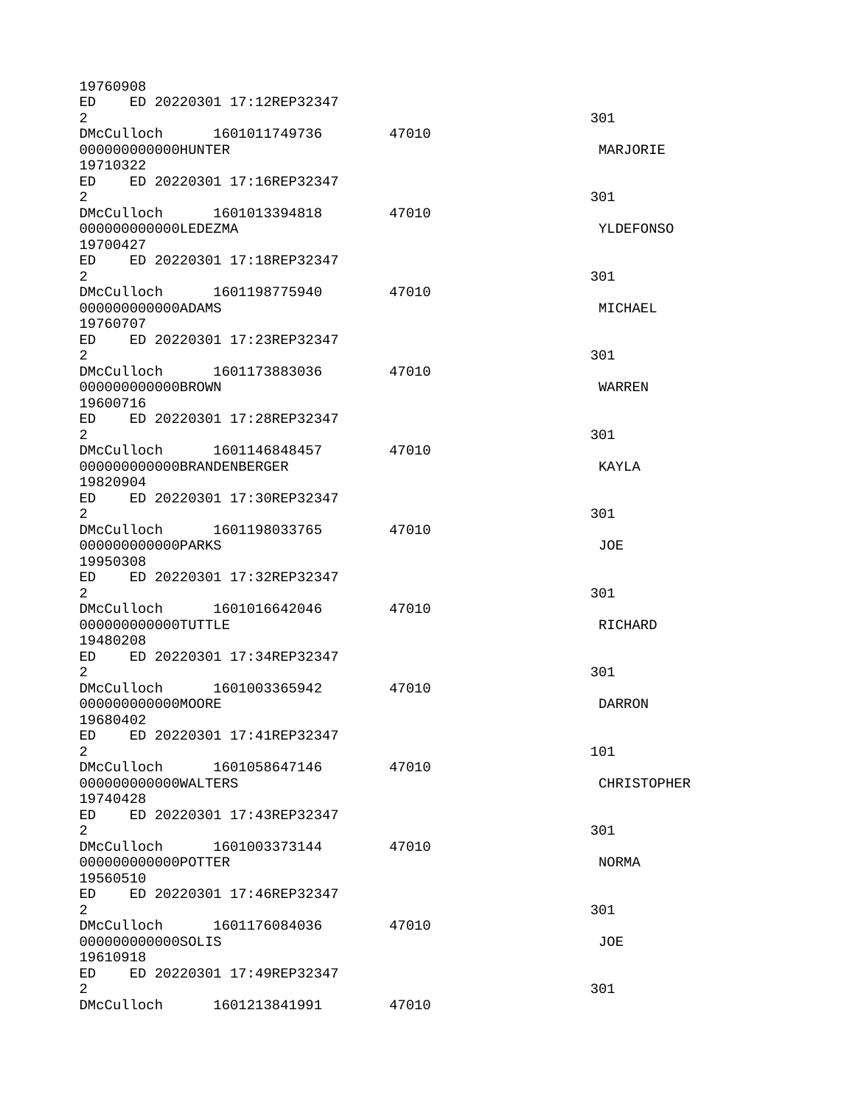| 19760908                                                                                                                                                                                                                       |                           |                              |       |                    |
|--------------------------------------------------------------------------------------------------------------------------------------------------------------------------------------------------------------------------------|---------------------------|------------------------------|-------|--------------------|
| $\overline{2}$                                                                                                                                                                                                                 |                           | ED ED 20220301 17:12REP32347 |       | 301                |
|                                                                                                                                                                                                                                |                           | DMcCulloch 1601011749736     | 47010 |                    |
|                                                                                                                                                                                                                                | 000000000000HUNTER        |                              |       | MARJORIE           |
| 19710322                                                                                                                                                                                                                       |                           |                              |       |                    |
| $\overline{2}$                                                                                                                                                                                                                 |                           | ED ED 20220301 17:16REP32347 |       | 301                |
|                                                                                                                                                                                                                                |                           | DMcCulloch 1601013394818     | 47010 |                    |
|                                                                                                                                                                                                                                | 000000000000LEDEZMA       |                              |       | YLDEFONSO          |
| 19700427                                                                                                                                                                                                                       |                           |                              |       |                    |
|                                                                                                                                                                                                                                |                           | ED ED 20220301 17:18REP32347 |       |                    |
| $\overline{2}$                                                                                                                                                                                                                 |                           | DMcCulloch 1601198775940     | 47010 | 301                |
|                                                                                                                                                                                                                                | 000000000000ADAMS         |                              |       | MICHAEL            |
| 19760707                                                                                                                                                                                                                       |                           |                              |       |                    |
| ED.                                                                                                                                                                                                                            |                           | ED 20220301 17:23REP32347    |       |                    |
| 2                                                                                                                                                                                                                              |                           | DMcCulloch 1601173883036     | 47010 | 301                |
|                                                                                                                                                                                                                                | 000000000000BR0WN         |                              |       | WARREN             |
| 19600716                                                                                                                                                                                                                       |                           |                              |       |                    |
| ED <sub>2</sub>                                                                                                                                                                                                                |                           | ED 20220301 17:28REP32347    |       |                    |
| $\overline{2}$                                                                                                                                                                                                                 |                           |                              |       | 301                |
| DMcCulloch                                                                                                                                                                                                                     | 000000000000BRANDENBERGER | 1601146848457                | 47010 | <b>KAYLA</b>       |
| 19820904                                                                                                                                                                                                                       |                           |                              |       |                    |
|                                                                                                                                                                                                                                |                           | ED ED 20220301 17:30REP32347 |       |                    |
| $\overline{2}$                                                                                                                                                                                                                 |                           |                              |       | 301                |
|                                                                                                                                                                                                                                |                           | DMcCulloch 1601198033765     | 47010 | J0E                |
| 19950308                                                                                                                                                                                                                       | 00000000000PARKS          |                              |       |                    |
| ED and the set of the set of the set of the set of the set of the set of the set of the set of the set of the set of the set of the set of the set of the set of the set of the set of the set of the set of the set of the se |                           | ED 20220301 17:32REP32347    |       |                    |
| $\overline{2}$                                                                                                                                                                                                                 |                           |                              |       | 301                |
| DMcCulloch                                                                                                                                                                                                                     |                           | 1601016642046                | 47010 |                    |
| 19480208                                                                                                                                                                                                                       | 000000000000TUTTLE        |                              |       | RICHARD            |
| ED                                                                                                                                                                                                                             |                           | ED 20220301 17:34REP32347    |       |                    |
| $\overline{2}$                                                                                                                                                                                                                 |                           |                              |       | 301                |
|                                                                                                                                                                                                                                |                           | DMcCulloch 1601003365942     | 47010 |                    |
| 19680402                                                                                                                                                                                                                       | 000000000000MOORE         |                              |       | <b>DARRON</b>      |
| ED                                                                                                                                                                                                                             |                           | ED 20220301 17:41REP32347    |       |                    |
| $\overline{2}$                                                                                                                                                                                                                 |                           |                              |       | 101                |
|                                                                                                                                                                                                                                |                           | DMcCulloch 1601058647146     | 47010 |                    |
| 19740428                                                                                                                                                                                                                       | 000000000000WALTERS       |                              |       | <b>CHRISTOPHER</b> |
| ED                                                                                                                                                                                                                             |                           | ED 20220301 17:43REP32347    |       |                    |
| $\overline{2}$                                                                                                                                                                                                                 |                           |                              |       | 301                |
| DMcCulloch                                                                                                                                                                                                                     |                           | 1601003373144                | 47010 |                    |
|                                                                                                                                                                                                                                | 00000000000P0TTER         |                              |       | <b>NORMA</b>       |
| 19560510<br>ED                                                                                                                                                                                                                 |                           | ED 20220301 17:46REP32347    |       |                    |
| $\overline{2}$                                                                                                                                                                                                                 |                           |                              |       | 301                |
|                                                                                                                                                                                                                                |                           | DMcCulloch 1601176084036     | 47010 |                    |
|                                                                                                                                                                                                                                | 000000000000SOLIS         |                              |       | JOE                |
| 19610918                                                                                                                                                                                                                       |                           | ED ED 20220301 17:49REP32347 |       |                    |
| $\overline{2}$                                                                                                                                                                                                                 |                           |                              |       | 301                |
|                                                                                                                                                                                                                                |                           | DMcCulloch 1601213841991     | 47010 |                    |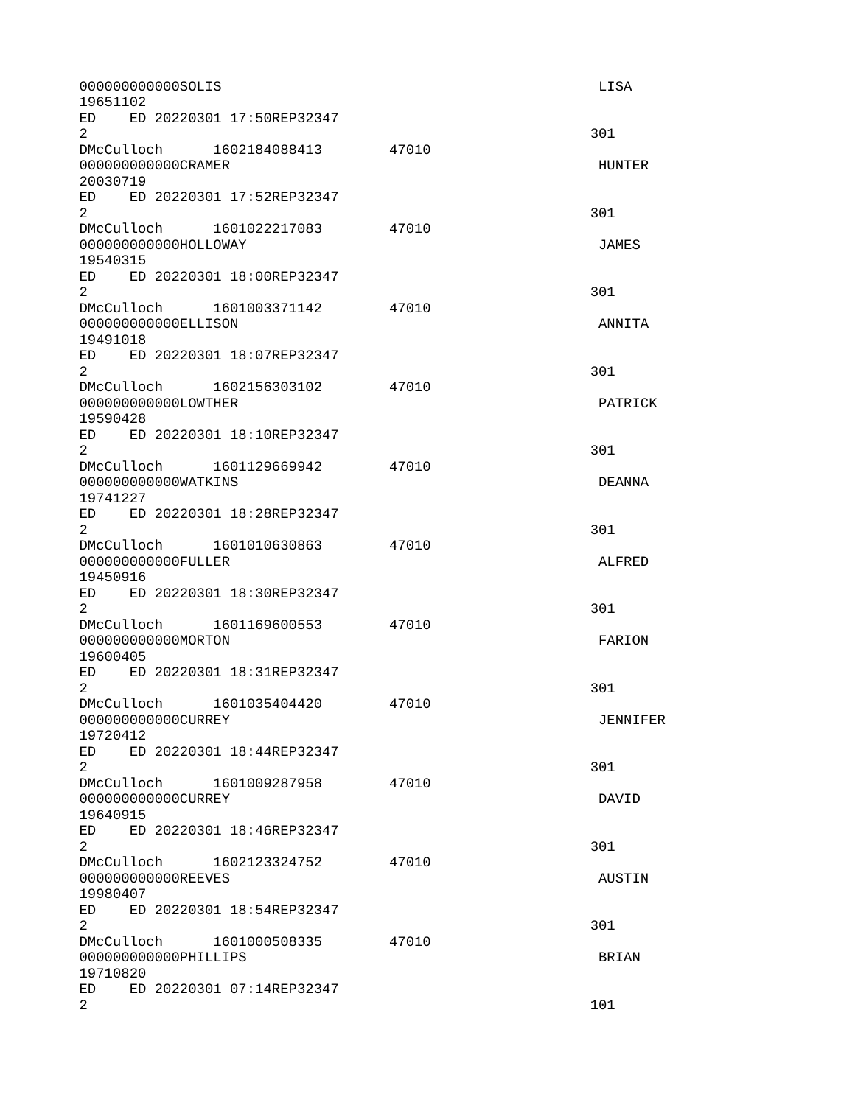| 000000000000SOLIS<br>19651102                                                                                                                                                                                                                                                 |       | LISA          |
|-------------------------------------------------------------------------------------------------------------------------------------------------------------------------------------------------------------------------------------------------------------------------------|-------|---------------|
| ED 20220301 17:50REP32347<br>ED and the set of the set of the set of the set of the set of the set of the set of the set of the set of the set of the set of the set of the set of the set of the set of the set of the set of the set of the set of the se<br>$\overline{2}$ |       | 301           |
| DMcCulloch 1602184088413 47010<br>000000000000CRAMER<br>20030719                                                                                                                                                                                                              |       | <b>HUNTER</b> |
| ED ED 20220301 17:52REP32347<br>$\overline{2}$                                                                                                                                                                                                                                |       | 301           |
| DMcCulloch 1601022217083 47010<br>000000000000HOLLOWAY<br>19540315                                                                                                                                                                                                            |       | <b>JAMES</b>  |
| ED ED 20220301 18:00REP32347<br>2 <sup>1</sup>                                                                                                                                                                                                                                |       | 301           |
| DMcCulloch  1601003371142  47010<br>000000000000ELLISON<br>19491018                                                                                                                                                                                                           |       | ANNITA        |
| ED ED 20220301 18:07REP32347<br>2                                                                                                                                                                                                                                             |       | 301           |
| DMcCulloch  1602156303102  47010<br>000000000000L0WTHER<br>19590428                                                                                                                                                                                                           |       | PATRICK       |
| ED ED 20220301 18:10REP32347<br>$\overline{2}$                                                                                                                                                                                                                                |       | 301           |
| DMcCulloch 1601129669942 47010<br>000000000000WATKINS<br>19741227                                                                                                                                                                                                             |       | <b>DEANNA</b> |
| ED ED 20220301 18:28REP32347<br>$\overline{2}$                                                                                                                                                                                                                                |       | 301           |
| DMcCulloch 1601010630863 47010<br>00000000000FULLER<br>19450916                                                                                                                                                                                                               |       | ALFRED        |
| ED ED 20220301 18:30REP32347<br>$\overline{2}$                                                                                                                                                                                                                                |       | 301           |
| DMcCulloch<br>1601169600553 47010<br>000000000000MORTON<br>19600405                                                                                                                                                                                                           |       | FARION        |
| ED ED 20220301 18:31REP32347<br>2                                                                                                                                                                                                                                             |       | 301           |
| DMcCulloch 1601035404420<br>000000000000CURREY<br>19720412                                                                                                                                                                                                                    | 47010 | JENNIFER      |
| ED and the set of the set of the set of the set of the set of the set of the set of the set of the set of the set of the set of the set of the set of the set of the set of the set of the set of the set of the set of the se<br>ED 20220301 18:44REP32347<br>$\overline{2}$ |       | 301           |
| DMcCulloch<br>1601009287958<br>000000000000CURREY<br>19640915                                                                                                                                                                                                                 | 47010 | DAVID         |
| ED<br>ED 20220301 18:46REP32347<br>$\overline{2}$                                                                                                                                                                                                                             |       | 301           |
| DMcCulloch<br>1602123324752<br>00000000000REEVES<br>19980407                                                                                                                                                                                                                  | 47010 | <b>AUSTIN</b> |
| ED and the set of the set of the set of the set of the set of the set of the set of the set of the set of the set of the set of the set of the set of the set of the set of the set of the set of the set of the set of the se<br>ED 20220301 18:54REP32347<br>$\overline{2}$ |       | 301           |
| DMcCulloch<br>1601000508335<br>00000000000PHILLIPS<br>19710820                                                                                                                                                                                                                | 47010 | <b>BRIAN</b>  |
| ED<br>ED 20220301 07:14REP32347<br>$\overline{2}$                                                                                                                                                                                                                             |       | 101           |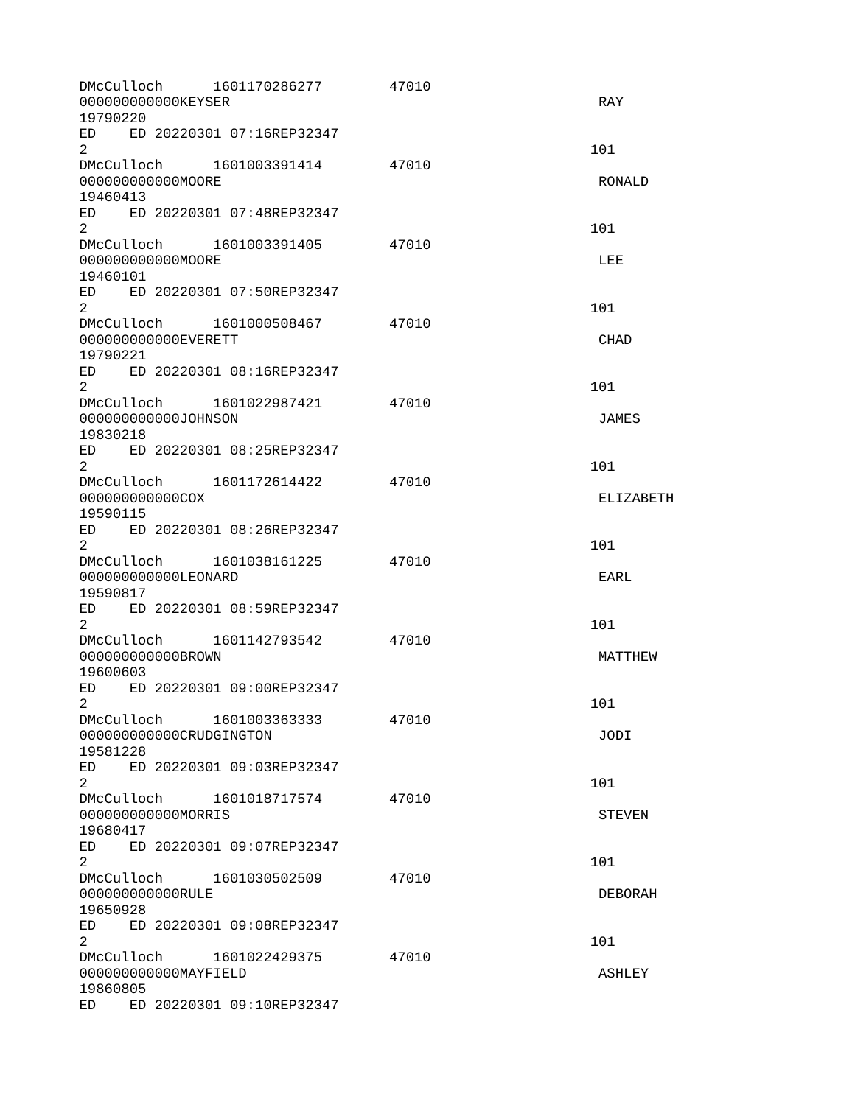| DMcCulloch<br>000000000000KEYSER<br>19790220                                                                                                                                                                                                     | 1601170286277                | 47010 | <b>RAY</b>       |
|--------------------------------------------------------------------------------------------------------------------------------------------------------------------------------------------------------------------------------------------------|------------------------------|-------|------------------|
| $\overline{2}$                                                                                                                                                                                                                                   | ED ED 20220301 07:16REP32347 |       | 101              |
| 00000000000M00RE<br>19460413                                                                                                                                                                                                                     | DMcCulloch 1601003391414     | 47010 | RONALD           |
| $\overline{2}$                                                                                                                                                                                                                                   | ED ED 20220301 07:48REP32347 |       | 101              |
| 00000000000M00RE<br>19460101                                                                                                                                                                                                                     | DMcCulloch 1601003391405     | 47010 | <b>LEE</b>       |
| $\overline{2}$                                                                                                                                                                                                                                   | ED ED 20220301 07:50REP32347 |       | 101              |
| DMcCulloch<br>00000000000EVERETT<br>19790221                                                                                                                                                                                                     | 1601000508467                | 47010 | <b>CHAD</b>      |
| ED<br>2                                                                                                                                                                                                                                          | ED 20220301 08:16REP32347    |       | 101              |
| 000000000000J0HNSON<br>19830218                                                                                                                                                                                                                  | DMcCulloch 1601022987421     | 47010 | JAMES            |
| $\overline{2}$                                                                                                                                                                                                                                   | ED ED 20220301 08:25REP32347 |       | 101              |
| 000000000000COX<br>19590115                                                                                                                                                                                                                      | DMcCulloch 1601172614422     | 47010 | <b>ELIZABETH</b> |
| $\overline{2}$                                                                                                                                                                                                                                   | ED ED 20220301 08:26REP32347 |       | 101              |
| 000000000000LE0NARD<br>19590817                                                                                                                                                                                                                  | DMcCulloch 1601038161225     | 47010 | <b>EARL</b>      |
| ED<br>2                                                                                                                                                                                                                                          | ED 20220301 08:59REP32347    |       | 101              |
| DMcCulloch 1601142793542<br>00000000000BR0WN<br>19600603                                                                                                                                                                                         |                              | 47010 | MATTHEW          |
| ED<br>$\mathbf{2}$                                                                                                                                                                                                                               | ED 20220301 09:00REP32347    |       | 101              |
| DMcCulloch<br>000000000000CRUDGINGTON<br>19581228                                                                                                                                                                                                | 1601003363333                | 47010 | JODI             |
| ED<br>2                                                                                                                                                                                                                                          | ED 20220301 09:03REP32347    |       | 101              |
| 00000000000MORRIS<br>19680417                                                                                                                                                                                                                    | DMcCulloch 1601018717574     | 47010 | <b>STEVEN</b>    |
| $\overline{2}$                                                                                                                                                                                                                                   | ED ED 20220301 09:07REP32347 |       | 101              |
| DMcCulloch<br>00000000000RULE<br>19650928                                                                                                                                                                                                        | 1601030502509                | 47010 | <b>DEBORAH</b>   |
| ED and the set of the set of the set of the set of the set of the set of the set of the set of the set of the set of the set of the set of the set of the set of the set of the set of the set of the set of the set of the se<br>$\overline{2}$ | ED 20220301 09:08REP32347    |       | 101              |
| DMcCulloch 1601022429375<br>000000000000MAYFIELD<br>19860805                                                                                                                                                                                     |                              | 47010 | ASHLEY           |
| ED and the set of the set of the set of the set of the set of the set of the set of the set of the set of the set of the set of the set of the set of the set of the set of the set of the set of the set of the set of the se                   | ED 20220301 09:10REP32347    |       |                  |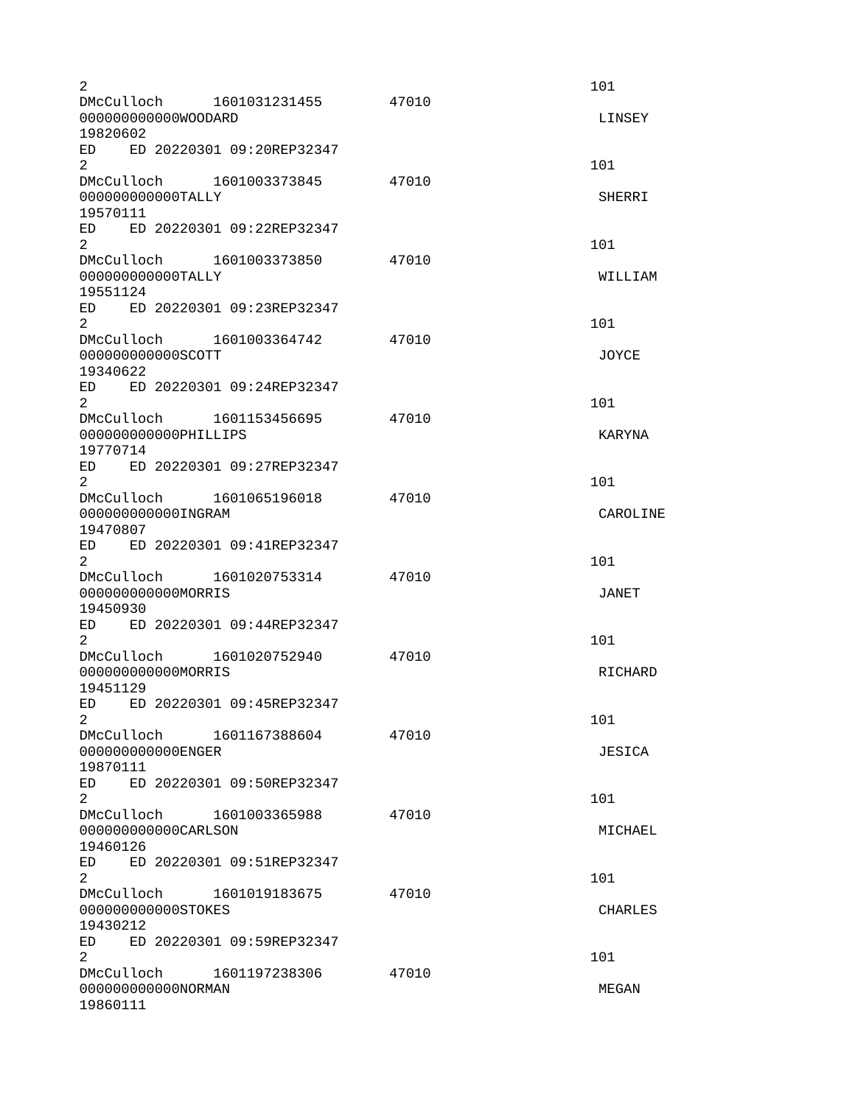| 2                                                                                                                                                                                                                                                                             |       | 101                  |
|-------------------------------------------------------------------------------------------------------------------------------------------------------------------------------------------------------------------------------------------------------------------------------|-------|----------------------|
| DMcCulloch 1601031231455<br>000000000000W00DARD<br>19820602                                                                                                                                                                                                                   | 47010 | LINSEY               |
| ED ED 20220301 09:20REP32347                                                                                                                                                                                                                                                  |       |                      |
| $\overline{2}$<br>DMcCulloch 1601003373845                                                                                                                                                                                                                                    | 47010 | 101                  |
| 000000000000TALLY<br>19570111                                                                                                                                                                                                                                                 |       | <b>SHERRI</b>        |
| ED ED 20220301 09:22REP32347<br>$\overline{2}$                                                                                                                                                                                                                                |       | 101                  |
| DMcCulloch 1601003373850<br>000000000000TALLY                                                                                                                                                                                                                                 | 47010 | WILLIAM              |
| 19551124<br>ED ED 20220301 09:23REP32347<br>2                                                                                                                                                                                                                                 |       | 101                  |
| DMcCulloch 1601003364742<br>000000000000SC0TT                                                                                                                                                                                                                                 | 47010 | J0YCE                |
| 19340622<br>ED<br>ED 20220301 09:24REP32347                                                                                                                                                                                                                                   |       |                      |
| $\overline{2}$<br>DMcCulloch 1601153456695                                                                                                                                                                                                                                    | 47010 | 101                  |
| 00000000000PHILLIPS<br>19770714<br>ED ED 20220301 09:27REP32347<br>2                                                                                                                                                                                                          |       | <b>KARYNA</b><br>101 |
| DMcCulloch 1601065196018<br>000000000000INGRAM                                                                                                                                                                                                                                | 47010 | CAROLINE             |
| 19470807<br>ED ED 20220301 09:41REP32347<br>$\overline{2}$                                                                                                                                                                                                                    |       | 101                  |
| DMcCulloch 1601020753314<br>00000000000MORRIS<br>19450930                                                                                                                                                                                                                     | 47010 | JANET                |
| ED 20220301 09:44REP32347<br>ED<br>2                                                                                                                                                                                                                                          |       | 101                  |
| DMcCulloch 1601020752940<br>00000000000MORRIS<br>19451129                                                                                                                                                                                                                     | 47010 | RICHARD              |
| ED ED 20220301 09:45REP32347<br>$\overline{c}$                                                                                                                                                                                                                                |       | 101                  |
| DMcCulloch<br>1601167388604<br>000000000000ENGER<br>19870111                                                                                                                                                                                                                  | 47010 | <b>JESICA</b>        |
| ED<br>ED 20220301 09:50REP32347<br>2                                                                                                                                                                                                                                          |       | 101                  |
| DMcCulloch 1601003365988<br>000000000000CARLSON<br>19460126                                                                                                                                                                                                                   | 47010 | MICHAEL              |
| ED and the set of the set of the set of the set of the set of the set of the set of the set of the set of the set of the set of the set of the set of the set of the set of the set of the set of the set of the set of the se<br>ED 20220301 09:51REP32347<br>$\overline{2}$ |       | 101                  |
| DMcCulloch<br>1601019183675<br>000000000000ST0KES<br>19430212<br>ED 20220301 09:59REP32347<br>ED.                                                                                                                                                                             | 47010 | <b>CHARLES</b>       |
| $\overline{2}$<br>DMcCulloch 1601197238306                                                                                                                                                                                                                                    | 47010 | 101                  |
| 0000000000000RMAN<br>19860111                                                                                                                                                                                                                                                 |       | MEGAN                |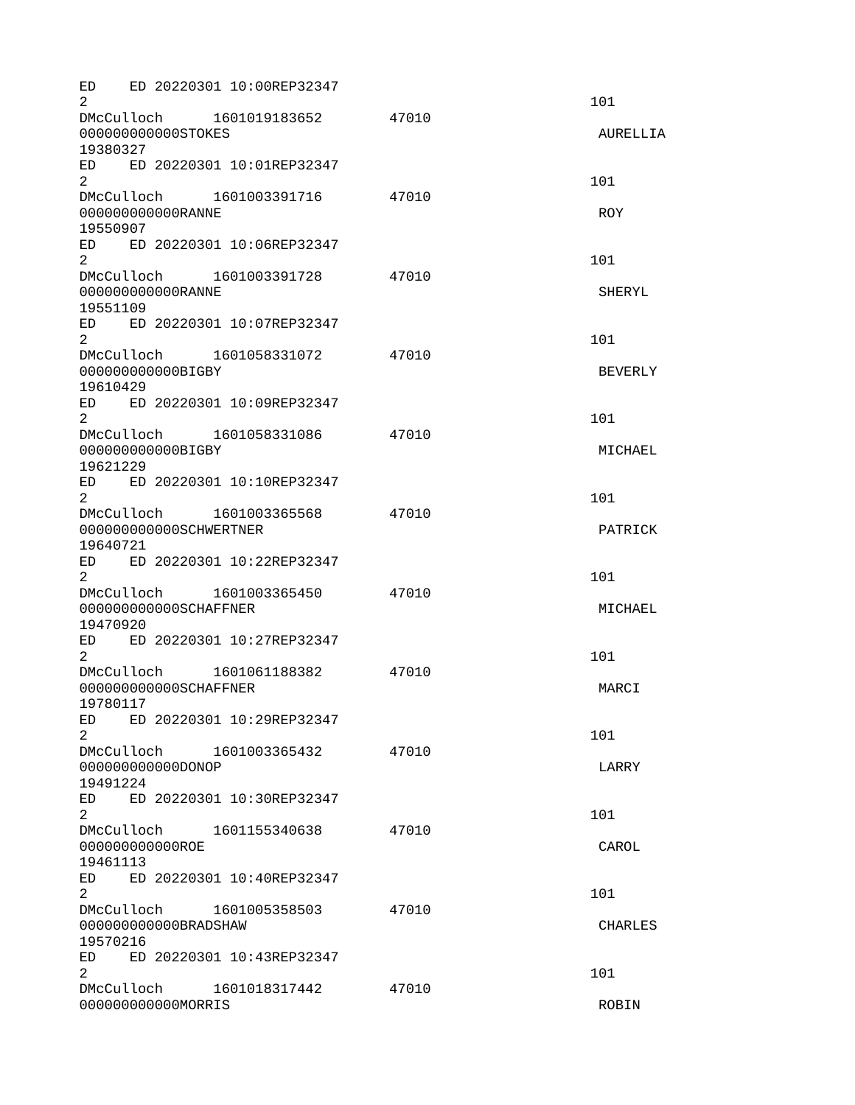| ED<br>2                                                                                                                                                                                                                        | ED 20220301 10:00REP32347    |       | 101            |
|--------------------------------------------------------------------------------------------------------------------------------------------------------------------------------------------------------------------------------|------------------------------|-------|----------------|
| 000000000000ST0KES                                                                                                                                                                                                             | DMcCulloch 1601019183652     | 47010 | AURELLIA       |
| 19380327                                                                                                                                                                                                                       | ED ED 20220301 10:01REP32347 |       |                |
| $\overline{2}$                                                                                                                                                                                                                 |                              |       | 101            |
| 00000000000RANNE                                                                                                                                                                                                               | DMcCulloch 1601003391716     | 47010 | <b>ROY</b>     |
| 19550907                                                                                                                                                                                                                       |                              |       |                |
| $\overline{2}$                                                                                                                                                                                                                 | ED ED 20220301 10:06REP32347 |       | 101            |
| 00000000000RANNE                                                                                                                                                                                                               | DMcCulloch 1601003391728     | 47010 | <b>SHERYL</b>  |
| 19551109<br>ED<br>2                                                                                                                                                                                                            | ED 20220301 10:07REP32347    |       | 101            |
|                                                                                                                                                                                                                                | DMcCulloch 1601058331072     | 47010 |                |
| 00000000000BIGBY<br>19610429                                                                                                                                                                                                   |                              |       | <b>BEVERLY</b> |
| $\overline{2}$                                                                                                                                                                                                                 | ED ED 20220301 10:09REP32347 |       | 101            |
| DMcCulloch                                                                                                                                                                                                                     | 1601058331086                | 47010 |                |
| 000000000000BIGBY<br>19621229                                                                                                                                                                                                  |                              |       | MICHAEL        |
| 2                                                                                                                                                                                                                              | ED ED 20220301 10:10REP32347 |       | 101            |
|                                                                                                                                                                                                                                | DMcCulloch 1601003365568     | 47010 |                |
| 000000000000SCHWERTNER                                                                                                                                                                                                         |                              |       | PATRICK        |
| 19640721                                                                                                                                                                                                                       | ED ED 20220301 10:22REP32347 |       |                |
| $\overline{2}$                                                                                                                                                                                                                 |                              |       | 101            |
|                                                                                                                                                                                                                                | DMcCulloch 1601003365450     | 47010 |                |
| 000000000000SCHAFFNER<br>19470920                                                                                                                                                                                              |                              |       | MICHAEL        |
| ED<br>2                                                                                                                                                                                                                        | ED 20220301 10:27REP32347    |       | 101            |
|                                                                                                                                                                                                                                | DMcCulloch 1601061188382     | 47010 |                |
| 000000000000SCHAFFNER                                                                                                                                                                                                          |                              |       | MARCI          |
| 19780117                                                                                                                                                                                                                       | ED ED 20220301 10:29REP32347 |       |                |
| $\mathbf{2}$                                                                                                                                                                                                                   |                              |       | 101            |
| 000000000000000P                                                                                                                                                                                                               | DMcCulloch 1601003365432     | 47010 | LARRY          |
| 19491224                                                                                                                                                                                                                       |                              |       |                |
| ED<br>2                                                                                                                                                                                                                        | ED 20220301 10:30REP32347    |       | 101            |
|                                                                                                                                                                                                                                | DMcCulloch 1601155340638     | 47010 |                |
| 00000000000R0E<br>19461113                                                                                                                                                                                                     |                              |       | CAROL          |
| ED and the set of the set of the set of the set of the set of the set of the set of the set of the set of the set of the set of the set of the set of the set of the set of the set of the set of the set of the set of the se | ED 20220301 10:40REP32347    |       |                |
| $\overline{2}$                                                                                                                                                                                                                 | DMcCulloch 1601005358503     | 47010 | 101            |
| 000000000000BRADSHAW                                                                                                                                                                                                           |                              |       | <b>CHARLES</b> |
| 19570216                                                                                                                                                                                                                       |                              |       |                |
| ED <sub>1</sub><br>$\overline{2}$                                                                                                                                                                                              | ED 20220301 10:43REP32347    |       |                |
|                                                                                                                                                                                                                                | DMcCulloch 1601018317442     | 47010 | 101            |
| 00000000000MORRIS                                                                                                                                                                                                              |                              |       | ROBIN          |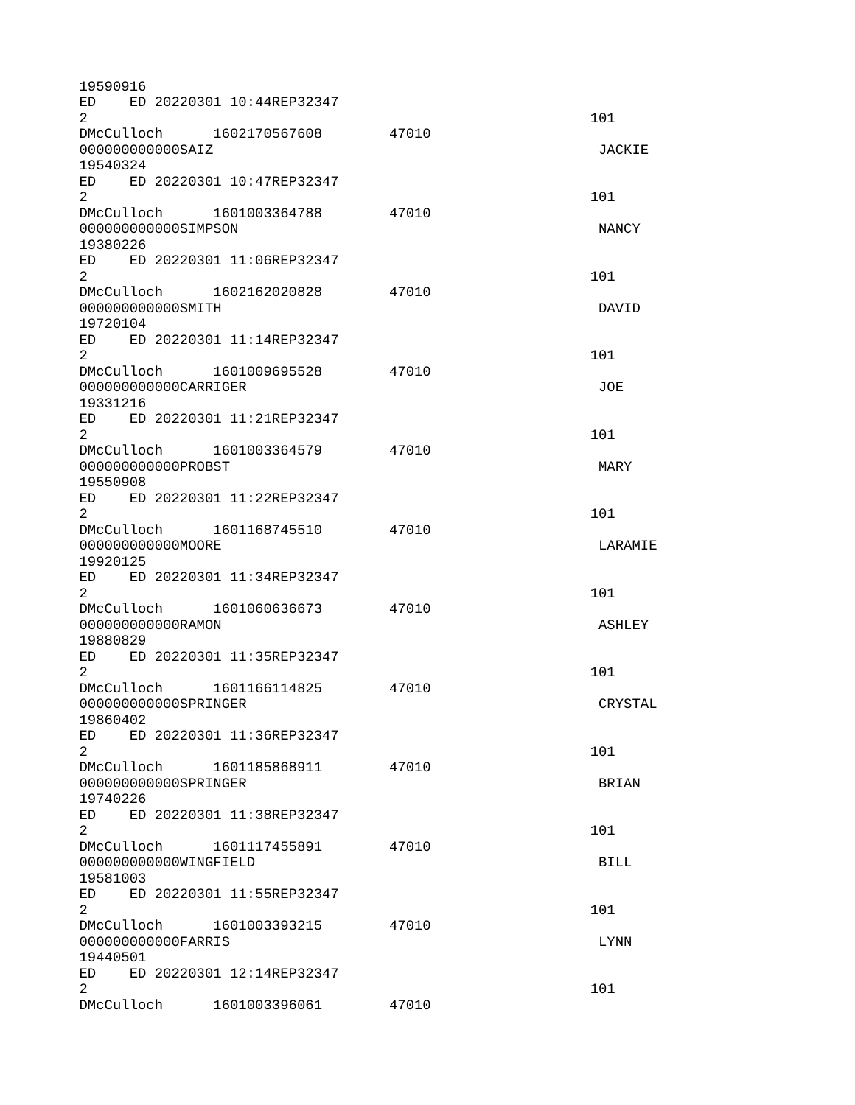| 19590916                                                                                                                                                                                                                       |                              |       |               |
|--------------------------------------------------------------------------------------------------------------------------------------------------------------------------------------------------------------------------------|------------------------------|-------|---------------|
| ED.<br>$\overline{2}$                                                                                                                                                                                                          | ED 20220301 10:44REP32347    |       | 101           |
|                                                                                                                                                                                                                                | DMcCulloch 1602170567608     | 47010 |               |
| 000000000000SAIZ                                                                                                                                                                                                               |                              |       | <b>JACKIE</b> |
| 19540324                                                                                                                                                                                                                       | ED ED 20220301 10:47REP32347 |       |               |
| $\overline{2}$                                                                                                                                                                                                                 | DMcCulloch 1601003364788     | 47010 | 101           |
| 000000000000SIMPSON<br>19380226                                                                                                                                                                                                |                              |       | NANCY         |
| $2^{\circ}$                                                                                                                                                                                                                    | ED ED 20220301 11:06REP32347 |       | 101           |
| DMcCulloch 1602162020828                                                                                                                                                                                                       |                              | 47010 |               |
| 00000000000SMITH<br>19720104                                                                                                                                                                                                   |                              |       | DAVID         |
| ED.<br>2                                                                                                                                                                                                                       | ED 20220301 11:14REP32347    |       | 101           |
|                                                                                                                                                                                                                                | DMcCulloch 1601009695528     | 47010 |               |
| 000000000000CARRIGER                                                                                                                                                                                                           |                              |       | JOE           |
| 19331216                                                                                                                                                                                                                       | ED ED 20220301 11:21REP32347 |       |               |
| $\overline{2}$                                                                                                                                                                                                                 |                              |       | 101           |
|                                                                                                                                                                                                                                | DMcCulloch 1601003364579     | 47010 |               |
| 000000000000PR0BST<br>19550908                                                                                                                                                                                                 |                              |       | <b>MARY</b>   |
|                                                                                                                                                                                                                                | ED ED 20220301 11:22REP32347 |       |               |
| $\overline{2}$                                                                                                                                                                                                                 |                              |       | 101           |
| 00000000000M00RE                                                                                                                                                                                                               | DMcCulloch 1601168745510     | 47010 | LARAMIE       |
| 19920125                                                                                                                                                                                                                       |                              |       |               |
| $\overline{2}$                                                                                                                                                                                                                 | ED ED 20220301 11:34REP32347 |       | 101           |
|                                                                                                                                                                                                                                | DMcCulloch 1601060636673     | 47010 |               |
| 00000000000RAMON                                                                                                                                                                                                               |                              |       | <b>ASHLEY</b> |
| 19880829                                                                                                                                                                                                                       | ED 20220301 11:35REP32347    |       |               |
| ED<br>$\overline{2}$                                                                                                                                                                                                           |                              |       | 101           |
| DMcCulloch 1601166114825                                                                                                                                                                                                       |                              | 47010 |               |
| 000000000000SPRINGER                                                                                                                                                                                                           |                              |       | CRYSTAL       |
| 19860402<br>ED                                                                                                                                                                                                                 | ED 20220301 11:36REP32347    |       |               |
| $\overline{2}$                                                                                                                                                                                                                 |                              |       | 101           |
| DMcCulloch                                                                                                                                                                                                                     | 1601185868911                | 47010 |               |
| 000000000000SPRINGER<br>19740226                                                                                                                                                                                               |                              |       | <b>BRIAN</b>  |
| ED                                                                                                                                                                                                                             | ED 20220301 11:38REP32347    |       |               |
| $\overline{2}$                                                                                                                                                                                                                 |                              |       | 101           |
| DMcCulloch                                                                                                                                                                                                                     | 1601117455891                | 47010 |               |
| 000000000000WINGFIELD<br>19581003                                                                                                                                                                                              |                              |       | <b>BILL</b>   |
| ED and the set of the set of the set of the set of the set of the set of the set of the set of the set of the set of the set of the set of the set of the set of the set of the set of the set of the set of the set of the se | ED 20220301 11:55REP32347    |       |               |
| $\overline{2}$                                                                                                                                                                                                                 |                              |       | 101           |
| DMcCulloch                                                                                                                                                                                                                     | 1601003393215                | 47010 |               |
| 00000000000FARRIS<br>19440501                                                                                                                                                                                                  |                              |       | <b>LYNN</b>   |
| ED and the set of the set of the set of the set of the set of the set of the set of the set of the set of the set of the set of the set of the set of the set of the set of the set of the set of the set of the set of the se | ED 20220301 12:14REP32347    |       |               |
| $\overline{2}$                                                                                                                                                                                                                 |                              |       | 101           |
|                                                                                                                                                                                                                                | DMcCulloch 1601003396061     | 47010 |               |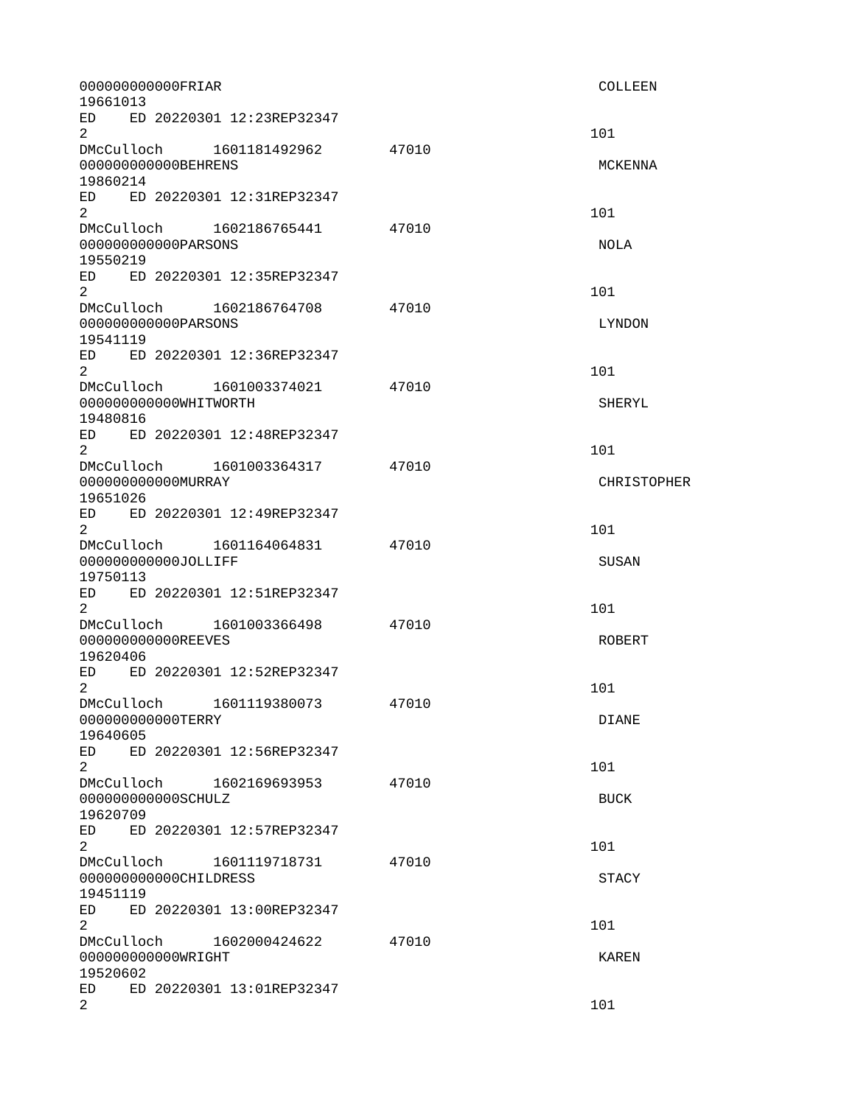|                                                                                                                                                                                                                                                  | 00000000000FRIAR                    |                              |       | <b>COLLEEN</b>     |
|--------------------------------------------------------------------------------------------------------------------------------------------------------------------------------------------------------------------------------------------------|-------------------------------------|------------------------------|-------|--------------------|
| 19661013<br>$\overline{2}$                                                                                                                                                                                                                       |                                     | ED ED 20220301 12:23REP32347 |       | 101                |
|                                                                                                                                                                                                                                                  |                                     | DMcCulloch 1601181492962     | 47010 |                    |
| 19860214                                                                                                                                                                                                                                         | 000000000000BEHRENS                 |                              |       | <b>MCKENNA</b>     |
| $\overline{2}$                                                                                                                                                                                                                                   |                                     | ED ED 20220301 12:31REP32347 |       | 101                |
| 19550219                                                                                                                                                                                                                                         | 000000000000PARSONS                 | DMcCulloch 1602186765441     | 47010 | NOLA               |
| $2^{\circ}$                                                                                                                                                                                                                                      |                                     | ED ED 20220301 12:35REP32347 |       | 101                |
| 19541119                                                                                                                                                                                                                                         | 000000000000PARSONS                 | DMcCulloch 1602186764708     | 47010 | LYNDON             |
| ED<br>$\overline{2}$                                                                                                                                                                                                                             |                                     | ED 20220301 12:36REP32347    |       | 101                |
| 19480816                                                                                                                                                                                                                                         | 000000000000WHITWORTH               |                              | 47010 | <b>SHERYL</b>      |
| $\overline{2}$                                                                                                                                                                                                                                   |                                     | ED ED 20220301 12:48REP32347 |       | 101                |
| 19651026                                                                                                                                                                                                                                         | 000000000000MURRAY                  |                              | 47010 | <b>CHRISTOPHER</b> |
| $\overline{2}$                                                                                                                                                                                                                                   |                                     | ED ED 20220301 12:49REP32347 |       | 101                |
| 19750113                                                                                                                                                                                                                                         | 000000000000JOLLIFF                 |                              | 47010 | <b>SUSAN</b>       |
| $\overline{2}$                                                                                                                                                                                                                                   |                                     | ED ED 20220301 12:51REP32347 |       | 101                |
| 19620406                                                                                                                                                                                                                                         | DMcCulloch<br>000000000000REEVES    | 1601003366498                | 47010 | <b>ROBERT</b>      |
| ED<br>$\overline{2}$                                                                                                                                                                                                                             |                                     | ED 20220301 12:52REP32347    |       | 101                |
| 19640605                                                                                                                                                                                                                                         | 000000000000TERRY                   | DMcCulloch 1601119380073     | 47010 | <b>DIANE</b>       |
| ED<br>$\overline{2}$                                                                                                                                                                                                                             |                                     | ED 20220301 12:56REP32347    |       | 101                |
| 19620709                                                                                                                                                                                                                                         | 000000000000SCHULZ                  | DMcCulloch 1602169693953     | 47010 | <b>BUCK</b>        |
| ED<br>$\overline{2}$                                                                                                                                                                                                                             |                                     | ED 20220301 12:57REP32347    |       | 101                |
| 19451119                                                                                                                                                                                                                                         | DMcCulloch<br>000000000000CHILDRESS | 1601119718731                | 47010 | <b>STACY</b>       |
| ED and the set of the set of the set of the set of the set of the set of the set of the set of the set of the set of the set of the set of the set of the set of the set of the set of the set of the set of the set of the se<br>$\overline{2}$ |                                     | ED 20220301 13:00REP32347    |       | 101                |
| 19520602                                                                                                                                                                                                                                         | 000000000000WRIGHT                  | DMcCulloch 1602000424622     | 47010 | KAREN              |
| ED<br>$\overline{2}$                                                                                                                                                                                                                             |                                     | ED 20220301 13:01REP32347    |       | 101                |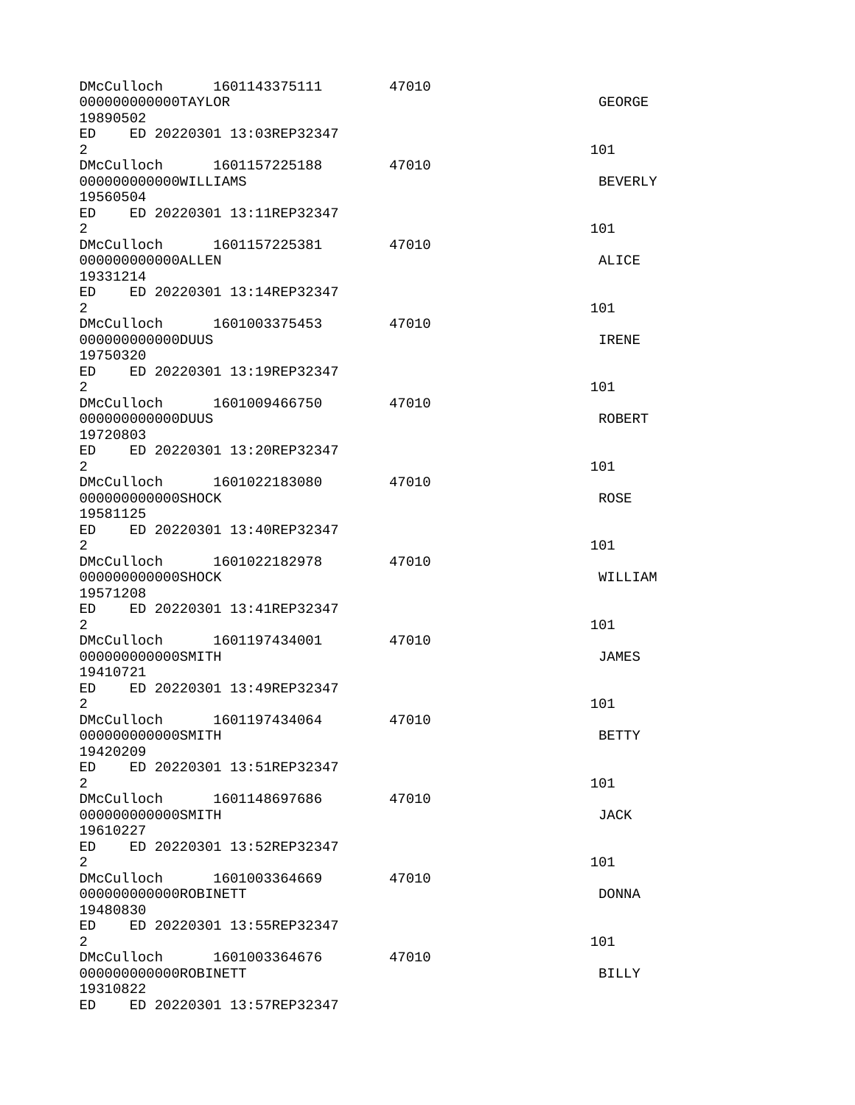| DMcCulloch<br>000000000000TAYLOR<br>19890502                                                                                                                                                                                                     | 1601143375111                | 47010 | <b>GEORGE</b>  |
|--------------------------------------------------------------------------------------------------------------------------------------------------------------------------------------------------------------------------------------------------|------------------------------|-------|----------------|
| $\overline{2}$                                                                                                                                                                                                                                   | ED ED 20220301 13:03REP32347 |       | 101            |
| DMcCulloch 1601157225188<br>000000000000WILLIAMS<br>19560504                                                                                                                                                                                     |                              | 47010 | <b>BEVERLY</b> |
| ED<br>$\overline{2}$                                                                                                                                                                                                                             | ED 20220301 13:11REP32347    |       | 101            |
| 00000000000ALLEN<br>19331214                                                                                                                                                                                                                     | DMcCulloch 1601157225381     | 47010 | ALICE          |
| ED<br>$\overline{2}$                                                                                                                                                                                                                             | ED 20220301 13:14REP32347    |       | 101            |
| DMcCulloch 1601003375453<br>000000000000DUUS<br>19750320                                                                                                                                                                                         |                              | 47010 | <b>IRENE</b>   |
| ED<br>$\overline{2}$                                                                                                                                                                                                                             | ED 20220301 13:19REP32347    |       | 101            |
| DMcCulloch 1601009466750<br>000000000000DUUS<br>19720803                                                                                                                                                                                         |                              | 47010 | <b>ROBERT</b>  |
| ED<br>$\overline{2}$                                                                                                                                                                                                                             | ED 20220301 13:20REP32347    |       | 101            |
| DMcCulloch 1601022183080<br>000000000000SHOCK<br>19581125                                                                                                                                                                                        |                              | 47010 | <b>ROSE</b>    |
| $\overline{2}$                                                                                                                                                                                                                                   | ED ED 20220301 13:40REP32347 |       | 101            |
| DMcCulloch 1601022182978<br>000000000000SHOCK<br>19571208                                                                                                                                                                                        |                              | 47010 | WILLIAM        |
| ED<br>$\overline{2}$                                                                                                                                                                                                                             | ED 20220301 13:41REP32347    |       | 101            |
| DMcCulloch 1601197434001<br>000000000000SMITH<br>19410721                                                                                                                                                                                        |                              | 47010 | <b>JAMES</b>   |
| ED<br>$\overline{2}$                                                                                                                                                                                                                             | ED 20220301 13:49REP32347    |       | 101            |
| DMcCulloch<br>00000000000SMITH<br>19420209                                                                                                                                                                                                       | 1601197434064                | 47010 | <b>BETTY</b>   |
| ED<br>2                                                                                                                                                                                                                                          | ED 20220301 13:51REP32347    |       | 101            |
| DMcCulloch 1601148697686<br>00000000000SMITH<br>19610227                                                                                                                                                                                         |                              | 47010 | <b>JACK</b>    |
| ED <sub>11</sub><br>$\overline{2}$                                                                                                                                                                                                               | ED 20220301 13:52REP32347    |       | 101            |
| DMcCulloch<br>000000000000R0BINETT<br>19480830                                                                                                                                                                                                   | 1601003364669                | 47010 | <b>DONNA</b>   |
| ED and the set of the set of the set of the set of the set of the set of the set of the set of the set of the set of the set of the set of the set of the set of the set of the set of the set of the set of the set of the se<br>$\overline{2}$ | ED 20220301 13:55REP32347    |       | 101            |
| DMcCulloch<br>00000000000R0BINETT<br>19310822                                                                                                                                                                                                    | 1601003364676                | 47010 | <b>BILLY</b>   |
| ED and the set of the set of the set of the set of the set of the set of the set of the set of the set of the set of the set of the set of the set of the set of the set of the set of the set of the set of the set of the se                   | ED 20220301 13:57REP32347    |       |                |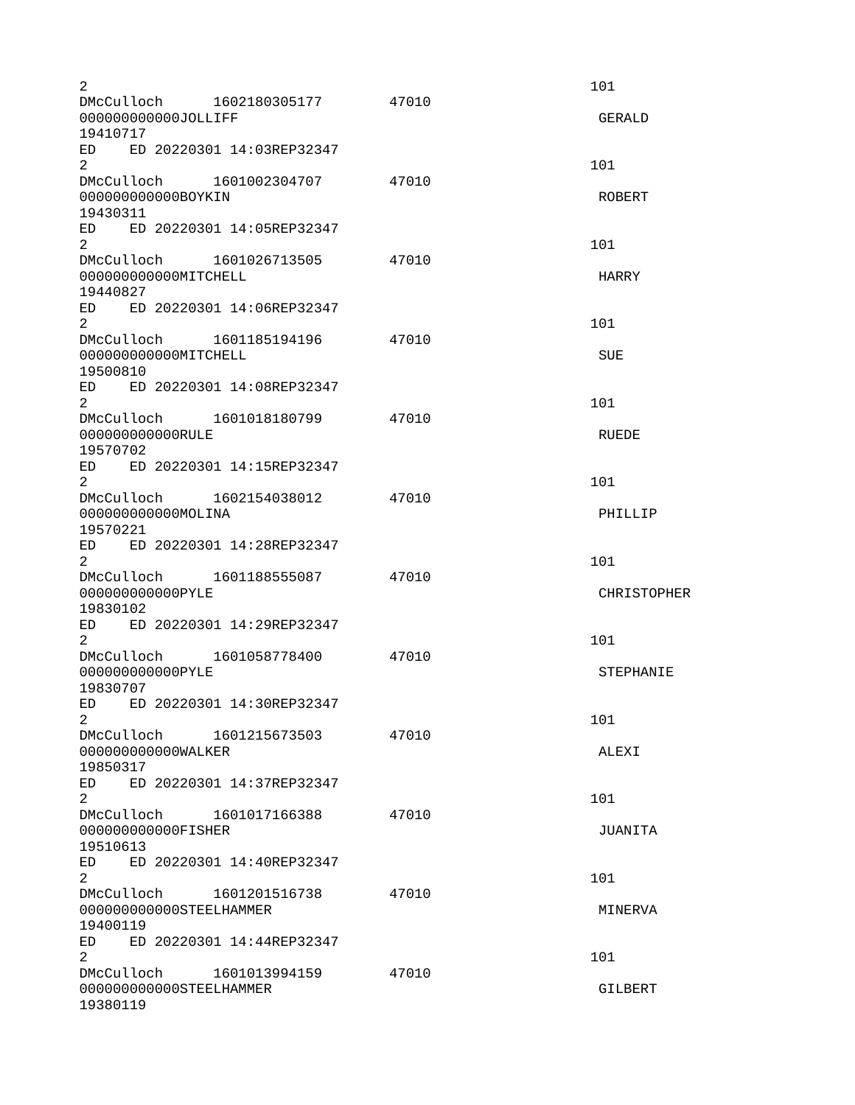| $\overline{c}$                                                                                                                                                                                                                                               |                                            |       | 101              |
|--------------------------------------------------------------------------------------------------------------------------------------------------------------------------------------------------------------------------------------------------------------|--------------------------------------------|-------|------------------|
| 000000000000JOLLIFF<br>19410717                                                                                                                                                                                                                              | DMcCulloch  1602180305177                  | 47010 | GERALD           |
|                                                                                                                                                                                                                                                              | ED ED 20220301 14:03REP32347               |       |                  |
| $\overline{2}$                                                                                                                                                                                                                                               | DMcCulloch 1601002304707                   | 47010 | 101              |
| 000000000000B0YKIN<br>19430311                                                                                                                                                                                                                               |                                            |       | ROBERT           |
| $2^{\circ}$                                                                                                                                                                                                                                                  | ED ED 20220301 14:05REP32347               |       | 101              |
| 000000000000MITCHELL<br>19440827                                                                                                                                                                                                                             |                                            | 47010 | <b>HARRY</b>     |
| $\overline{2}$                                                                                                                                                                                                                                               | ED ED 20220301 14:06REP32347               |       | 101              |
| 000000000000MITCHELL                                                                                                                                                                                                                                         | DMcCulloch  1601185194196  47010           |       | <b>SUE</b>       |
| 19500810<br>ED and the set of the set of the set of the set of the set of the set of the set of the set of the set of the set of the set of the set of the set of the set of the set of the set of the set of the set of the set of the se<br>$\overline{2}$ | ED 20220301 14:08REP32347                  |       | 101              |
| 00000000000RULE                                                                                                                                                                                                                                              | DMcCulloch 1601018180799                   | 47010 | <b>RUEDE</b>     |
| 19570702<br>2                                                                                                                                                                                                                                                | ED ED 20220301 14:15REP32347               |       | 101              |
| 000000000000MOLINA<br>19570221                                                                                                                                                                                                                               |                                            | 47010 | PHILLIP          |
| $\overline{2}$                                                                                                                                                                                                                                               | ED ED 20220301 14:28REP32347               |       | 101              |
| DMcCulloch<br>00000000000PYLE<br>19830102                                                                                                                                                                                                                    | 1601188555087                              | 47010 | CHRISTOPHER      |
| 2                                                                                                                                                                                                                                                            | ED ED 20220301 14:29REP32347               |       | 101              |
| 00000000000PYLE<br>19830707                                                                                                                                                                                                                                  | DMcCulloch 1601058778400                   | 47010 | <b>STEPHANIE</b> |
| $\overline{2}$                                                                                                                                                                                                                                               | ED ED 20220301 14:30REP32347               |       | 101              |
| DMcCulloch<br>000000000000WALKER<br>19850317                                                                                                                                                                                                                 | 1601215673503                              | 47010 | <b>ALEXI</b>     |
| ED<br>2                                                                                                                                                                                                                                                      | ED 20220301 14:37REP32347                  |       | 101              |
| DMcCulloch<br>00000000000FISHER<br>19510613<br>ED                                                                                                                                                                                                            | 1601017166388<br>ED 20220301 14:40REP32347 | 47010 | JUANITA          |
| $\overline{2}$<br>DMcCulloch                                                                                                                                                                                                                                 | 1601201516738                              | 47010 | 101              |
| 000000000000STEELHAMMER<br>19400119<br>ED                                                                                                                                                                                                                    | ED 20220301 14:44REP32347                  |       | MINERVA          |
| $\overline{2}$<br>DMcCulloch                                                                                                                                                                                                                                 | 1601013994159                              | 47010 | 101              |
| 000000000000STEELHAMMER<br>19380119                                                                                                                                                                                                                          |                                            |       | GILBERT          |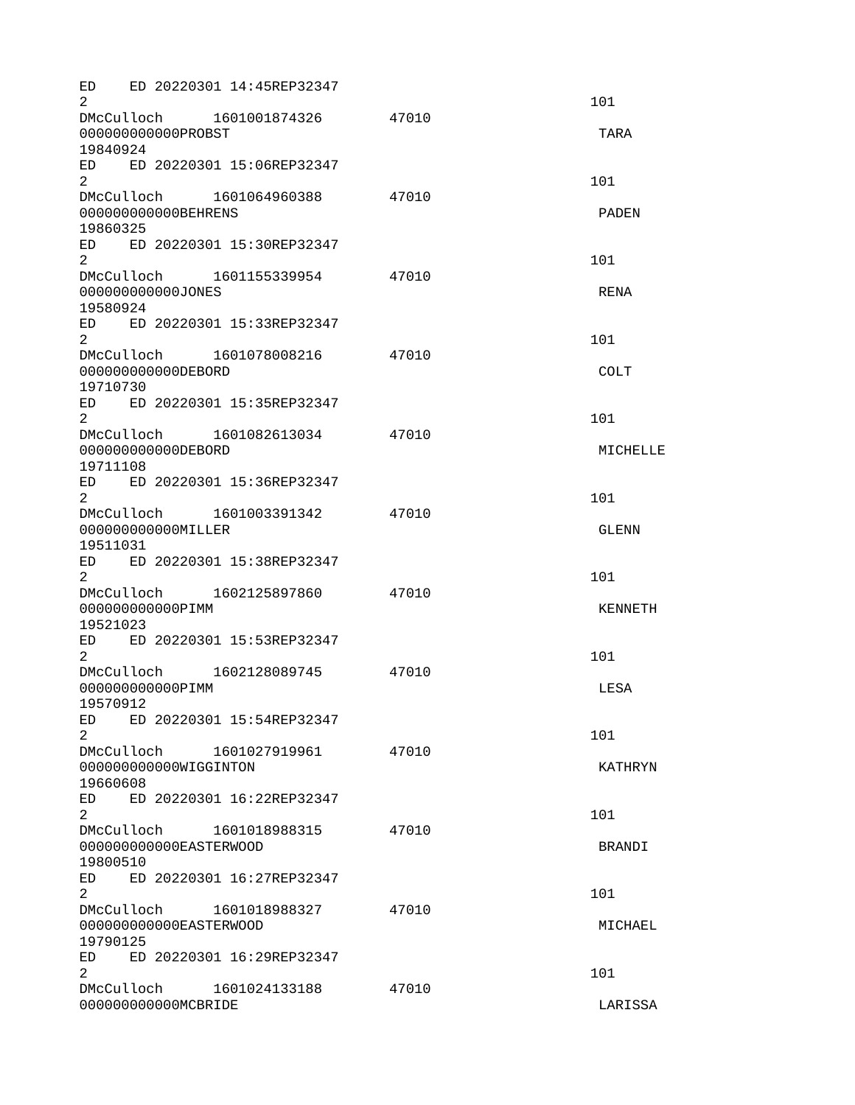| ED.<br>2                                      |                        | ED 20220301 14:45REP32347    |       | 101            |
|-----------------------------------------------|------------------------|------------------------------|-------|----------------|
|                                               | 000000000000PR0BST     | DMcCulloch 1601001874326     | 47010 | <b>TARA</b>    |
| 19840924                                      |                        | ED ED 20220301 15:06REP32347 |       |                |
| $\overline{2}$                                |                        | DMcCulloch 1601064960388     | 47010 | 101            |
| 19860325                                      | 000000000000BEHRENS    |                              |       | <b>PADEN</b>   |
| $\overline{2}$                                |                        | ED ED 20220301 15:30REP32347 |       | 101            |
| 19580924                                      | 000000000000JONES      | DMcCulloch 1601155339954     | 47010 | <b>RENA</b>    |
| ED<br>2                                       |                        | ED 20220301 15:33REP32347    |       | 101            |
| 19710730                                      | 000000000000DEB0RD     | DMcCulloch 1601078008216     | 47010 | <b>COLT</b>    |
| $\overline{2}$                                |                        | ED ED 20220301 15:35REP32347 |       | 101            |
| 19711108                                      | 000000000000DEB0RD     | DMcCulloch 1601082613034     | 47010 | MICHELLE       |
| $\overline{2}$                                |                        | ED ED 20220301 15:36REP32347 |       | 101            |
| 19511031                                      | 000000000000MILLER     | DMcCulloch 1601003391342     | 47010 | GLENN          |
| $\overline{2}$                                |                        | ED ED 20220301 15:38REP32347 |       | 101            |
| 00000000000PIMM                               |                        | DMcCulloch 1602125897860     | 47010 | <b>KENNETH</b> |
| 19521023<br>ED<br>$\overline{2}$              |                        | ED 20220301 15:53REP32347    |       | 101            |
| 00000000000PIMM                               |                        | DMcCulloch 1602128089745     | 47010 | <b>LESA</b>    |
| 19570912<br>ED<br>$\overline{2}$              |                        | ED 20220301 15:54REP32347    |       | 101            |
| DMcCulloch<br>19660608                        | 000000000000WIGGINTON  | 1601027919961                | 47010 | <b>KATHRYN</b> |
| ED<br>$\overline{2}$                          |                        | ED 20220301 16:22REP32347    |       | 101            |
| 19800510                                      | 000000000000EASTERWOOD | DMcCulloch 1601018988315     | 47010 | <b>BRANDI</b>  |
| $\overline{2}$                                |                        | ED ED 20220301 16:27REP32347 |       | 101            |
| DMcCulloch                                    | 000000000000EASTERWOOD | 1601018988327                | 47010 | MICHAEL        |
| 19790125<br>ED <sub>2</sub><br>$\overline{2}$ |                        | ED 20220301 16:29REP32347    |       | 101            |
|                                               | 000000000000MCBRIDE    | DMcCulloch 1601024133188     | 47010 | LARISSA        |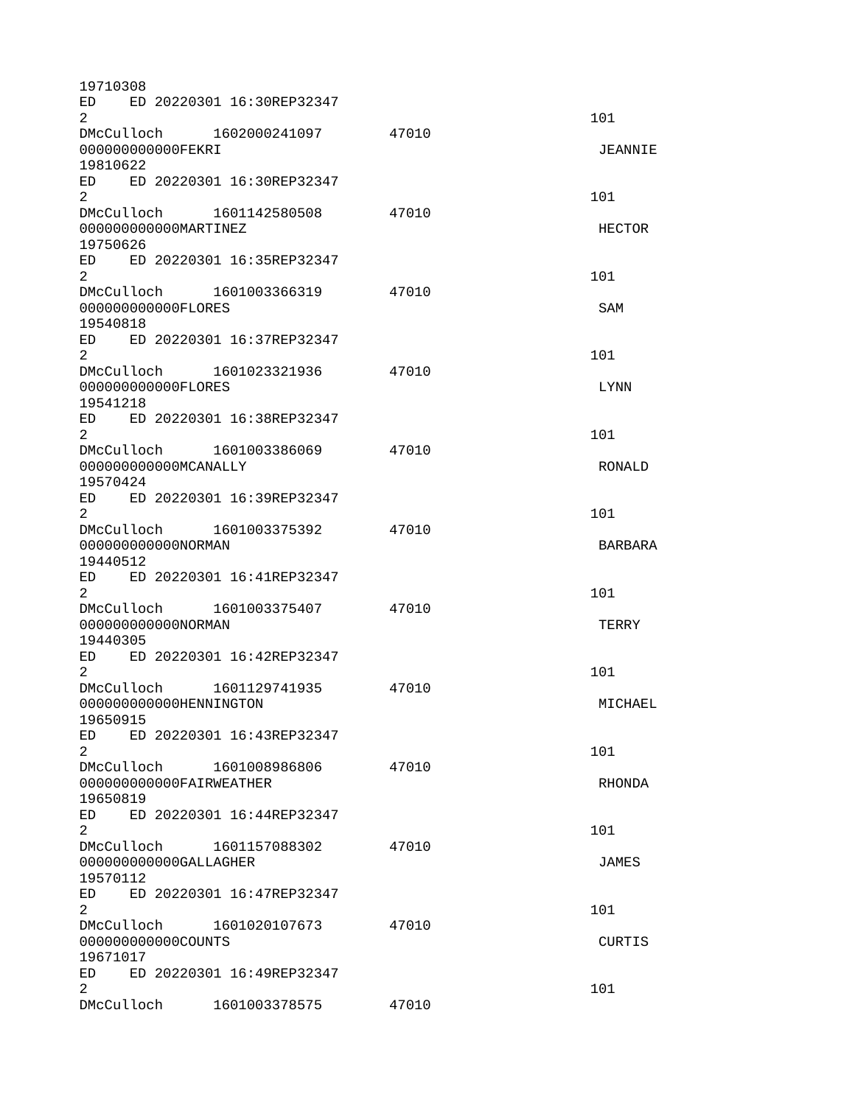| 19710308               |                              |       |                |
|------------------------|------------------------------|-------|----------------|
| ED.                    | ED 20220301 16:30REP32347    |       |                |
| 2                      |                              |       | 101            |
|                        | DMcCulloch 1602000241097     | 47010 |                |
| 00000000000FEKRI       |                              |       | <b>JEANNIE</b> |
| 19810622               |                              |       |                |
|                        | ED ED 20220301 16:30REP32347 |       |                |
| 2                      |                              |       | 101            |
| DMcCulloch             | 1601142580508                | 47010 |                |
| 000000000000MARTINEZ   |                              |       | <b>HECTOR</b>  |
| 19750626               |                              |       |                |
|                        | ED ED 20220301 16:35REP32347 |       |                |
| $\overline{2}$         |                              |       | 101            |
|                        | DMcCulloch 1601003366319     | 47010 |                |
| 000000000000FL0RES     |                              |       | <b>SAM</b>     |
| 19540818               |                              |       |                |
| ED.                    | ED 20220301 16:37REP32347    |       |                |
| 2                      |                              |       | 101            |
|                        | DMcCulloch 1601023321936     | 47010 |                |
| 00000000000FL0RES      |                              |       | <b>LYNN</b>    |
| 19541218               |                              |       |                |
|                        | ED ED 20220301 16:38REP32347 |       |                |
| $\overline{2}$         |                              |       | 101            |
|                        | DMcCulloch 1601003386069     | 47010 |                |
| 000000000000MCANALLY   |                              |       | RONALD         |
| 19570424               |                              |       |                |
|                        | ED ED 20220301 16:39REP32347 |       |                |
| $\overline{2}$         |                              |       | 101            |
|                        | DMcCulloch 1601003375392     | 47010 |                |
| 0000000000000RMAN      |                              |       | BARBARA        |
| 19440512               |                              |       |                |
|                        | ED ED 20220301 16:41REP32347 |       |                |
| $\overline{2}$         |                              |       | 101            |
|                        | DMcCulloch 1601003375407     | 47010 |                |
| 000000000000NORMAN     |                              |       | <b>TERRY</b>   |
| 19440305               |                              |       |                |
| ED                     | ED 20220301 16:42REP32347    |       |                |
| $\overline{2}$         |                              |       | 101            |
|                        | DMcCulloch 1601129741935     | 47010 |                |
| 000000000000HENNINGTON |                              |       | MICHAEL        |
| 19650915               |                              |       |                |
| ED                     | ED 20220301 16:43REP32347    |       |                |
| $\overline{2}$         |                              |       | 101            |
| DMcCulloch             | 1601008986806                | 47010 |                |
| 00000000000FAIRWEATHER |                              |       | RHONDA         |
| 19650819               |                              |       |                |
| ED                     | ED 20220301 16:44REP32347    |       |                |
| $\overline{2}$         |                              |       | 101            |
| DMcCulloch             | 1601157088302                | 47010 |                |
| 000000000000GALLAGHER  |                              |       | <b>JAMES</b>   |
| 19570112               |                              |       |                |
| ED.                    | ED 20220301 16:47REP32347    |       |                |
| $\overline{2}$         |                              |       | 101            |
| DMcCulloch             | 1601020107673                | 47010 |                |
| 000000000000C0UNTS     |                              |       | <b>CURTIS</b>  |
| 19671017               |                              |       |                |
| ED                     | ED 20220301 16:49REP32347    |       |                |
| $\overline{2}$         |                              |       | 101            |
| DMcCulloch             | 1601003378575                | 47010 |                |
|                        |                              |       |                |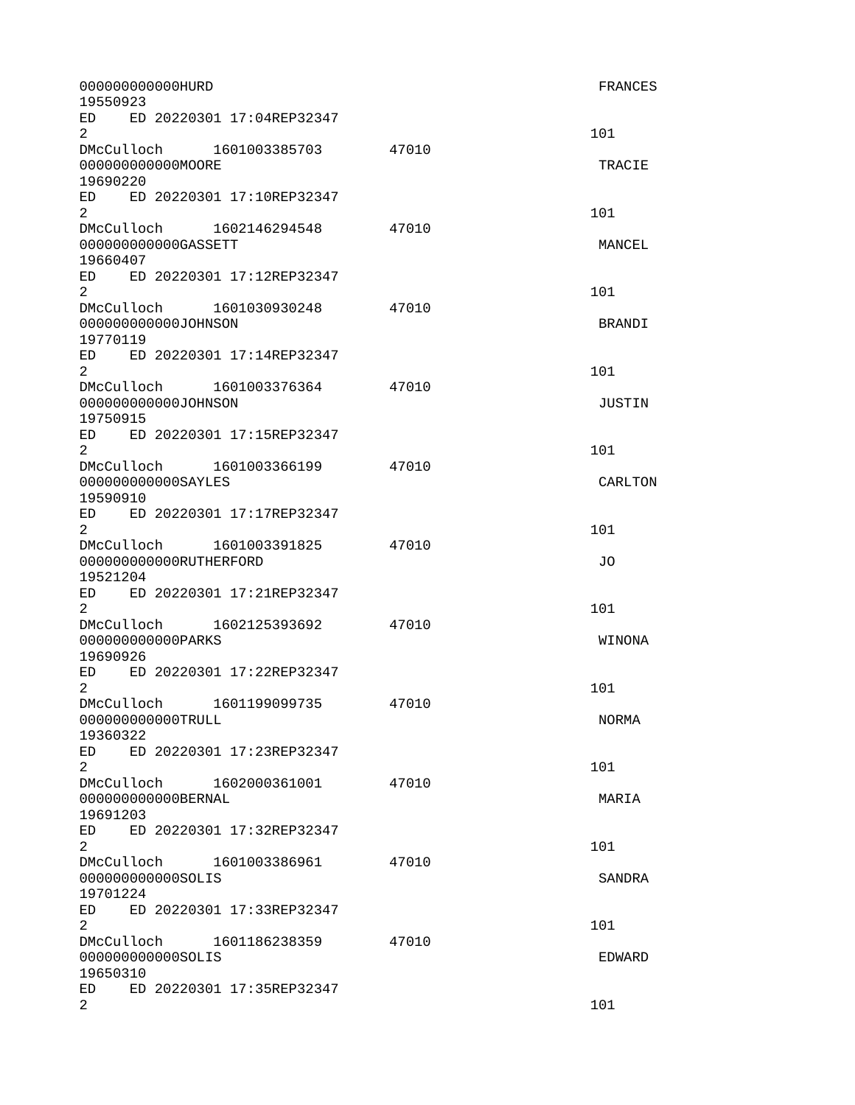| 000000000000HURD<br>19550923                                                                                                                                                                                                                                                  | <b>FRANCES</b> |
|-------------------------------------------------------------------------------------------------------------------------------------------------------------------------------------------------------------------------------------------------------------------------------|----------------|
| ED 20220301 17:04REP32347<br>ED and the set of the set of the set of the set of the set of the set of the set of the set of the set of the set of the set of the set of the set of the set of the set of the set of the set of the set of the set of the se<br>$\overline{2}$ | 101            |
| DMcCulloch 1601003385703 47010<br>000000000000MOORE<br>19690220                                                                                                                                                                                                               | <b>TRACIE</b>  |
| ED ED 20220301 17:10REP32347<br>2                                                                                                                                                                                                                                             | 101            |
| DMcCulloch 1602146294548<br>47010<br>000000000000GASSETT<br>19660407                                                                                                                                                                                                          | MANCEL         |
| ED ED 20220301 17:12REP32347<br>$\overline{2}$                                                                                                                                                                                                                                | 101            |
| DMcCulloch 1601030930248<br>47010<br>000000000000J0HNSON<br>19770119                                                                                                                                                                                                          | <b>BRANDI</b>  |
| ED ED 20220301 17:14REP32347<br>2                                                                                                                                                                                                                                             | 101            |
| DMcCulloch 1601003376364<br>47010<br>000000000000J0HNSON<br>19750915                                                                                                                                                                                                          | JUSTIN         |
| ED ED 20220301 17:15REP32347<br>$\overline{2}$                                                                                                                                                                                                                                | 101            |
| DMcCulloch 1601003366199<br>47010<br>000000000000SAYLES<br>19590910                                                                                                                                                                                                           | CARLTON        |
| ED ED 20220301 17:17REP32347<br>$\overline{2}$                                                                                                                                                                                                                                | 101            |
| 47010<br>000000000000RUTHERFORD<br>19521204                                                                                                                                                                                                                                   | J0             |
| ED ED 20220301 17:21REP32347<br>$\overline{2}$                                                                                                                                                                                                                                | 101            |
| DMcCulloch 1602125393692<br>47010<br>00000000000PARKS<br>19690926                                                                                                                                                                                                             | WINONA         |
| ED<br>ED 20220301 17:22REP32347<br>2                                                                                                                                                                                                                                          | 101            |
| DMcCulloch 1601199099735<br>47010<br>000000000000TRULL<br>19360322                                                                                                                                                                                                            | <b>NORMA</b>   |
| ED 20220301 17:23REP32347<br>ED and the set of the set of the set of the set of the set of the set of the set of the set of the set of the set of the set of the set of the set of the set of the set of the set of the set of the set of the set of the se<br>$\overline{2}$ | 101            |
| DMcCulloch<br>47010<br>1602000361001<br>000000000000BERNAL<br>19691203                                                                                                                                                                                                        | MARIA          |
| ED<br>ED 20220301 17:32REP32347<br>2                                                                                                                                                                                                                                          | 101            |
| DMcCulloch 1601003386961<br>47010<br>000000000000SOLIS<br>19701224                                                                                                                                                                                                            | <b>SANDRA</b>  |
| ED and the set of the set of the set of the set of the set of the set of the set of the set of the set of the set of the set of the set of the set of the set of the set of the set of the set of the set of the set of the se<br>ED 20220301 17:33REP32347<br>2              | 101            |
| DMcCulloch<br>47010<br>1601186238359<br>000000000000SOLIS<br>19650310                                                                                                                                                                                                         | EDWARD         |
| ED<br>ED 20220301 17:35REP32347<br>$\overline{2}$                                                                                                                                                                                                                             | 101            |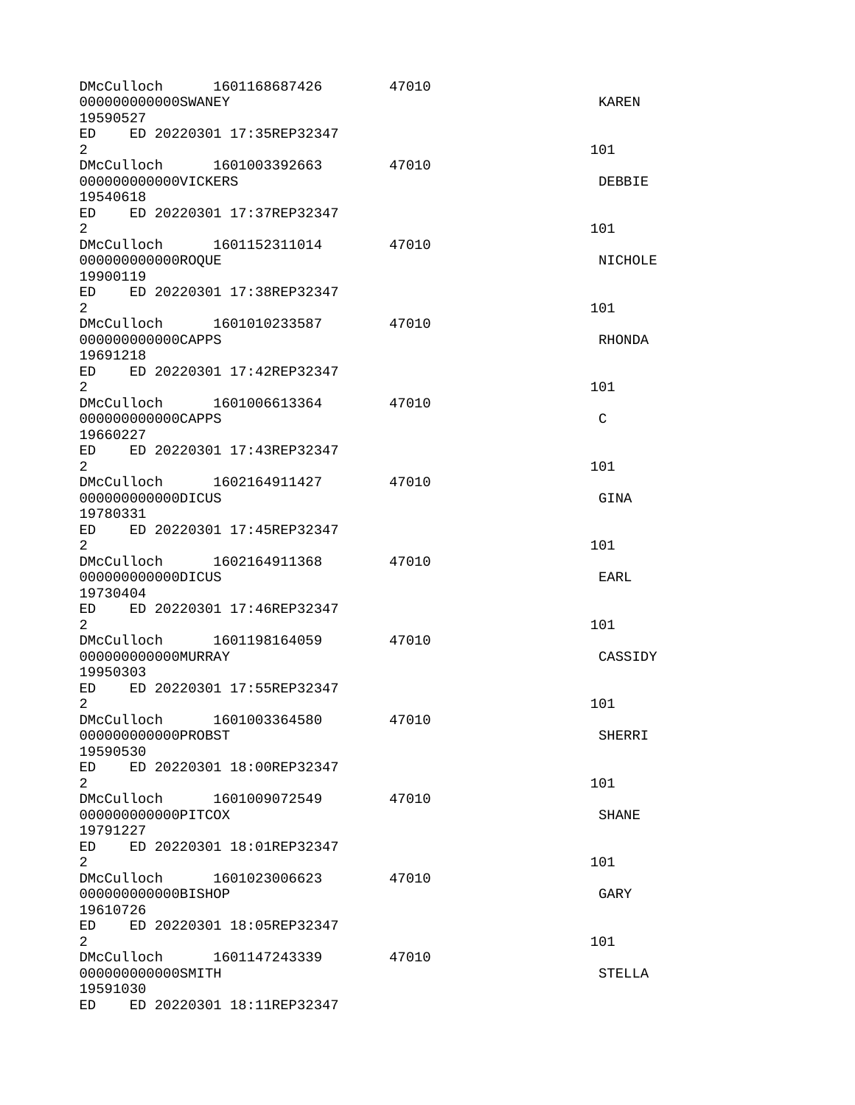| DMcCulloch<br>1601168687426<br>000000000000SWANEY<br>19590527                                                                                                                                                                                                                 | 47010 | KAREN         |
|-------------------------------------------------------------------------------------------------------------------------------------------------------------------------------------------------------------------------------------------------------------------------------|-------|---------------|
| ED ED 20220301 17:35REP32347<br>$\overline{2}$                                                                                                                                                                                                                                |       | 101           |
| DMcCulloch 1601003392663<br>000000000000VICKERS<br>19540618                                                                                                                                                                                                                   | 47010 | DEBBIE        |
| ED 20220301 17:37REP32347<br>ED and the set of the set of the set of the set of the set of the set of the set of the set of the set of the set of the set of the set of the set of the set of the set of the set of the set of the set of the set of the se<br>$\overline{2}$ |       | 101           |
| DMcCulloch 1601152311014<br>00000000000R0QUE<br>19900119                                                                                                                                                                                                                      | 47010 | NICHOLE       |
| ED ED 20220301 17:38REP32347<br>$2^{\circ}$                                                                                                                                                                                                                                   |       | 101           |
| DMcCulloch 1601010233587<br>00000000000CAPPS<br>19691218                                                                                                                                                                                                                      | 47010 | <b>RHONDA</b> |
| ED<br>ED 20220301 17:42REP32347<br>$\overline{2}$                                                                                                                                                                                                                             |       | 101           |
| DMcCulloch 1601006613364<br>000000000000CAPPS<br>19660227                                                                                                                                                                                                                     | 47010 | C             |
| ED ED 20220301 17:43REP32347<br>$\overline{2}$                                                                                                                                                                                                                                |       | 101           |
| DMcCulloch 1602164911427<br>00000000000DICUS<br>19780331                                                                                                                                                                                                                      | 47010 | GINA          |
| ED and the set of the set of the set of the set of the set of the set of the set of the set of the set of the set of the set of the set of the set of the set of the set of the set of the set of the set of the set of the se<br>ED 20220301 17:45REP32347<br>$\overline{2}$ |       | 101           |
| DMcCulloch 1602164911368<br>000000000000DICUS<br>19730404                                                                                                                                                                                                                     | 47010 | EARL          |
| ED.<br>ED 20220301 17:46REP32347<br>$\overline{2}$                                                                                                                                                                                                                            |       | 101           |
| DMcCulloch 1601198164059<br>000000000000MURRAY<br>19950303                                                                                                                                                                                                                    | 47010 | CASSIDY       |
| ED 20220301 17:55REP32347<br>ED<br>$2^{\circ}$                                                                                                                                                                                                                                |       | 101           |
| DMcCulloch<br>1601003364580<br>00000000000PR0BST<br>19590530                                                                                                                                                                                                                  | 47010 | <b>SHERRI</b> |
| ED<br>ED 20220301 18:00REP32347<br>2                                                                                                                                                                                                                                          |       | 101           |
| DMcCulloch 1601009072549<br>00000000000PITC0X<br>19791227                                                                                                                                                                                                                     | 47010 | <b>SHANE</b>  |
| ED ED 20220301 18:01REP32347<br>$\overline{2}$                                                                                                                                                                                                                                |       | 101           |
| DMcCulloch<br>1601023006623<br>000000000000BISHOP<br>19610726                                                                                                                                                                                                                 | 47010 | GARY          |
| ED 20220301 18:05REP32347<br>ED and the set of the set of the set of the set of the set of the set of the set of the set of the set of the set of the set of the set of the set of the set of the set of the set of the set of the set of the set of the se<br>2              |       | 101           |
| DMcCulloch 1601147243339<br>000000000000SMITH<br>19591030                                                                                                                                                                                                                     | 47010 | <b>STELLA</b> |
| ED and the set of the set of the set of the set of the set of the set of the set of the set of the set of the set of the set of the set of the set of the set of the set of the set of the set of the set of the set of the se<br>ED 20220301 18:11REP32347                   |       |               |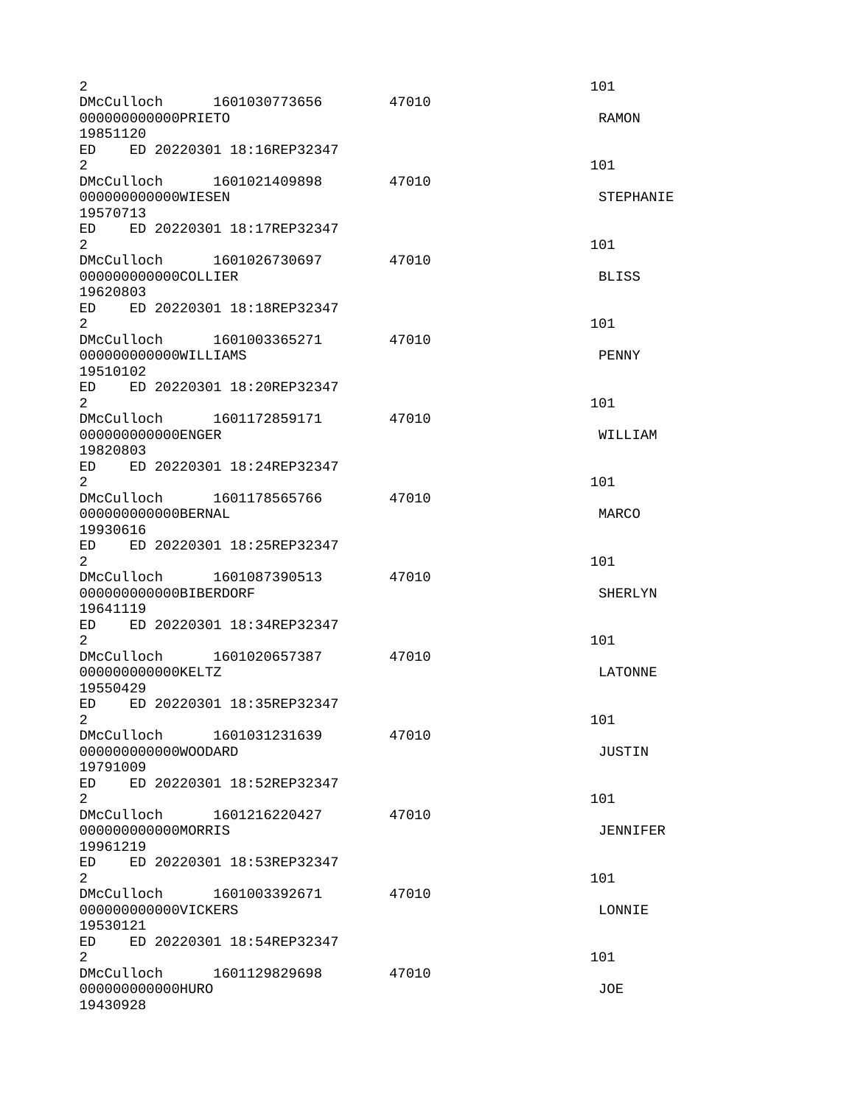| $\overline{c}$                                                                |       | 101              |
|-------------------------------------------------------------------------------|-------|------------------|
| DMcCulloch 1601030773656<br>000000000000PRIET0                                | 47010 | <b>RAMON</b>     |
| 19851120                                                                      |       |                  |
| ED ED 20220301 18:16REP32347<br>$\overline{2}$                                |       | 101              |
| DMcCulloch 1601021409898<br>000000000000WIESEN<br>19570713                    | 47010 | <b>STEPHANIE</b> |
| ED ED 20220301 18:17REP32347<br>$\overline{2}$                                |       | 101              |
| DMcCulloch 1601026730697<br>000000000000COLLIER                               | 47010 | <b>BLISS</b>     |
| 19620803<br>ED.<br>ED 20220301 18:18REP32347<br>2                             |       | 101              |
| DMcCulloch 1601003365271<br>000000000000WILLIAMS                              | 47010 | <b>PENNY</b>     |
| 19510102<br>ED.<br>ED 20220301 18:20REP32347                                  |       |                  |
| $\overline{2}$<br>DMcCulloch 1601172859171<br>00000000000ENGER                | 47010 | 101<br>WILLIAM   |
| 19820803<br>ED ED 20220301 18:24REP32347<br>$\overline{2}$                    |       | 101              |
| DMcCulloch 1601178565766<br>000000000000BERNAL<br>19930616                    | 47010 | <b>MARCO</b>     |
| ED ED 20220301 18:25REP32347<br>$\overline{2}$                                |       | 101              |
| DMcCulloch 1601087390513<br>000000000000BIBERDORF<br>19641119                 | 47010 | <b>SHERLYN</b>   |
| ED 20220301 18:34REP32347<br>ED<br>2                                          |       | 101              |
| DMcCulloch<br>1601020657387<br>00000000000KELTZ<br>19550429                   | 47010 | LATONNE          |
| ED ED 20220301 18:35REP32347<br>$\overline{c}$                                |       | 101              |
| DMcCulloch<br>1601031231639<br>000000000000W00DARD<br>19791009                | 47010 | <b>JUSTIN</b>    |
| ED<br>ED 20220301 18:52REP32347<br>$\overline{2}$                             |       | 101              |
| DMcCulloch 1601216220427<br>00000000000MORRIS<br>19961219                     | 47010 | JENNIFER         |
| ED ED 20220301 18:53REP32347<br>$\overline{2}$                                |       | 101              |
| DMcCulloch<br>1601003392671<br>000000000000VICKERS<br>19530121                | 47010 | LONNIE           |
| ED 20220301 18:54REP32347<br>ED<br>$\overline{2}$<br>DMcCulloch 1601129829698 | 47010 | 101              |
| 000000000000HURO<br>19430928                                                  |       | JOE              |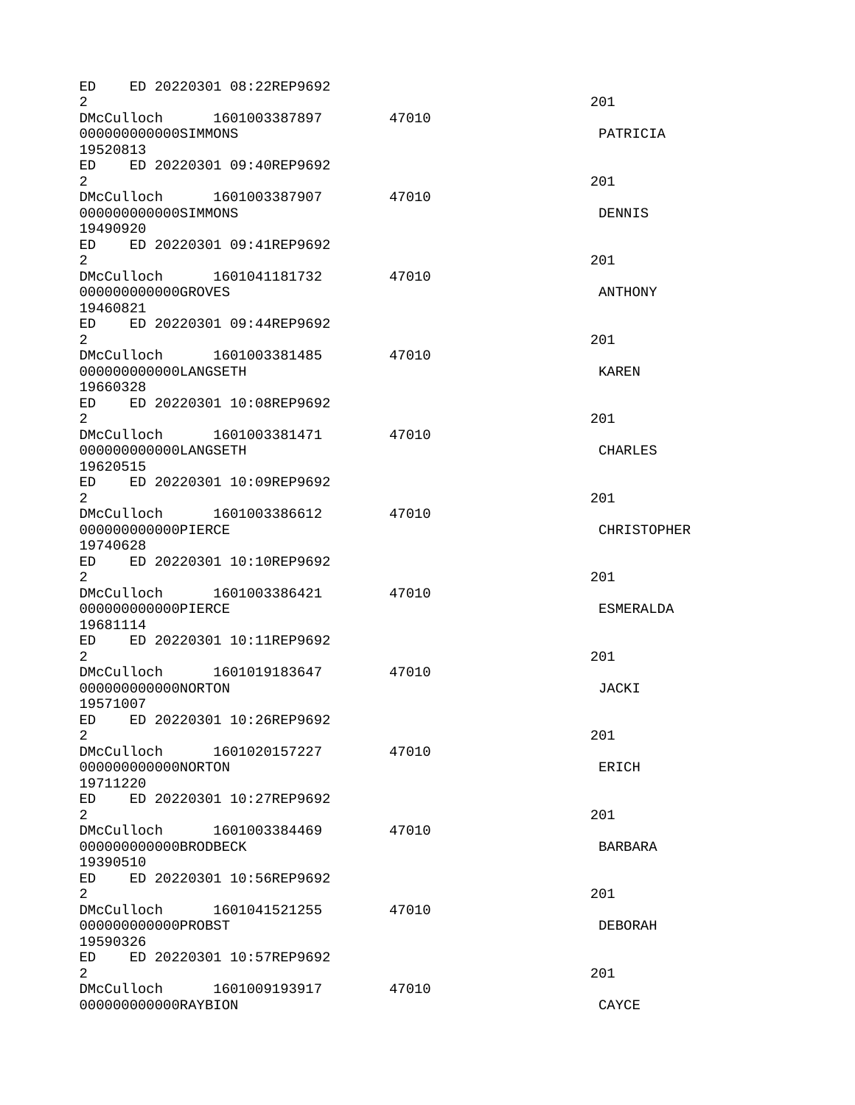ED ED 20220301 08:22REP9692 2 and  $\overline{201}$ DMcCulloch 1601003387897 47010 000000000000SIMMONS PATRICIA 19520813 ED ED 20220301 09:40REP9692  $2<sup>2</sup>$ DMcCulloch 1601003387907 47010 000000000000SIMMONS DENNIS 19490920 ED ED 20220301 09:41REP9692  $2<sup>2</sup>$ DMcCulloch 1601041181732 47010 000000000000GROVES ANTHONY 19460821 ED ED 20220301 09:44REP9692 2 and  $\overline{201}$ DMcCulloch 1601003381485 47010 000000000000LANGSETH KAREN 19660328 ED ED 20220301 10:08REP9692  $2<sup>2</sup>$ DMcCulloch 1601003381471 47010 000000000000LANGSETH CHARLES 19620515 ED ED 20220301 10:09REP9692 2 and  $\overline{201}$ DMcCulloch 1601003386612 47010 0000000000000PIERCE CHRISTOPHER CHRISTOPHER 19740628 ED ED 20220301 10:10REP9692 2 and  $\overline{201}$ DMcCulloch 1601003386421 47010 000000000000PIERCE ESMERALDA 19681114 ED ED 20220301 10:11REP9692  $2<sup>2</sup>$ DMcCulloch 1601019183647 47010 000000000000NORTON JACKI 19571007 ED ED 20220301 10:26REP9692  $2<sup>2</sup>$ DMcCulloch 1601020157227 47010 000000000000NORTON ERICH 19711220 ED ED 20220301 10:27REP9692 2 and  $\overline{201}$ DMcCulloch 1601003384469 47010 0000000000000BR0DBECK BARBARA 19390510 ED ED 20220301 10:56REP9692  $2<sup>2</sup>$ DMcCulloch 1601041521255 47010 000000000000PROBST DEBORAH 19590326 ED ED 20220301 10:57REP9692 2 and  $\overline{201}$ DMcCulloch 1601009193917 47010 000000000000RAYBION CAYCE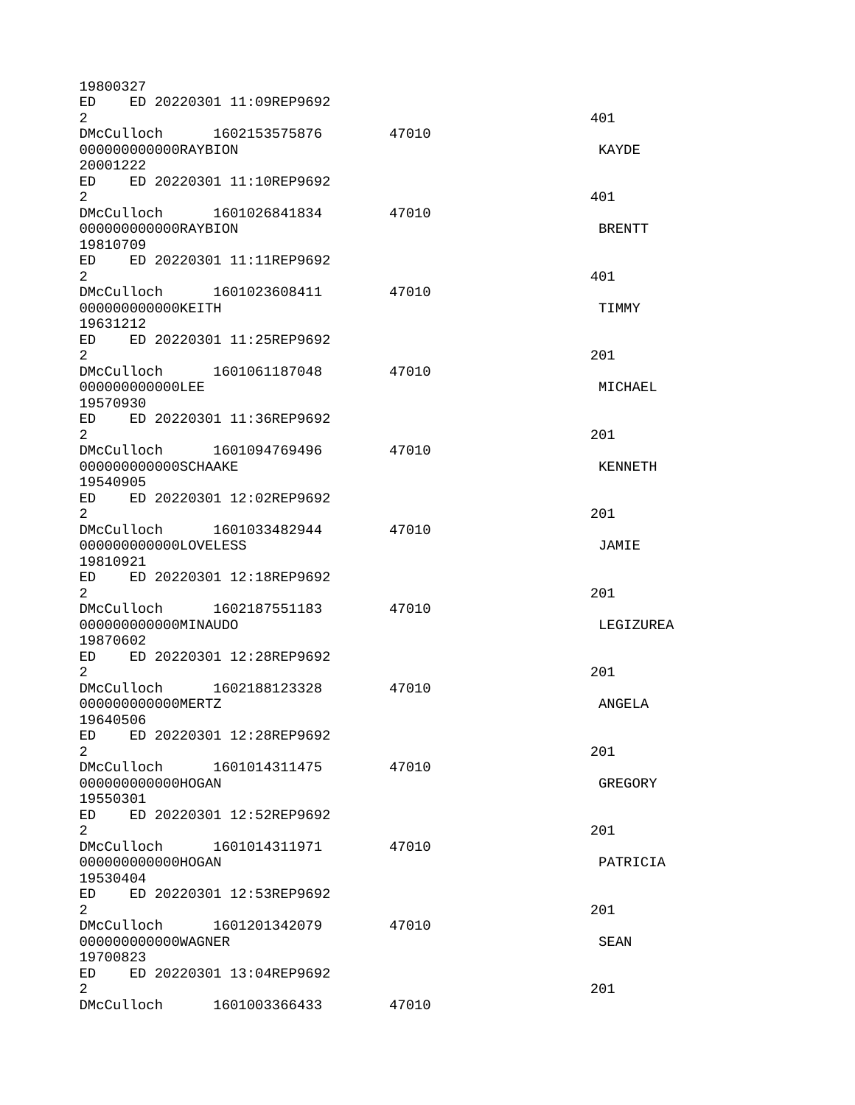| 19800327                                                     |                          |       |                |
|--------------------------------------------------------------|--------------------------|-------|----------------|
| ED.<br>$\overline{2}$                                        | ED 20220301 11:09REP9692 |       | 401            |
| DMcCulloch 1602153575876<br>000000000000RAYBION<br>20001222  |                          | 47010 | <b>KAYDE</b>   |
| ED ED 20220301 11:10REP9692<br>$\overline{2}$                |                          |       | 401            |
| DMcCulloch 1601026841834<br>000000000000RAYBION<br>19810709  |                          | 47010 | <b>BRENTT</b>  |
| ED ED 20220301 11:11REP9692<br>$\overline{2}$                |                          |       | 401            |
| DMcCulloch<br>00000000000KEITH<br>19631212                   | 1601023608411            | 47010 | TIMMY          |
| ED<br>2                                                      | ED 20220301 11:25REP9692 |       | 201            |
| DMcCulloch 1601061187048<br>00000000000LEE<br>19570930       |                          | 47010 | MICHAEL        |
| ED ED 20220301 11:36REP9692<br>$\overline{2}$                |                          |       | 201            |
| DMcCulloch 1601094769496<br>000000000000SCHAAKE<br>19540905  |                          | 47010 | <b>KENNETH</b> |
| ED ED 20220301 12:02REP9692<br>$\overline{2}$                |                          |       | 201            |
| DMcCulloch 1601033482944<br>000000000000L0VELESS<br>19810921 |                          | 47010 | JAMIE          |
| ED ED 20220301 12:18REP9692<br>$\overline{2}$                |                          |       | 201            |
| DMcCulloch<br>000000000000MINAUDO<br>19870602                | 1602187551183            | 47010 | LEGIZUREA      |
| ED<br>$\overline{2}$                                         | ED 20220301 12:28REP9692 |       | 201            |
| DMcCulloch<br>00000000000MERTZ<br>19640506                   | 1602188123328            | 47010 | ANGELA         |
| ED<br>$\overline{2}$                                         | ED 20220301 12:28REP9692 |       | 201            |
| DMcCulloch 1601014311475<br>000000000000H0GAN<br>19550301    |                          | 47010 | <b>GREGORY</b> |
| ED<br>$\overline{2}$                                         | ED 20220301 12:52REP9692 |       | 201            |
| DMcCulloch<br>000000000000HOGAN<br>19530404                  | 1601014311971            | 47010 | PATRICIA       |
| ED ED 20220301 12:53REP9692<br>$\overline{2}$                |                          |       | 201            |
| DMcCulloch 1601201342079<br>000000000000WAGNER<br>19700823   |                          | 47010 | <b>SEAN</b>    |
| ED ED 20220301 13:04REP9692<br>$\overline{2}$                |                          |       | 201            |
| DMcCulloch 1601003366433                                     |                          | 47010 |                |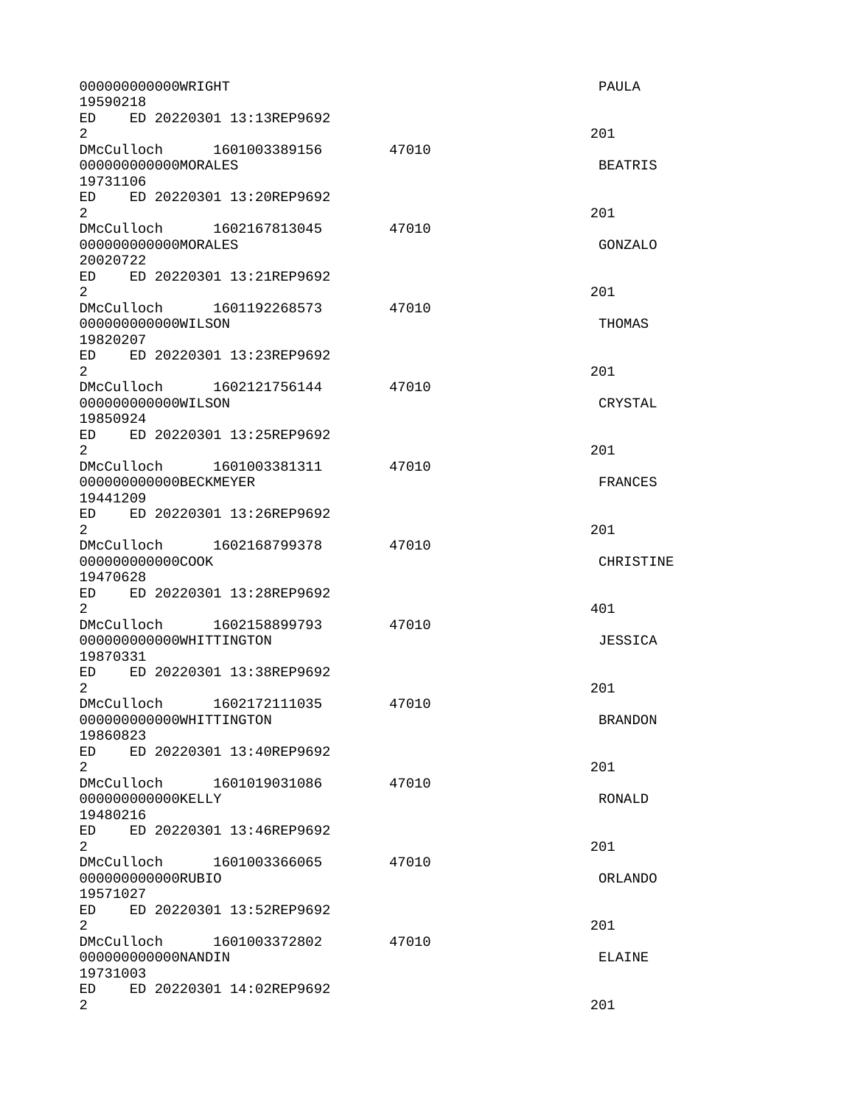| 000000000000WRIGHT<br>19590218                                              | <b>PAULA</b>   |
|-----------------------------------------------------------------------------|----------------|
| ED<br>ED 20220301 13:13REP9692<br>$\overline{2}$                            | 201            |
| DMcCulloch 1601003389156<br>47010<br>000000000000MORALES<br>19731106        | <b>BEATRIS</b> |
| ED ED 20220301 13:20REP9692<br>$\overline{2}$                               | 201            |
| DMcCulloch 1602167813045<br>47010<br>000000000000MORALES<br>20020722        | GONZALO        |
| ED ED 20220301 13:21REP9692<br>$\overline{2}$                               | 201            |
| DMcCulloch 1601192268573<br>47010<br>000000000000WILSON<br>19820207         | THOMAS         |
| ED<br>ED 20220301 13:23REP9692<br>$\overline{2}$                            | 201            |
| DMcCulloch 1602121756144<br>47010<br>000000000000WILSON<br>19850924         | CRYSTAL        |
| ED ED 20220301 13:25REP9692<br>$\overline{2}$                               | 201            |
| DMcCulloch 1601003381311<br>47010<br>000000000000BECKMEYER<br>19441209      | <b>FRANCES</b> |
| ED ED 20220301 13:26REP9692<br>$\overline{2}$                               | 201            |
| DMcCulloch 1602168799378<br>47010<br>000000000000C00K<br>19470628           | CHRISTINE      |
| ED ED 20220301 13:28REP9692<br>$\overline{2}$                               | 401            |
| DMcCulloch<br>1602158899793<br>47010<br>000000000000WHITTINGTON<br>19870331 | <b>JESSICA</b> |
| ED<br>ED 20220301 13:38REP9692<br>$\overline{2}$                            | 201            |
| DMcCulloch 1602172111035<br>47010<br>000000000000WHITTINGTON<br>19860823    | <b>BRANDON</b> |
| ED<br>ED 20220301 13:40REP9692<br>$\overline{2}$                            | 201            |
| DMcCulloch<br>47010<br>1601019031086<br>000000000000KELLY<br>19480216       | RONALD         |
| ED<br>ED 20220301 13:46REP9692<br>$\overline{2}$                            | 201            |
| DMcCulloch<br>1601003366065<br>47010<br>000000000000RUBIO<br>19571027       | <b>ORLANDO</b> |
| ED<br>ED 20220301 13:52REP9692<br>$\overline{2}$                            | 201            |
| DMcCulloch<br>1601003372802<br>47010<br>000000000000NANDIN<br>19731003      | <b>ELAINE</b>  |
| ED<br>ED 20220301 14:02REP9692<br>$\overline{2}$                            | 201            |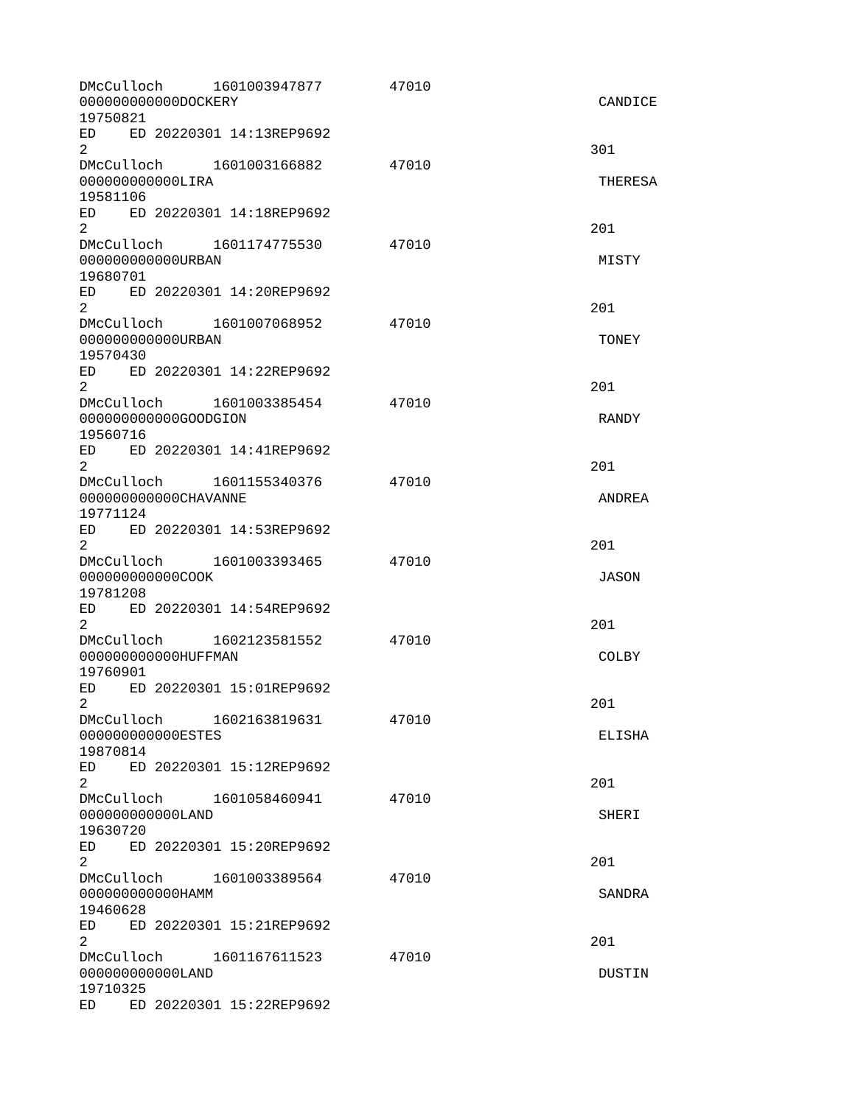| DMcCulloch<br>000000000000DOCKERY<br>19750821                                                                                                                                                                                                    | 1601003947877            | 47010 | CANDICE        |
|--------------------------------------------------------------------------------------------------------------------------------------------------------------------------------------------------------------------------------------------------|--------------------------|-------|----------------|
| ED ED 20220301 14:13REP9692<br>$\overline{2}$                                                                                                                                                                                                    |                          |       | 301            |
| DMcCulloch 1601003166882<br>00000000000LIRA<br>19581106                                                                                                                                                                                          |                          | 47010 | <b>THERESA</b> |
| ED ED 20220301 14:18REP9692<br>$\overline{2}$                                                                                                                                                                                                    |                          |       | 201            |
| DMcCulloch 1601174775530<br>000000000000URBAN<br>19680701                                                                                                                                                                                        |                          | 47010 | MISTY          |
| ED ED 20220301 14:20REP9692<br>$\overline{2}$                                                                                                                                                                                                    |                          |       | 201            |
| DMcCulloch 1601007068952<br>000000000000URBAN<br>19570430                                                                                                                                                                                        |                          | 47010 | <b>TONEY</b>   |
| ED<br>$\overline{2}$                                                                                                                                                                                                                             | ED 20220301 14:22REP9692 |       | 201            |
| DMcCulloch 1601003385454<br>000000000000G00DGION<br>19560716                                                                                                                                                                                     |                          | 47010 | <b>RANDY</b>   |
| ED ED 20220301 14:41REP9692<br>$\overline{2}$                                                                                                                                                                                                    |                          |       | 201            |
| DMcCulloch 1601155340376<br>000000000000CHAVANNE<br>19771124                                                                                                                                                                                     |                          | 47010 | ANDREA         |
| ED ED 20220301 14:53REP9692<br>$\overline{2}$                                                                                                                                                                                                    |                          |       | 201            |
| DMcCulloch 1601003393465<br>000000000000C00K<br>19781208                                                                                                                                                                                         |                          | 47010 | <b>JASON</b>   |
| ED.<br>2                                                                                                                                                                                                                                         | ED 20220301 14:54REP9692 |       | 201            |
| DMcCulloch 1602123581552<br>000000000000HUFFMAN<br>19760901                                                                                                                                                                                      |                          | 47010 | <b>COLBY</b>   |
| ED<br>$\mathcal{P}^-$                                                                                                                                                                                                                            | ED 20220301 15:01REP9692 |       | 201            |
| DMcCulloch<br>00000000000ESTES<br>19870814                                                                                                                                                                                                       | 1602163819631            | 47010 | <b>ELISHA</b>  |
| ED<br>2                                                                                                                                                                                                                                          | ED 20220301 15:12REP9692 |       | 201            |
| DMcCulloch 1601058460941<br>00000000000LAND<br>19630720                                                                                                                                                                                          |                          | 47010 | <b>SHERI</b>   |
| ED ED 20220301 15:20REP9692<br>$\overline{2}$                                                                                                                                                                                                    |                          |       | 201            |
| DMcCulloch<br>000000000000HAMM<br>19460628                                                                                                                                                                                                       | 1601003389564            | 47010 | <b>SANDRA</b>  |
| ED and the set of the set of the set of the set of the set of the set of the set of the set of the set of the set of the set of the set of the set of the set of the set of the set of the set of the set of the set of the se<br>$\overline{2}$ | ED 20220301 15:21REP9692 |       | 201            |
| DMcCulloch<br>000000000000LAND<br>19710325                                                                                                                                                                                                       | 1601167611523            | 47010 | <b>DUSTIN</b>  |
| ED and the set of the set of the set of the set of the set of the set of the set of the set of the set of the set of the set of the set of the set of the set of the set of the set of the set of the set of the set of the se                   | ED 20220301 15:22REP9692 |       |                |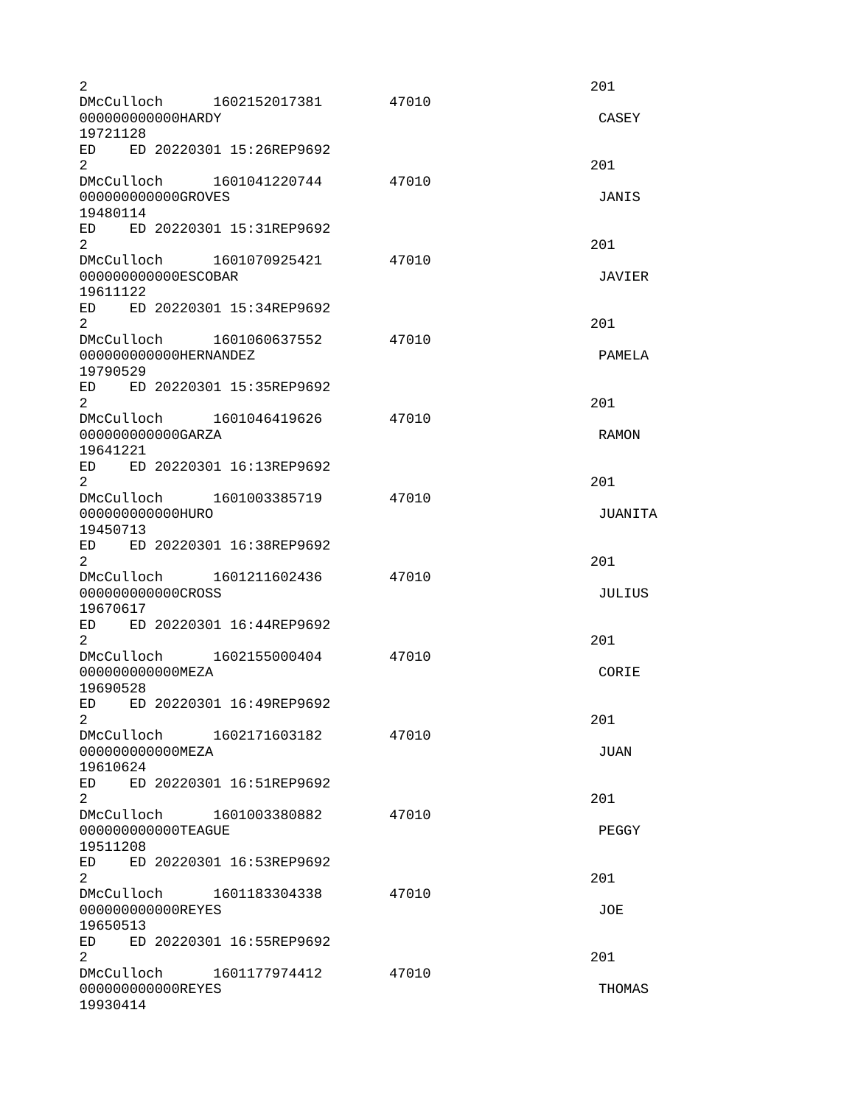| $\overline{2}$                                                                  |       | 201           |
|---------------------------------------------------------------------------------|-------|---------------|
| DMcCulloch 1602152017381<br>000000000000HARDY                                   | 47010 | <b>CASEY</b>  |
| 19721128                                                                        |       |               |
| ED ED 20220301 15:26REP9692<br>$\overline{2}$<br>DMcCulloch 1601041220744       | 47010 | 201           |
| 000000000000GROVES<br>19480114                                                  |       | JANIS         |
| ED ED 20220301 15:31REP9692<br>$\overline{2}$                                   |       | 201           |
| DMcCulloch 1601070925421<br>00000000000ESC0BAR<br>19611122                      | 47010 | JAVIER        |
| ED 20220301 15:34REP9692<br>ED.<br>2                                            |       | 201           |
| DMcCulloch 1601060637552<br>000000000000HERNANDEZ<br>19790529                   | 47010 | PAMELA        |
| ED.<br>ED 20220301 15:35REP9692<br>$\overline{2}$                               |       | 201           |
| DMcCulloch 1601046419626<br>000000000000GARZA<br>19641221                       | 47010 | <b>RAMON</b>  |
| ED ED 20220301 16:13REP9692<br>2                                                |       | 201           |
| DMcCulloch 1601003385719<br>000000000000HURO                                    | 47010 | JUANITA       |
| 19450713<br>ED ED 20220301 16:38REP9692<br>$\overline{2}$                       |       | 201           |
| DMcCulloch 1601211602436<br>000000000000CR0SS<br>19670617                       | 47010 | <b>JULIUS</b> |
| ED 20220301 16:44REP9692<br>ED<br>2                                             |       | 201           |
| DMcCulloch 1602155000404<br>00000000000MEZA<br>19690528                         | 47010 | CORIE         |
| ED ED 20220301 16:49REP9692<br>$\overline{2}$                                   |       | 201           |
| DMcCulloch 1602171603182<br>00000000000MEZA<br>19610624                         | 47010 | <b>JUAN</b>   |
| ED 20220301 16:51REP9692<br>ED<br>$\overline{2}$                                |       | 201           |
| DMcCulloch 1601003380882<br>00000000000TEAGUE<br>19511208                       | 47010 | PEGGY         |
| ED<br>ED 20220301 16:53REP9692<br>$\overline{2}$<br>DMcCulloch<br>1601183304338 | 47010 | 201           |
| 00000000000REYES<br>19650513<br>ED 20220301 16:55REP9692<br>ED.                 |       | JOE           |
| $\overline{2}$<br>DMcCulloch<br>1601177974412                                   | 47010 | 201           |
| 00000000000REYES<br>19930414                                                    |       | <b>THOMAS</b> |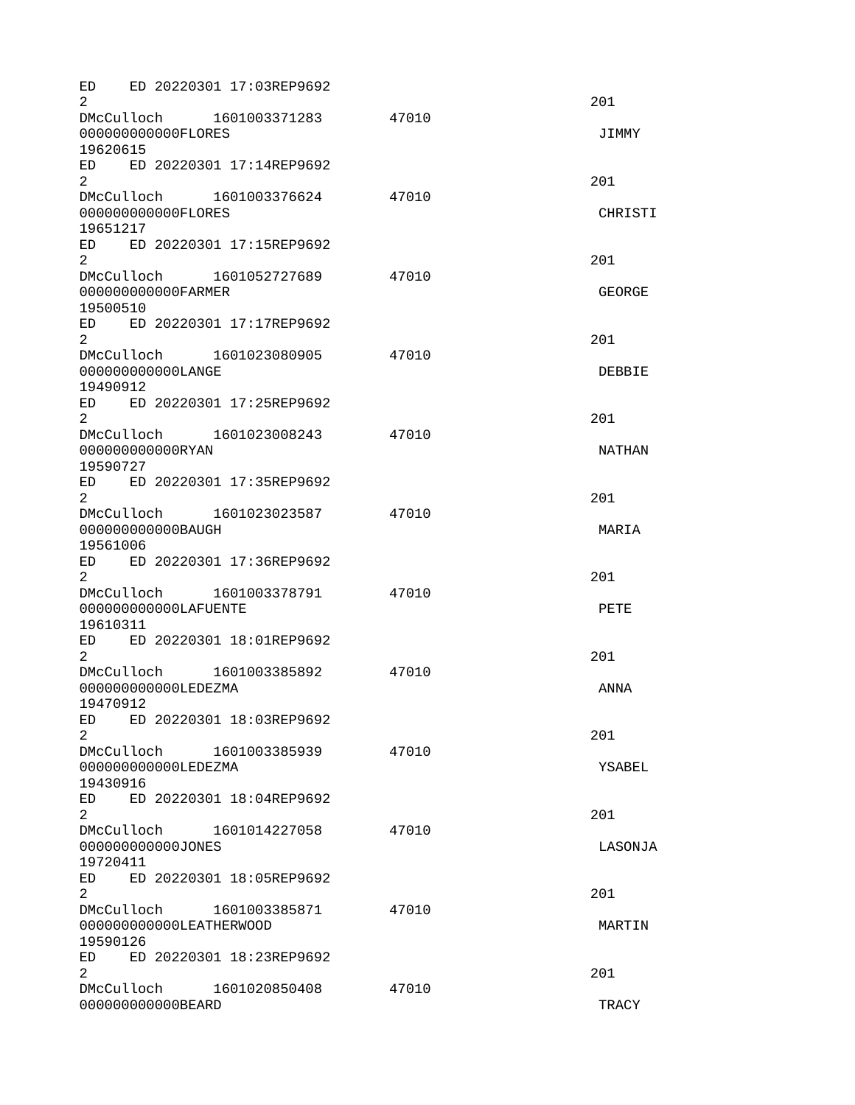| DMcCulloch 1601003371283<br>47010<br>00000000000FL0RES<br><b>JIMMY</b><br>19620615<br>ED and the set of the set of the set of the set of the set of the set of the set of the set of the set of the set of the set of the set of the set of the set of the set of the set of the set of the set of the set of the se<br>ED 20220301 17:14REP9692<br>$\overline{2}$<br>201<br>DMcCulloch<br>47010<br>1601003376624<br>00000000000FL0RES<br>CHRISTI<br>19651217<br>ED ED 20220301 17:15REP9692<br>$\overline{2}$<br>201<br>DMcCulloch<br>1601052727689<br>47010<br>000000000000FARMER<br><b>GEORGE</b><br>19500510<br>ED 20220301 17:17REP9692<br>ED<br>2<br>201<br>DMcCulloch 1601023080905<br>47010<br>00000000000LANGE<br>DEBBIE<br>19490912<br>ED ED 20220301 17:25REP9692<br>$\overline{2}$<br>201<br>DMcCulloch<br>1601023008243<br>47010<br>00000000000RYAN<br><b>NATHAN</b><br>19590727<br>ED 20220301 17:35REP9692<br>ED and the set of the set of the set of the set of the set of the set of the set of the set of the set of the set of the set of the set of the set of the set of the set of the set of the set of the set of the set of the se<br>$\overline{2}$<br>201<br>DMcCulloch 1601023023587<br>47010<br>00000000000BAUGH<br>MARIA<br>19561006<br>ED ED 20220301 17:36REP9692<br>$\overline{2}$<br>201<br>DMcCulloch 1601003378791<br>47010<br>000000000000LAFUENTE<br><b>PETE</b><br>19610311<br>ED 20220301 18:01REP9692<br>ED<br>$\overline{2}$<br>201<br>DMcCulloch<br>1601003385892<br>47010<br>000000000000LEDEZMA<br><b>ANNA</b><br>19470912<br>ED 20220301 18:03REP9692<br>ED.<br>$\overline{2}$<br>201<br>DMcCulloch<br>47010<br>1601003385939<br>000000000000LEDEZMA<br>YSABEL<br>19430916<br>ED<br>ED 20220301 18:04REP9692<br>2<br>201<br>DMcCulloch 1601014227058<br>47010<br>000000000000JONES<br>LASONJA<br>ED and the set of the set of the set of the set of the set of the set of the set of the set of the set of the set of the set of the set of the set of the set of the set of the set of the set of the set of the set of the se<br>ED 20220301 18:05REP9692<br>$\overline{2}$<br>201<br>DMcCulloch<br>47010<br>1601003385871<br>000000000000LEATHERWOOD<br>MARTIN<br>ED and the set of the set of the set of the set of the set of the set of the set of the set of the set of the set of the set of the set of the set of the set of the set of the set of the set of the set of the set of the se<br>ED 20220301 18:23REP9692<br>$\overline{2}$<br>201<br>DMcCulloch 1601020850408<br>47010<br>00000000000BEARD | ED.<br>$\overline{2}$ | ED 20220301 17:03REP9692 | 201          |
|-----------------------------------------------------------------------------------------------------------------------------------------------------------------------------------------------------------------------------------------------------------------------------------------------------------------------------------------------------------------------------------------------------------------------------------------------------------------------------------------------------------------------------------------------------------------------------------------------------------------------------------------------------------------------------------------------------------------------------------------------------------------------------------------------------------------------------------------------------------------------------------------------------------------------------------------------------------------------------------------------------------------------------------------------------------------------------------------------------------------------------------------------------------------------------------------------------------------------------------------------------------------------------------------------------------------------------------------------------------------------------------------------------------------------------------------------------------------------------------------------------------------------------------------------------------------------------------------------------------------------------------------------------------------------------------------------------------------------------------------------------------------------------------------------------------------------------------------------------------------------------------------------------------------------------------------------------------------------------------------------------------------------------------------------------------------------------------------------------------------------------------------------------------------------------------------------------------------------------------------------------------------------------------------------------------------------------------------------------------------------------------------------------------------------------------------------------------------------------------------------------------------------------------------------------------------|-----------------------|--------------------------|--------------|
|                                                                                                                                                                                                                                                                                                                                                                                                                                                                                                                                                                                                                                                                                                                                                                                                                                                                                                                                                                                                                                                                                                                                                                                                                                                                                                                                                                                                                                                                                                                                                                                                                                                                                                                                                                                                                                                                                                                                                                                                                                                                                                                                                                                                                                                                                                                                                                                                                                                                                                                                                                 |                       |                          |              |
|                                                                                                                                                                                                                                                                                                                                                                                                                                                                                                                                                                                                                                                                                                                                                                                                                                                                                                                                                                                                                                                                                                                                                                                                                                                                                                                                                                                                                                                                                                                                                                                                                                                                                                                                                                                                                                                                                                                                                                                                                                                                                                                                                                                                                                                                                                                                                                                                                                                                                                                                                                 |                       |                          |              |
|                                                                                                                                                                                                                                                                                                                                                                                                                                                                                                                                                                                                                                                                                                                                                                                                                                                                                                                                                                                                                                                                                                                                                                                                                                                                                                                                                                                                                                                                                                                                                                                                                                                                                                                                                                                                                                                                                                                                                                                                                                                                                                                                                                                                                                                                                                                                                                                                                                                                                                                                                                 |                       |                          |              |
|                                                                                                                                                                                                                                                                                                                                                                                                                                                                                                                                                                                                                                                                                                                                                                                                                                                                                                                                                                                                                                                                                                                                                                                                                                                                                                                                                                                                                                                                                                                                                                                                                                                                                                                                                                                                                                                                                                                                                                                                                                                                                                                                                                                                                                                                                                                                                                                                                                                                                                                                                                 |                       |                          |              |
|                                                                                                                                                                                                                                                                                                                                                                                                                                                                                                                                                                                                                                                                                                                                                                                                                                                                                                                                                                                                                                                                                                                                                                                                                                                                                                                                                                                                                                                                                                                                                                                                                                                                                                                                                                                                                                                                                                                                                                                                                                                                                                                                                                                                                                                                                                                                                                                                                                                                                                                                                                 |                       |                          |              |
|                                                                                                                                                                                                                                                                                                                                                                                                                                                                                                                                                                                                                                                                                                                                                                                                                                                                                                                                                                                                                                                                                                                                                                                                                                                                                                                                                                                                                                                                                                                                                                                                                                                                                                                                                                                                                                                                                                                                                                                                                                                                                                                                                                                                                                                                                                                                                                                                                                                                                                                                                                 |                       |                          |              |
|                                                                                                                                                                                                                                                                                                                                                                                                                                                                                                                                                                                                                                                                                                                                                                                                                                                                                                                                                                                                                                                                                                                                                                                                                                                                                                                                                                                                                                                                                                                                                                                                                                                                                                                                                                                                                                                                                                                                                                                                                                                                                                                                                                                                                                                                                                                                                                                                                                                                                                                                                                 |                       |                          |              |
|                                                                                                                                                                                                                                                                                                                                                                                                                                                                                                                                                                                                                                                                                                                                                                                                                                                                                                                                                                                                                                                                                                                                                                                                                                                                                                                                                                                                                                                                                                                                                                                                                                                                                                                                                                                                                                                                                                                                                                                                                                                                                                                                                                                                                                                                                                                                                                                                                                                                                                                                                                 |                       |                          |              |
|                                                                                                                                                                                                                                                                                                                                                                                                                                                                                                                                                                                                                                                                                                                                                                                                                                                                                                                                                                                                                                                                                                                                                                                                                                                                                                                                                                                                                                                                                                                                                                                                                                                                                                                                                                                                                                                                                                                                                                                                                                                                                                                                                                                                                                                                                                                                                                                                                                                                                                                                                                 |                       |                          |              |
|                                                                                                                                                                                                                                                                                                                                                                                                                                                                                                                                                                                                                                                                                                                                                                                                                                                                                                                                                                                                                                                                                                                                                                                                                                                                                                                                                                                                                                                                                                                                                                                                                                                                                                                                                                                                                                                                                                                                                                                                                                                                                                                                                                                                                                                                                                                                                                                                                                                                                                                                                                 |                       |                          |              |
|                                                                                                                                                                                                                                                                                                                                                                                                                                                                                                                                                                                                                                                                                                                                                                                                                                                                                                                                                                                                                                                                                                                                                                                                                                                                                                                                                                                                                                                                                                                                                                                                                                                                                                                                                                                                                                                                                                                                                                                                                                                                                                                                                                                                                                                                                                                                                                                                                                                                                                                                                                 |                       |                          |              |
|                                                                                                                                                                                                                                                                                                                                                                                                                                                                                                                                                                                                                                                                                                                                                                                                                                                                                                                                                                                                                                                                                                                                                                                                                                                                                                                                                                                                                                                                                                                                                                                                                                                                                                                                                                                                                                                                                                                                                                                                                                                                                                                                                                                                                                                                                                                                                                                                                                                                                                                                                                 |                       |                          |              |
|                                                                                                                                                                                                                                                                                                                                                                                                                                                                                                                                                                                                                                                                                                                                                                                                                                                                                                                                                                                                                                                                                                                                                                                                                                                                                                                                                                                                                                                                                                                                                                                                                                                                                                                                                                                                                                                                                                                                                                                                                                                                                                                                                                                                                                                                                                                                                                                                                                                                                                                                                                 |                       |                          |              |
|                                                                                                                                                                                                                                                                                                                                                                                                                                                                                                                                                                                                                                                                                                                                                                                                                                                                                                                                                                                                                                                                                                                                                                                                                                                                                                                                                                                                                                                                                                                                                                                                                                                                                                                                                                                                                                                                                                                                                                                                                                                                                                                                                                                                                                                                                                                                                                                                                                                                                                                                                                 |                       |                          |              |
|                                                                                                                                                                                                                                                                                                                                                                                                                                                                                                                                                                                                                                                                                                                                                                                                                                                                                                                                                                                                                                                                                                                                                                                                                                                                                                                                                                                                                                                                                                                                                                                                                                                                                                                                                                                                                                                                                                                                                                                                                                                                                                                                                                                                                                                                                                                                                                                                                                                                                                                                                                 |                       |                          |              |
|                                                                                                                                                                                                                                                                                                                                                                                                                                                                                                                                                                                                                                                                                                                                                                                                                                                                                                                                                                                                                                                                                                                                                                                                                                                                                                                                                                                                                                                                                                                                                                                                                                                                                                                                                                                                                                                                                                                                                                                                                                                                                                                                                                                                                                                                                                                                                                                                                                                                                                                                                                 |                       |                          |              |
|                                                                                                                                                                                                                                                                                                                                                                                                                                                                                                                                                                                                                                                                                                                                                                                                                                                                                                                                                                                                                                                                                                                                                                                                                                                                                                                                                                                                                                                                                                                                                                                                                                                                                                                                                                                                                                                                                                                                                                                                                                                                                                                                                                                                                                                                                                                                                                                                                                                                                                                                                                 |                       |                          |              |
|                                                                                                                                                                                                                                                                                                                                                                                                                                                                                                                                                                                                                                                                                                                                                                                                                                                                                                                                                                                                                                                                                                                                                                                                                                                                                                                                                                                                                                                                                                                                                                                                                                                                                                                                                                                                                                                                                                                                                                                                                                                                                                                                                                                                                                                                                                                                                                                                                                                                                                                                                                 |                       |                          |              |
|                                                                                                                                                                                                                                                                                                                                                                                                                                                                                                                                                                                                                                                                                                                                                                                                                                                                                                                                                                                                                                                                                                                                                                                                                                                                                                                                                                                                                                                                                                                                                                                                                                                                                                                                                                                                                                                                                                                                                                                                                                                                                                                                                                                                                                                                                                                                                                                                                                                                                                                                                                 |                       |                          |              |
|                                                                                                                                                                                                                                                                                                                                                                                                                                                                                                                                                                                                                                                                                                                                                                                                                                                                                                                                                                                                                                                                                                                                                                                                                                                                                                                                                                                                                                                                                                                                                                                                                                                                                                                                                                                                                                                                                                                                                                                                                                                                                                                                                                                                                                                                                                                                                                                                                                                                                                                                                                 |                       |                          |              |
|                                                                                                                                                                                                                                                                                                                                                                                                                                                                                                                                                                                                                                                                                                                                                                                                                                                                                                                                                                                                                                                                                                                                                                                                                                                                                                                                                                                                                                                                                                                                                                                                                                                                                                                                                                                                                                                                                                                                                                                                                                                                                                                                                                                                                                                                                                                                                                                                                                                                                                                                                                 |                       |                          |              |
|                                                                                                                                                                                                                                                                                                                                                                                                                                                                                                                                                                                                                                                                                                                                                                                                                                                                                                                                                                                                                                                                                                                                                                                                                                                                                                                                                                                                                                                                                                                                                                                                                                                                                                                                                                                                                                                                                                                                                                                                                                                                                                                                                                                                                                                                                                                                                                                                                                                                                                                                                                 |                       |                          |              |
|                                                                                                                                                                                                                                                                                                                                                                                                                                                                                                                                                                                                                                                                                                                                                                                                                                                                                                                                                                                                                                                                                                                                                                                                                                                                                                                                                                                                                                                                                                                                                                                                                                                                                                                                                                                                                                                                                                                                                                                                                                                                                                                                                                                                                                                                                                                                                                                                                                                                                                                                                                 |                       |                          |              |
|                                                                                                                                                                                                                                                                                                                                                                                                                                                                                                                                                                                                                                                                                                                                                                                                                                                                                                                                                                                                                                                                                                                                                                                                                                                                                                                                                                                                                                                                                                                                                                                                                                                                                                                                                                                                                                                                                                                                                                                                                                                                                                                                                                                                                                                                                                                                                                                                                                                                                                                                                                 |                       |                          |              |
|                                                                                                                                                                                                                                                                                                                                                                                                                                                                                                                                                                                                                                                                                                                                                                                                                                                                                                                                                                                                                                                                                                                                                                                                                                                                                                                                                                                                                                                                                                                                                                                                                                                                                                                                                                                                                                                                                                                                                                                                                                                                                                                                                                                                                                                                                                                                                                                                                                                                                                                                                                 |                       |                          |              |
|                                                                                                                                                                                                                                                                                                                                                                                                                                                                                                                                                                                                                                                                                                                                                                                                                                                                                                                                                                                                                                                                                                                                                                                                                                                                                                                                                                                                                                                                                                                                                                                                                                                                                                                                                                                                                                                                                                                                                                                                                                                                                                                                                                                                                                                                                                                                                                                                                                                                                                                                                                 |                       |                          |              |
|                                                                                                                                                                                                                                                                                                                                                                                                                                                                                                                                                                                                                                                                                                                                                                                                                                                                                                                                                                                                                                                                                                                                                                                                                                                                                                                                                                                                                                                                                                                                                                                                                                                                                                                                                                                                                                                                                                                                                                                                                                                                                                                                                                                                                                                                                                                                                                                                                                                                                                                                                                 |                       |                          |              |
|                                                                                                                                                                                                                                                                                                                                                                                                                                                                                                                                                                                                                                                                                                                                                                                                                                                                                                                                                                                                                                                                                                                                                                                                                                                                                                                                                                                                                                                                                                                                                                                                                                                                                                                                                                                                                                                                                                                                                                                                                                                                                                                                                                                                                                                                                                                                                                                                                                                                                                                                                                 |                       |                          |              |
|                                                                                                                                                                                                                                                                                                                                                                                                                                                                                                                                                                                                                                                                                                                                                                                                                                                                                                                                                                                                                                                                                                                                                                                                                                                                                                                                                                                                                                                                                                                                                                                                                                                                                                                                                                                                                                                                                                                                                                                                                                                                                                                                                                                                                                                                                                                                                                                                                                                                                                                                                                 |                       |                          |              |
|                                                                                                                                                                                                                                                                                                                                                                                                                                                                                                                                                                                                                                                                                                                                                                                                                                                                                                                                                                                                                                                                                                                                                                                                                                                                                                                                                                                                                                                                                                                                                                                                                                                                                                                                                                                                                                                                                                                                                                                                                                                                                                                                                                                                                                                                                                                                                                                                                                                                                                                                                                 |                       |                          |              |
|                                                                                                                                                                                                                                                                                                                                                                                                                                                                                                                                                                                                                                                                                                                                                                                                                                                                                                                                                                                                                                                                                                                                                                                                                                                                                                                                                                                                                                                                                                                                                                                                                                                                                                                                                                                                                                                                                                                                                                                                                                                                                                                                                                                                                                                                                                                                                                                                                                                                                                                                                                 |                       |                          |              |
|                                                                                                                                                                                                                                                                                                                                                                                                                                                                                                                                                                                                                                                                                                                                                                                                                                                                                                                                                                                                                                                                                                                                                                                                                                                                                                                                                                                                                                                                                                                                                                                                                                                                                                                                                                                                                                                                                                                                                                                                                                                                                                                                                                                                                                                                                                                                                                                                                                                                                                                                                                 |                       |                          |              |
|                                                                                                                                                                                                                                                                                                                                                                                                                                                                                                                                                                                                                                                                                                                                                                                                                                                                                                                                                                                                                                                                                                                                                                                                                                                                                                                                                                                                                                                                                                                                                                                                                                                                                                                                                                                                                                                                                                                                                                                                                                                                                                                                                                                                                                                                                                                                                                                                                                                                                                                                                                 |                       |                          |              |
|                                                                                                                                                                                                                                                                                                                                                                                                                                                                                                                                                                                                                                                                                                                                                                                                                                                                                                                                                                                                                                                                                                                                                                                                                                                                                                                                                                                                                                                                                                                                                                                                                                                                                                                                                                                                                                                                                                                                                                                                                                                                                                                                                                                                                                                                                                                                                                                                                                                                                                                                                                 |                       |                          |              |
|                                                                                                                                                                                                                                                                                                                                                                                                                                                                                                                                                                                                                                                                                                                                                                                                                                                                                                                                                                                                                                                                                                                                                                                                                                                                                                                                                                                                                                                                                                                                                                                                                                                                                                                                                                                                                                                                                                                                                                                                                                                                                                                                                                                                                                                                                                                                                                                                                                                                                                                                                                 |                       |                          |              |
|                                                                                                                                                                                                                                                                                                                                                                                                                                                                                                                                                                                                                                                                                                                                                                                                                                                                                                                                                                                                                                                                                                                                                                                                                                                                                                                                                                                                                                                                                                                                                                                                                                                                                                                                                                                                                                                                                                                                                                                                                                                                                                                                                                                                                                                                                                                                                                                                                                                                                                                                                                 | 19720411              |                          |              |
|                                                                                                                                                                                                                                                                                                                                                                                                                                                                                                                                                                                                                                                                                                                                                                                                                                                                                                                                                                                                                                                                                                                                                                                                                                                                                                                                                                                                                                                                                                                                                                                                                                                                                                                                                                                                                                                                                                                                                                                                                                                                                                                                                                                                                                                                                                                                                                                                                                                                                                                                                                 |                       |                          |              |
|                                                                                                                                                                                                                                                                                                                                                                                                                                                                                                                                                                                                                                                                                                                                                                                                                                                                                                                                                                                                                                                                                                                                                                                                                                                                                                                                                                                                                                                                                                                                                                                                                                                                                                                                                                                                                                                                                                                                                                                                                                                                                                                                                                                                                                                                                                                                                                                                                                                                                                                                                                 |                       |                          |              |
|                                                                                                                                                                                                                                                                                                                                                                                                                                                                                                                                                                                                                                                                                                                                                                                                                                                                                                                                                                                                                                                                                                                                                                                                                                                                                                                                                                                                                                                                                                                                                                                                                                                                                                                                                                                                                                                                                                                                                                                                                                                                                                                                                                                                                                                                                                                                                                                                                                                                                                                                                                 |                       |                          |              |
|                                                                                                                                                                                                                                                                                                                                                                                                                                                                                                                                                                                                                                                                                                                                                                                                                                                                                                                                                                                                                                                                                                                                                                                                                                                                                                                                                                                                                                                                                                                                                                                                                                                                                                                                                                                                                                                                                                                                                                                                                                                                                                                                                                                                                                                                                                                                                                                                                                                                                                                                                                 | 19590126              |                          |              |
|                                                                                                                                                                                                                                                                                                                                                                                                                                                                                                                                                                                                                                                                                                                                                                                                                                                                                                                                                                                                                                                                                                                                                                                                                                                                                                                                                                                                                                                                                                                                                                                                                                                                                                                                                                                                                                                                                                                                                                                                                                                                                                                                                                                                                                                                                                                                                                                                                                                                                                                                                                 |                       |                          |              |
|                                                                                                                                                                                                                                                                                                                                                                                                                                                                                                                                                                                                                                                                                                                                                                                                                                                                                                                                                                                                                                                                                                                                                                                                                                                                                                                                                                                                                                                                                                                                                                                                                                                                                                                                                                                                                                                                                                                                                                                                                                                                                                                                                                                                                                                                                                                                                                                                                                                                                                                                                                 |                       |                          |              |
|                                                                                                                                                                                                                                                                                                                                                                                                                                                                                                                                                                                                                                                                                                                                                                                                                                                                                                                                                                                                                                                                                                                                                                                                                                                                                                                                                                                                                                                                                                                                                                                                                                                                                                                                                                                                                                                                                                                                                                                                                                                                                                                                                                                                                                                                                                                                                                                                                                                                                                                                                                 |                       |                          | <b>TRACY</b> |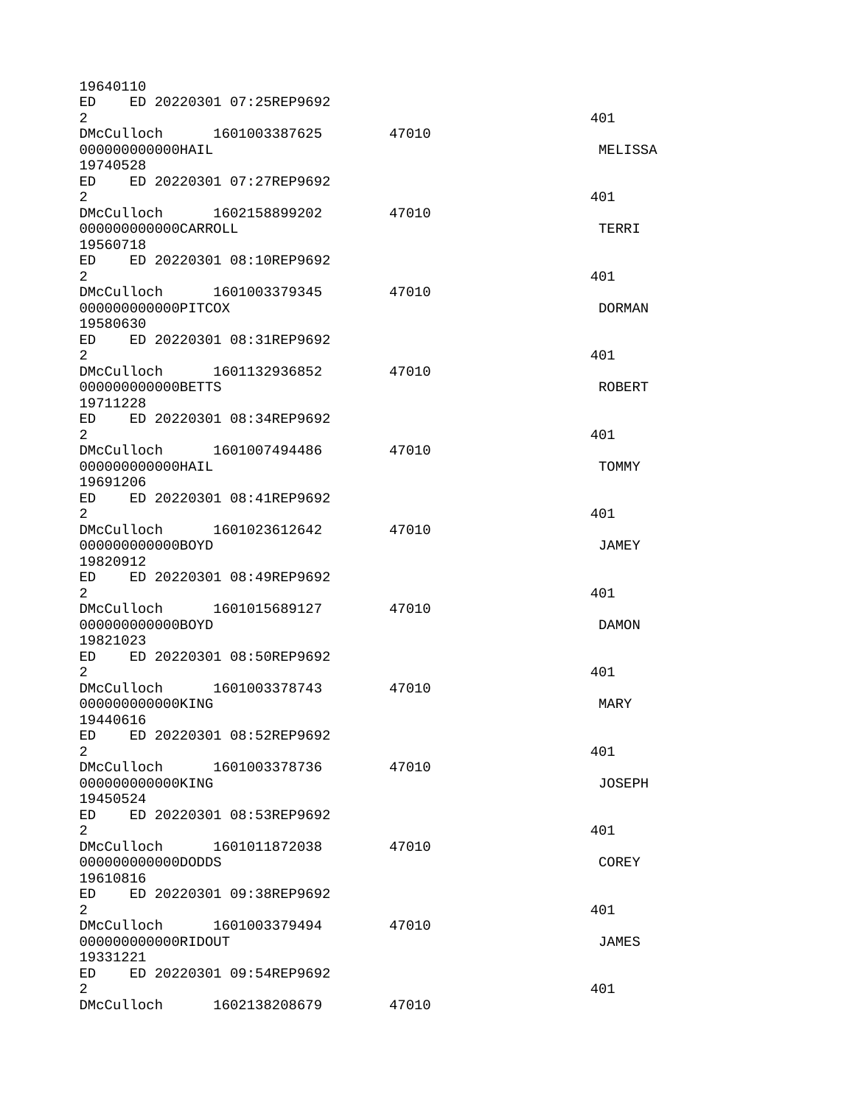| 19640110                                                                                                                                                                                                                       |                          |       |               |
|--------------------------------------------------------------------------------------------------------------------------------------------------------------------------------------------------------------------------------|--------------------------|-------|---------------|
| ED.<br>2                                                                                                                                                                                                                       | ED 20220301 07:25REP9692 |       | 401           |
| DMcCulloch 1601003387625                                                                                                                                                                                                       |                          | 47010 |               |
| 00000000000HAIL                                                                                                                                                                                                                |                          |       | MELISSA       |
| 19740528                                                                                                                                                                                                                       |                          |       |               |
| ED ED 20220301 07:27REP9692                                                                                                                                                                                                    |                          |       |               |
| $\overline{2}$<br>DMcCulloch                                                                                                                                                                                                   |                          | 47010 | 401           |
| 000000000000CARROLL                                                                                                                                                                                                            | 1602158899202            |       | TERRI         |
| 19560718                                                                                                                                                                                                                       |                          |       |               |
| ED ED 20220301 08:10REP9692                                                                                                                                                                                                    |                          |       |               |
| $\overline{2}$                                                                                                                                                                                                                 |                          |       | 401           |
| DMcCulloch 1601003379345                                                                                                                                                                                                       |                          | 47010 |               |
| 000000000000PITC0X                                                                                                                                                                                                             |                          |       | <b>DORMAN</b> |
| 19580630                                                                                                                                                                                                                       |                          |       |               |
| ED.<br>2                                                                                                                                                                                                                       | ED 20220301 08:31REP9692 |       | 401           |
| DMcCulloch 1601132936852                                                                                                                                                                                                       |                          | 47010 |               |
| 00000000000BETTS                                                                                                                                                                                                               |                          |       | <b>ROBERT</b> |
| 19711228                                                                                                                                                                                                                       |                          |       |               |
| ED ED 20220301 08:34REP9692                                                                                                                                                                                                    |                          |       |               |
| $2^{\circ}$                                                                                                                                                                                                                    |                          |       | 401           |
| DMcCulloch 1601007494486                                                                                                                                                                                                       |                          | 47010 |               |
| 00000000000HAIL<br>19691206                                                                                                                                                                                                    |                          |       | <b>TOMMY</b>  |
| ED ED 20220301 08:41REP9692                                                                                                                                                                                                    |                          |       |               |
| $\overline{2}$                                                                                                                                                                                                                 |                          |       | 401           |
| DMcCulloch                                                                                                                                                                                                                     | 1601023612642            | 47010 |               |
| 00000000000B0YD                                                                                                                                                                                                                |                          |       | <b>JAMEY</b>  |
| 19820912                                                                                                                                                                                                                       |                          |       |               |
| ED ED 20220301 08:49REP9692                                                                                                                                                                                                    |                          |       |               |
| $\overline{2}$<br>DMcCulloch 1601015689127                                                                                                                                                                                     |                          | 47010 | 401           |
| 00000000000B0YD                                                                                                                                                                                                                |                          |       | <b>DAMON</b>  |
| 19821023                                                                                                                                                                                                                       |                          |       |               |
| ED                                                                                                                                                                                                                             | ED 20220301 08:50REP9692 |       |               |
| $\overline{2}$                                                                                                                                                                                                                 |                          |       | 401           |
| DMcCulloch 1601003378743                                                                                                                                                                                                       |                          | 47010 |               |
| 00000000000KING                                                                                                                                                                                                                |                          |       | <b>MARY</b>   |
| 19440616<br>ED.                                                                                                                                                                                                                | ED 20220301 08:52REP9692 |       |               |
| $\mathbf{2}^{\circ}$                                                                                                                                                                                                           |                          |       | 401           |
| DMcCulloch 1601003378736                                                                                                                                                                                                       |                          | 47010 |               |
| 000000000000KING                                                                                                                                                                                                               |                          |       | <b>JOSEPH</b> |
| 19450524                                                                                                                                                                                                                       |                          |       |               |
| ED                                                                                                                                                                                                                             | ED 20220301 08:53REP9692 |       |               |
| $\overline{2}$                                                                                                                                                                                                                 |                          |       | 401           |
| 0000000000000DDS                                                                                                                                                                                                               | DMcCulloch 1601011872038 | 47010 | <b>COREY</b>  |
| 19610816                                                                                                                                                                                                                       |                          |       |               |
| ED and the set of the set of the set of the set of the set of the set of the set of the set of the set of the set of the set of the set of the set of the set of the set of the set of the set of the set of the set of the se | ED 20220301 09:38REP9692 |       |               |
| $\overline{2}$                                                                                                                                                                                                                 |                          |       | 401           |
| DMcCulloch                                                                                                                                                                                                                     | 1601003379494            | 47010 |               |
| 00000000000RIDOUT                                                                                                                                                                                                              |                          |       | <b>JAMES</b>  |
| 19331221                                                                                                                                                                                                                       |                          |       |               |
| ED ED 20220301 09:54REP9692<br>$\overline{2}$                                                                                                                                                                                  |                          |       | 401           |
| DMcCulloch                                                                                                                                                                                                                     | 1602138208679            | 47010 |               |
|                                                                                                                                                                                                                                |                          |       |               |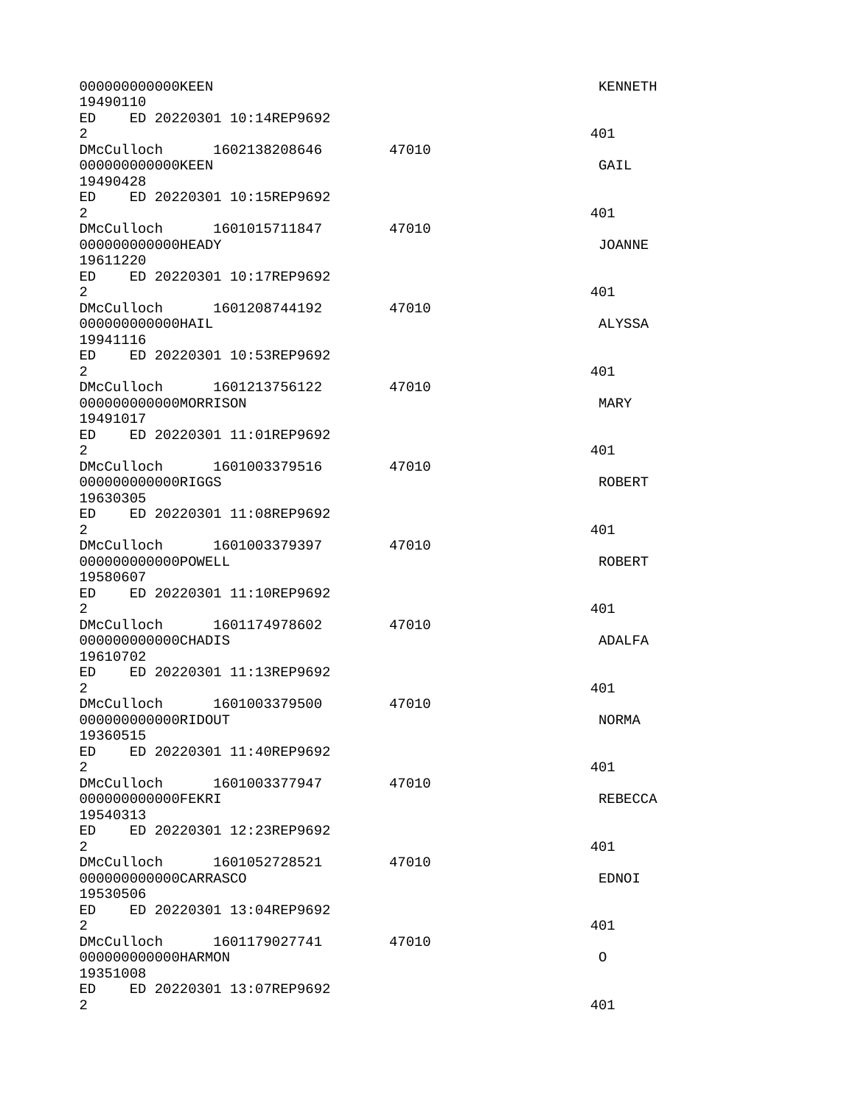| 00000000000KEEN<br>19490110                                     |       | <b>KENNETH</b> |
|-----------------------------------------------------------------|-------|----------------|
| ED ED 20220301 10:14REP9692<br>$\overline{2}$                   |       | 401            |
| DMcCulloch 1602138208646<br>00000000000KEEN<br>19490428         | 47010 | GAIL           |
| ED ED 20220301 10:15REP9692<br>$\overline{2}$                   |       | 401            |
| DMcCulloch 1601015711847<br>00000000000HEADY<br>19611220        | 47010 | <b>JOANNE</b>  |
| ED ED 20220301 10:17REP9692<br>$\overline{2}$                   |       | 401            |
| DMcCulloch 1601208744192<br>00000000000HAIL<br>19941116         | 47010 | <b>ALYSSA</b>  |
| ED<br>ED 20220301 10:53REP9692<br>$\overline{2}$                |       | 401            |
| DMcCulloch 1601213756122<br>000000000000MORRISON<br>19491017    | 47010 | MARY           |
| ED ED 20220301 11:01REP9692<br>$\overline{2}$                   |       | 401            |
| DMcCulloch<br>1601003379516<br>00000000000RIGGS<br>19630305     | 47010 | <b>ROBERT</b>  |
| ED ED 20220301 11:08REP9692<br>$\overline{2}$                   |       | 401            |
| DMcCulloch 1601003379397<br>00000000000P0WELL<br>19580607       | 47010 | <b>ROBERT</b>  |
| ED ED 20220301 11:10REP9692<br>$\overline{2}$                   |       | 401            |
| DMcCulloch 1601174978602<br>000000000000CHADIS<br>19610702      | 47010 | ADALFA         |
| ED<br>ED 20220301 11:13REP9692<br>2                             |       | 401            |
| DMcCulloch 1601003379500<br>00000000000RIDOUT<br>19360515       | 47010 | <b>NORMA</b>   |
| ED<br>ED 20220301 11:40REP9692<br>$\overline{2}$                |       | 401            |
| DMcCulloch<br>1601003377947<br>00000000000FEKRI<br>19540313     | 47010 | REBECCA        |
| ED<br>ED 20220301 12:23REP9692<br>$\overline{2}$                |       | 401            |
| DMcCulloch<br>1601052728521<br>000000000000CARRASCO<br>19530506 | 47010 | EDNOI          |
| ED 20220301 13:04REP9692<br>ED.<br>$\overline{2}$               |       | 401            |
| DMcCulloch<br>1601179027741<br>00000000000HARMON<br>19351008    | 47010 | 0              |
| ED<br>ED 20220301 13:07REP9692<br>$\overline{2}$                |       | 401            |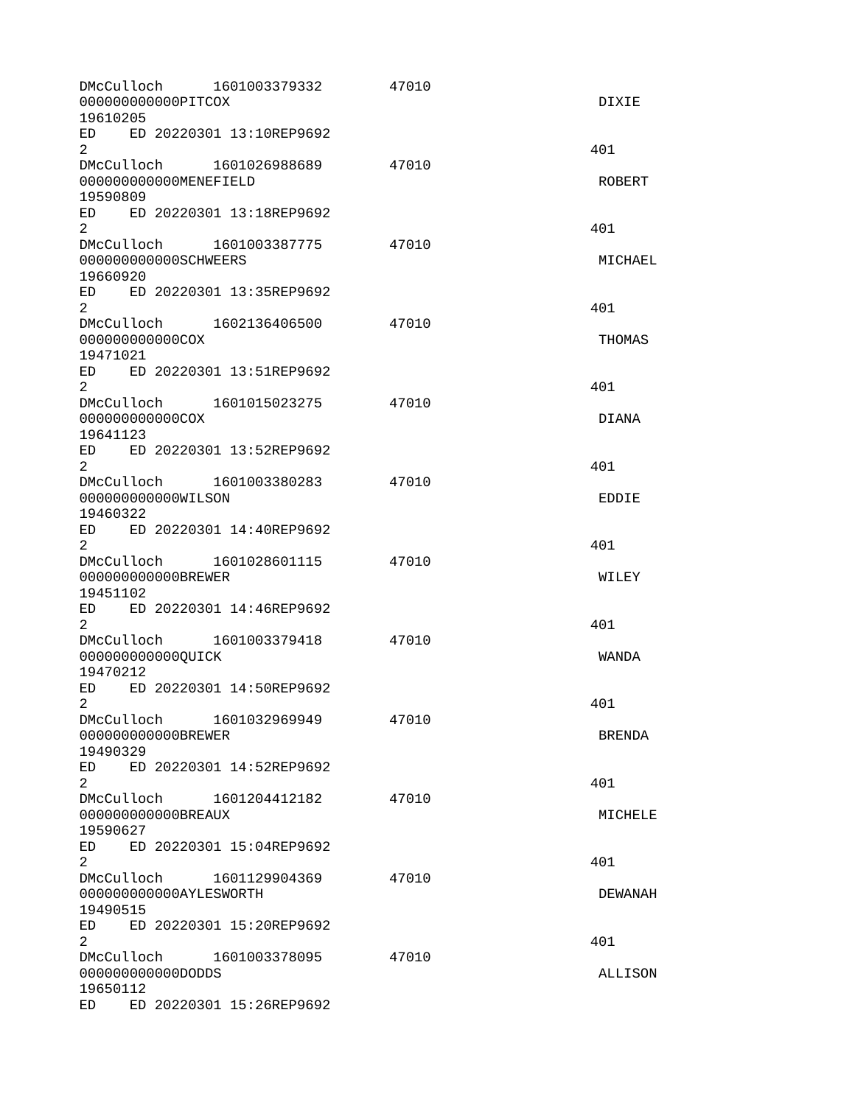| 000000000000PITC0X<br>19610205                                                                                                                                                                                                                   | DMcCulloch 1601003379332    | 47010 | <b>DIXIE</b>   |
|--------------------------------------------------------------------------------------------------------------------------------------------------------------------------------------------------------------------------------------------------|-----------------------------|-------|----------------|
| $\overline{2}$                                                                                                                                                                                                                                   | ED ED 20220301 13:10REP9692 |       | 401            |
| 000000000000MENEFIELD<br>19590809                                                                                                                                                                                                                | DMcCulloch 1601026988689    | 47010 | <b>ROBERT</b>  |
| ED and the set of the set of the set of the set of the set of the set of the set of the set of the set of the set of the set of the set of the set of the set of the set of the set of the set of the set of the set of the se<br>$\overline{2}$ | ED 20220301 13:18REP9692    |       | 401            |
| 000000000000SCHWEERS<br>19660920                                                                                                                                                                                                                 | DMcCulloch 1601003387775    | 47010 | MICHAEL        |
| ED<br>$\overline{2}$                                                                                                                                                                                                                             | ED 20220301 13:35REP9692    |       | 401            |
| 000000000000C0X<br>19471021                                                                                                                                                                                                                      | DMcCulloch 1602136406500    | 47010 | THOMAS         |
| ED.<br>$\overline{2}$                                                                                                                                                                                                                            | ED 20220301 13:51REP9692    |       | 401            |
| 000000000000C0X<br>19641123                                                                                                                                                                                                                      | DMcCulloch 1601015023275    | 47010 | <b>DIANA</b>   |
| 2                                                                                                                                                                                                                                                | ED ED 20220301 13:52REP9692 |       | 401            |
| 000000000000WILSON<br>19460322                                                                                                                                                                                                                   | DMcCulloch 1601003380283    | 47010 | EDDIE          |
| $\overline{2}$                                                                                                                                                                                                                                   | ED ED 20220301 14:40REP9692 |       | 401            |
| 00000000000BREWER<br>19451102                                                                                                                                                                                                                    | DMcCulloch 1601028601115    | 47010 | WILEY          |
| ED<br>2                                                                                                                                                                                                                                          | ED 20220301 14:46REP9692    |       | 401            |
| 000000000000QUICK<br>19470212                                                                                                                                                                                                                    | DMcCulloch 1601003379418    | 47010 | WANDA          |
| ED.<br>2.                                                                                                                                                                                                                                        | ED 20220301 14:50REP9692    |       | 401            |
| DMcCulloch<br>00000000000BREWER<br>19490329                                                                                                                                                                                                      | 1601032969949               | 47010 | <b>BRENDA</b>  |
| ED<br>$\overline{2}$                                                                                                                                                                                                                             | ED 20220301 14:52REP9692    |       | 401            |
| 000000000000BREAUX<br>19590627                                                                                                                                                                                                                   | DMcCulloch 1601204412182    | 47010 | MICHELE        |
| $\overline{2}$                                                                                                                                                                                                                                   | ED ED 20220301 15:04REP9692 |       | 401            |
| DMcCulloch<br>000000000000AYLESWORTH<br>19490515                                                                                                                                                                                                 | 1601129904369               | 47010 | <b>DEWANAH</b> |
| ED and the set of the set of the set of the set of the set of the set of the set of the set of the set of the set of the set of the set of the set of the set of the set of the set of the set of the set of the set of the se<br>$\overline{2}$ | ED 20220301 15:20REP9692    |       | 401            |
| 0000000000000DDS<br>19650112                                                                                                                                                                                                                     | DMcCulloch 1601003378095    | 47010 | ALLISON        |
| ED and the set of the set of the set of the set of the set of the set of the set of the set of the set of the set of the set of the set of the set of the set of the set of the set of the set of the set of the set of the se                   | ED 20220301 15:26REP9692    |       |                |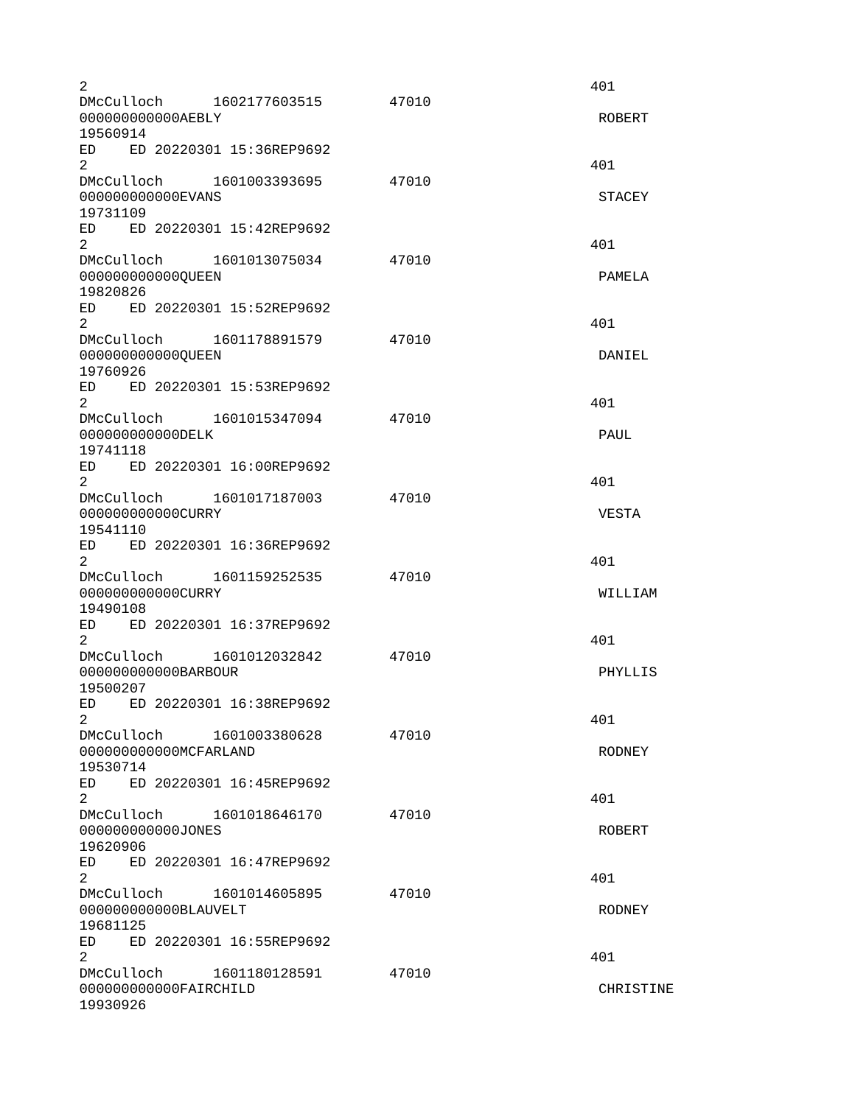| 2                                        |                                                         |       | 401           |
|------------------------------------------|---------------------------------------------------------|-------|---------------|
| 00000000000AEBLY<br>19560914             | DMcCulloch 1602177603515                                | 47010 | <b>ROBERT</b> |
|                                          | ED ED 20220301 15:36REP9692                             |       |               |
| $\overline{2}$                           | DMcCulloch 1601003393695                                | 47010 | 401           |
| 000000000000EVANS<br>19731109            |                                                         |       | <b>STACEY</b> |
| $\overline{2}$                           | ED ED 20220301 15:42REP9692                             |       | 401           |
| 00000000000QUEEN<br>19820826             | DMcCulloch 1601013075034                                | 47010 | PAMELA        |
| ED.<br>2                                 | ED 20220301 15:52REP9692                                |       | 401           |
| 00000000000QUEEN<br>19760926             | DMcCulloch 1601178891579                                | 47010 | DANIEL        |
| ED<br>$\overline{2}$                     | ED 20220301 15:53REP9692                                |       | 401           |
| 00000000000DELK<br>19741118              | DMcCulloch 1601015347094                                | 47010 | PAUL          |
| 2                                        | ED ED 20220301 16:00REP9692<br>DMcCulloch 1601017187003 | 47010 | 401           |
| 000000000000CURRY<br>19541110            |                                                         |       | <b>VESTA</b>  |
| $\overline{2}$                           | ED ED 20220301 16:36REP9692<br>DMcCulloch 1601159252535 | 47010 | 401           |
| 000000000000CURRY<br>19490108<br>ED      | ED 20220301 16:37REP9692                                |       | WILLIAM       |
| 2<br>DMcCulloch                          | 1601012032842                                           | 47010 | 401           |
| 000000000000BARBOUR<br>19500207          |                                                         |       | PHYLLIS       |
| $\overline{2}$<br>DMcCulloch             | ED ED 20220301 16:38REP9692                             |       | 401           |
| 000000000000MCFARLAND<br>19530714<br>ED. | 1601003380628<br>ED 20220301 16:45REP9692               | 47010 | <b>RODNEY</b> |
| 2<br>DMcCulloch                          | 1601018646170                                           | 47010 | 401           |
| 000000000000JONES<br>19620906<br>ED      | ED 20220301 16:47REP9692                                |       | <b>ROBERT</b> |
| $\overline{2}$                           | DMcCulloch 1601014605895                                | 47010 | 401           |
| 000000000000BLAUVELT<br>19681125<br>ED   | ED 20220301 16:55REP9692                                |       | <b>RODNEY</b> |
| $\overline{2}$<br>DMcCulloch             | 1601180128591                                           | 47010 | 401           |
| 000000000000FAIRCHILD<br>19930926        |                                                         |       | CHRISTINE     |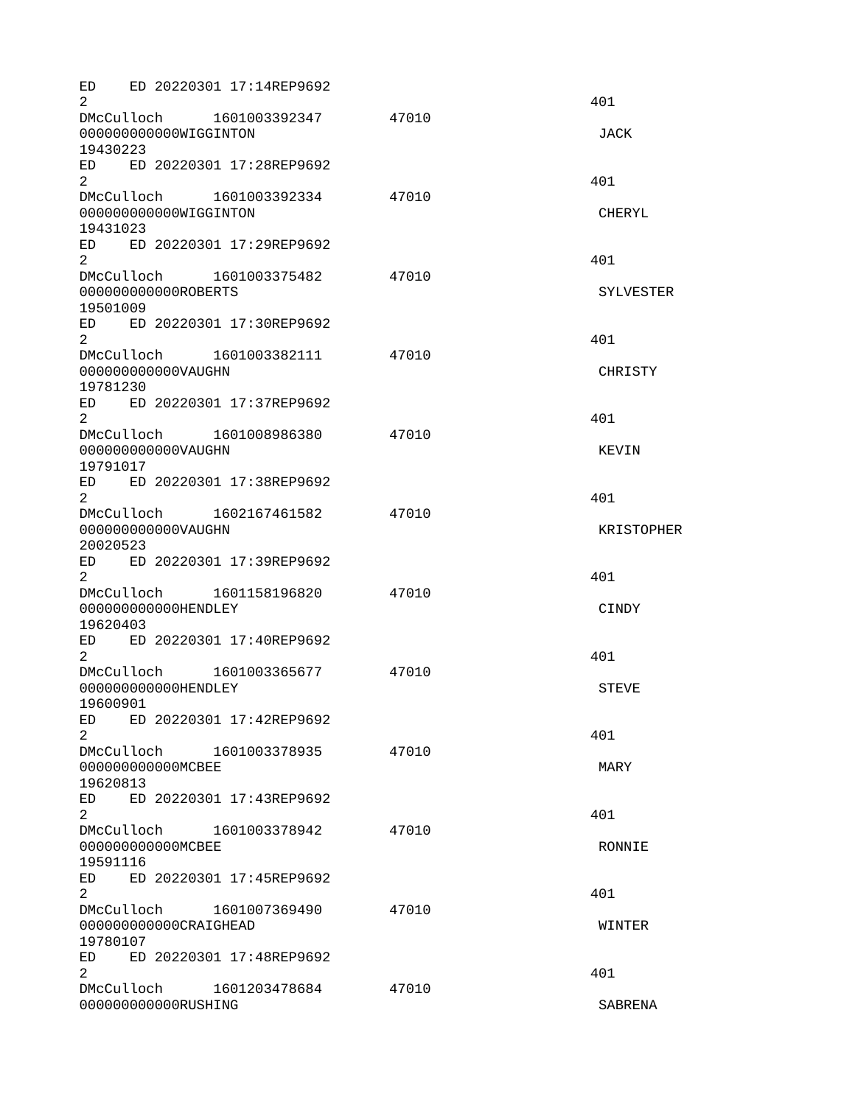ED ED 20220301 17:14REP9692  $2 \times 401$ DMcCulloch 1601003392347 47010 000000000000WIGGINTON JACK 19430223 ED ED 20220301 17:28REP9692  $2^{401}$ DMcCulloch 1601003392334 47010 000000000000WIGGINTON CHERYL 19431023 ED ED 20220301 17:29REP9692  $2^{401}$ DMcCulloch 1601003375482 47010 00000000000000ROBERTS SYLVESTER 19501009 ED ED 20220301 17:30REP9692  $2 \times 401$ DMcCulloch 1601003382111 47010 000000000000VAUGHN CHRISTY 19781230 ED ED 20220301 17:37REP9692  $2^{401}$ DMcCulloch 1601008986380 47010 000000000000VAUGHN KEVIN 19791017 ED ED 20220301 17:38REP9692  $2 \times 401$ DMcCulloch 1602167461582 47010 000000000000VAUGHN KRISTOPHER 20020523 ED ED 20220301 17:39REP9692  $2 \times 401$ DMcCulloch 1601158196820 47010 000000000000HENDLEY CINDY 19620403 ED ED 20220301 17:40REP9692  $2^{401}$ DMcCulloch 1601003365677 47010 000000000000HENDLEY STEVE 19600901 ED ED 20220301 17:42REP9692  $2^{401}$ DMcCulloch 1601003378935 47010 000000000000MCBEE MARY 19620813 ED ED 20220301 17:43REP9692  $2 \times 401$ DMcCulloch 1601003378942 47010 000000000000MCBEE RONNIE 19591116 ED ED 20220301 17:45REP9692  $2^{401}$ DMcCulloch 1601007369490 47010 000000000000CRAIGHEAD WINTER 19780107 ED ED 20220301 17:48REP9692  $2 \times 401$ DMcCulloch 1601203478684 47010 000000000000RUSHING SABRENA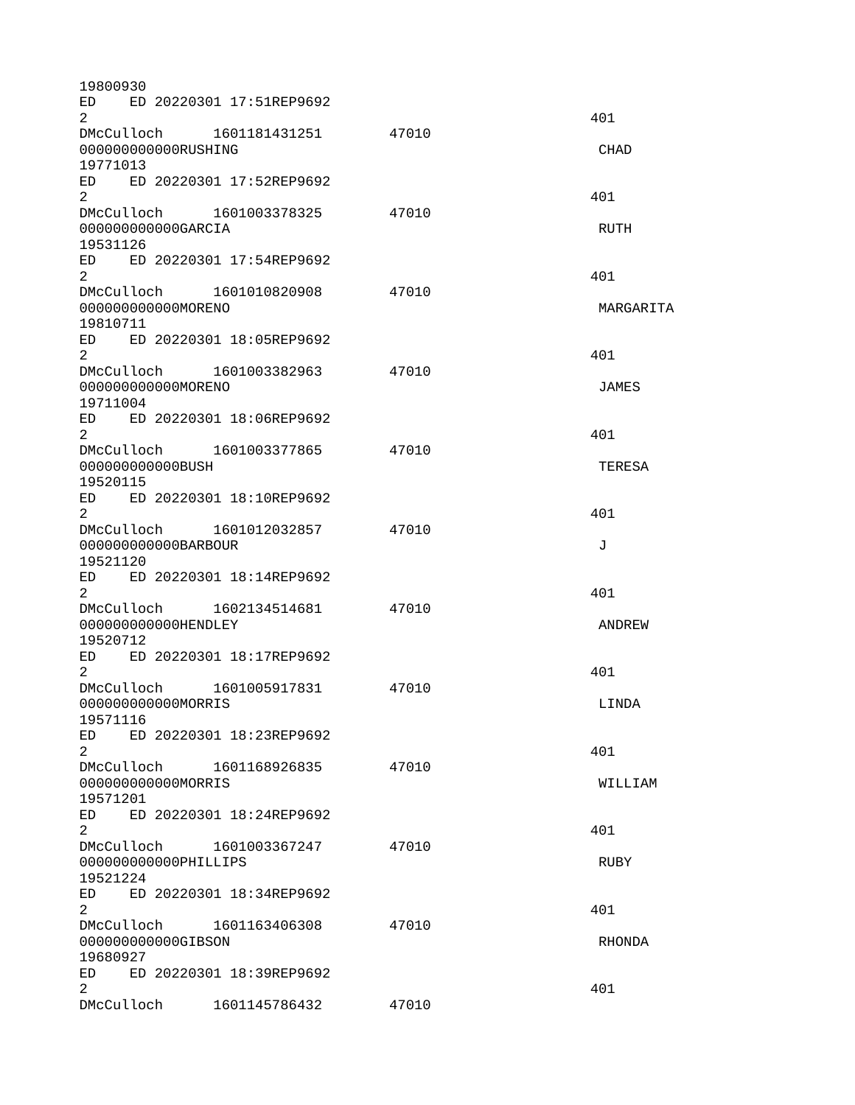| 19800930                                                                                                                                                                                                                       |                             |       |               |
|--------------------------------------------------------------------------------------------------------------------------------------------------------------------------------------------------------------------------------|-----------------------------|-------|---------------|
| ED.                                                                                                                                                                                                                            | ED 20220301 17:51REP9692    |       |               |
| $\overline{2}$                                                                                                                                                                                                                 |                             |       | 401           |
|                                                                                                                                                                                                                                | DMcCulloch 1601181431251    | 47010 |               |
| 000000000000RUSHING                                                                                                                                                                                                            |                             |       | <b>CHAD</b>   |
| 19771013                                                                                                                                                                                                                       |                             |       |               |
|                                                                                                                                                                                                                                | ED ED 20220301 17:52REP9692 |       |               |
| 2                                                                                                                                                                                                                              |                             |       | 401           |
|                                                                                                                                                                                                                                | DMcCulloch 1601003378325    | 47010 |               |
| 000000000000GARCIA                                                                                                                                                                                                             |                             |       | <b>RUTH</b>   |
| 19531126                                                                                                                                                                                                                       |                             |       |               |
|                                                                                                                                                                                                                                | ED ED 20220301 17:54REP9692 |       |               |
| $\overline{2}$                                                                                                                                                                                                                 |                             |       | 401           |
|                                                                                                                                                                                                                                | DMcCulloch 1601010820908    | 47010 |               |
| 000000000000MORENO                                                                                                                                                                                                             |                             |       | MARGARITA     |
| 19810711                                                                                                                                                                                                                       |                             |       |               |
| ED.                                                                                                                                                                                                                            | ED 20220301 18:05REP9692    |       |               |
| 2                                                                                                                                                                                                                              |                             |       | 401           |
|                                                                                                                                                                                                                                | DMcCulloch 1601003382963    | 47010 |               |
| 000000000000MORENO                                                                                                                                                                                                             |                             |       | <b>JAMES</b>  |
| 19711004                                                                                                                                                                                                                       |                             |       |               |
|                                                                                                                                                                                                                                | ED ED 20220301 18:06REP9692 |       |               |
| $\overline{2}$                                                                                                                                                                                                                 |                             |       | 401           |
|                                                                                                                                                                                                                                | DMcCulloch 1601003377865    | 47010 |               |
| 00000000000BUSH                                                                                                                                                                                                                |                             |       | <b>TERESA</b> |
| 19520115                                                                                                                                                                                                                       |                             |       |               |
| ED                                                                                                                                                                                                                             | ED 20220301 18:10REP9692    |       |               |
| $\overline{2}$                                                                                                                                                                                                                 |                             |       | 401           |
|                                                                                                                                                                                                                                | DMcCulloch 1601012032857    | 47010 |               |
| 000000000000BARBOUR                                                                                                                                                                                                            |                             |       | J             |
| 19521120                                                                                                                                                                                                                       |                             |       |               |
|                                                                                                                                                                                                                                | ED ED 20220301 18:14REP9692 |       |               |
| $\overline{2}$                                                                                                                                                                                                                 |                             |       | 401           |
| DMcCulloch                                                                                                                                                                                                                     | 1602134514681               | 47010 |               |
| 000000000000HENDLEY                                                                                                                                                                                                            |                             |       | ANDREW        |
| 19520712                                                                                                                                                                                                                       |                             |       |               |
| ED                                                                                                                                                                                                                             | ED 20220301 18:17REP9692    |       |               |
| $\overline{2}$                                                                                                                                                                                                                 |                             |       | 401           |
| DMcCulloch                                                                                                                                                                                                                     | 1601005917831               | 47010 |               |
| 000000000000MORRIS                                                                                                                                                                                                             |                             |       | LINDA         |
| 19571116                                                                                                                                                                                                                       |                             |       |               |
| ED                                                                                                                                                                                                                             | ED 20220301 18:23REP9692    |       |               |
| $\overline{2}$                                                                                                                                                                                                                 |                             |       | 401           |
|                                                                                                                                                                                                                                | DMcCulloch 1601168926835    | 47010 |               |
| 00000000000MORRIS                                                                                                                                                                                                              |                             |       | WILLIAM       |
| 19571201                                                                                                                                                                                                                       |                             |       |               |
| ED                                                                                                                                                                                                                             | ED 20220301 18:24REP9692    |       |               |
| $\overline{2}$                                                                                                                                                                                                                 |                             |       | 401           |
| DMcCulloch                                                                                                                                                                                                                     | 1601003367247               | 47010 |               |
| 000000000000PHILLIPS                                                                                                                                                                                                           |                             |       | <b>RUBY</b>   |
| 19521224                                                                                                                                                                                                                       |                             |       |               |
| ED and the set of the set of the set of the set of the set of the set of the set of the set of the set of the set of the set of the set of the set of the set of the set of the set of the set of the set of the set of the se | ED 20220301 18:34REP9692    |       |               |
| $\overline{2}$                                                                                                                                                                                                                 |                             |       | 401           |
|                                                                                                                                                                                                                                | DMcCulloch 1601163406308    | 47010 |               |
| 000000000000GIBSON                                                                                                                                                                                                             |                             |       | RHONDA        |
| 19680927                                                                                                                                                                                                                       |                             |       |               |
| ED                                                                                                                                                                                                                             | ED 20220301 18:39REP9692    |       |               |
| $\overline{2}$                                                                                                                                                                                                                 |                             |       | 401           |
| DMcCulloch                                                                                                                                                                                                                     | 1601145786432               | 47010 |               |
|                                                                                                                                                                                                                                |                             |       |               |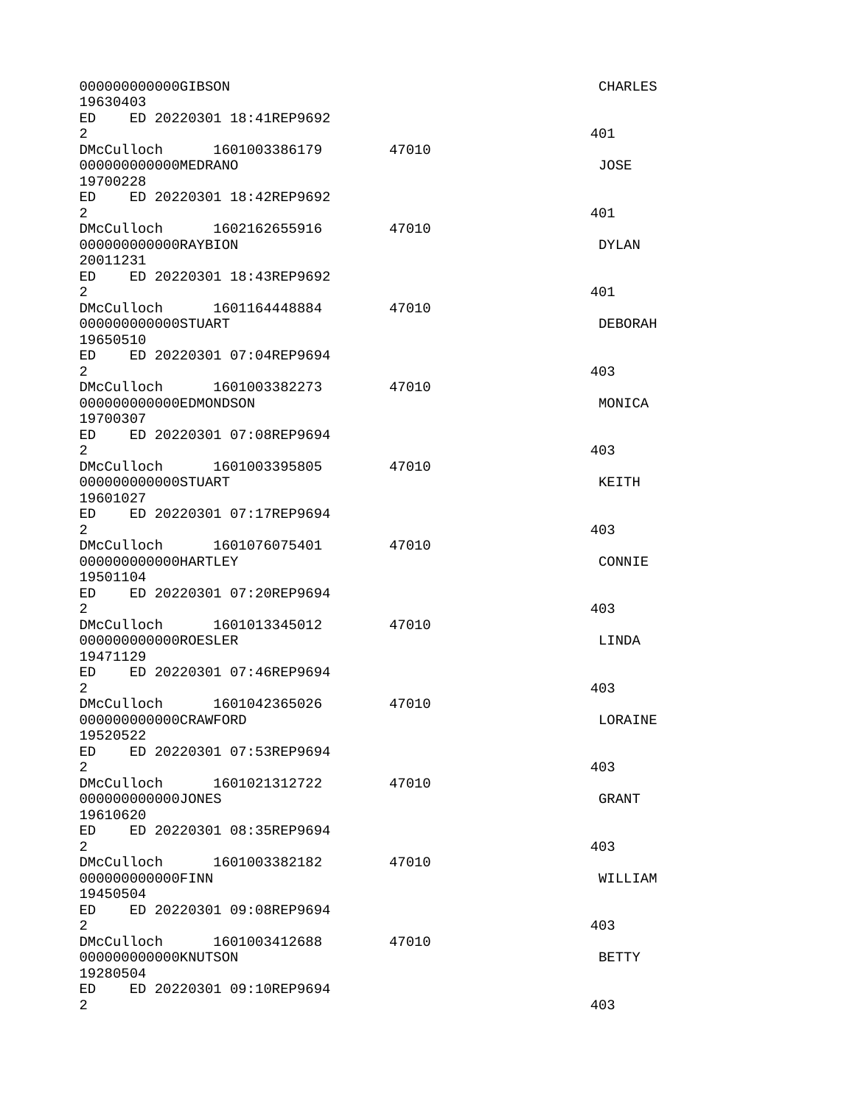| 000000000000GIBS0N<br>19630403                                         | <b>CHARLES</b> |
|------------------------------------------------------------------------|----------------|
| ED ED 20220301 18:41REP9692<br>$\overline{2}$                          | 401            |
| DMcCulloch 1601003386179<br>47010<br>000000000000MEDRANO               | J0SE           |
| 19700228<br>ED ED 20220301 18:42REP9692<br>$\overline{2}$              | 401            |
| DMcCulloch 1602162655916<br>47010<br>000000000000RAYBION<br>20011231   | <b>DYLAN</b>   |
| ED ED 20220301 18:43REP9692<br>$\overline{2}$                          | 401            |
| DMcCulloch 1601164448884<br>47010<br>000000000000STUART<br>19650510    | <b>DEBORAH</b> |
| ED<br>ED 20220301 07:04REP9694<br>$\overline{2}$                       | 403            |
| DMcCulloch 1601003382273<br>47010<br>000000000000EDMONDSON<br>19700307 | MONICA         |
| ED ED 20220301 07:08REP9694<br>$\overline{2}$                          | 403            |
| DMcCulloch<br>47010<br>1601003395805<br>000000000000STUART<br>19601027 | KEITH          |
| ED ED 20220301 07:17REP9694<br>$\overline{2}$                          | 403            |
| DMcCulloch 1601076075401<br>47010<br>000000000000HARTLEY<br>19501104   | CONNIE         |
| ED ED 20220301 07:20REP9694<br>$\overline{2}$                          | 403            |
| DMcCulloch 1601013345012<br>47010<br>00000000000R0ESLER<br>19471129    | LINDA          |
| ED<br>ED 20220301 07:46REP9694<br>2                                    | 403            |
| DMcCulloch 1601042365026<br>47010<br>000000000000CRAWFORD<br>19520522  | LORAINE        |
| ED<br>ED 20220301 07:53REP9694<br>$\overline{2}$                       | 403            |
| DMcCulloch  1601021312722<br>47010<br>000000000000JONES<br>19610620    | GRANT          |
| ED<br>ED 20220301 08:35REP9694<br>$\overline{2}$                       | 403            |
| DMcCulloch 1601003382182<br>47010<br>00000000000FINN<br>19450504       | WILLIAM        |
| ED ED 20220301 09:08REP9694<br>$\overline{2}$                          | 403            |
| DMcCulloch 1601003412688<br>47010<br>000000000000KNUTSON<br>19280504   | <b>BETTY</b>   |
| ED 20220301 09:10REP9694<br>ED.<br>$\overline{2}$                      | 403            |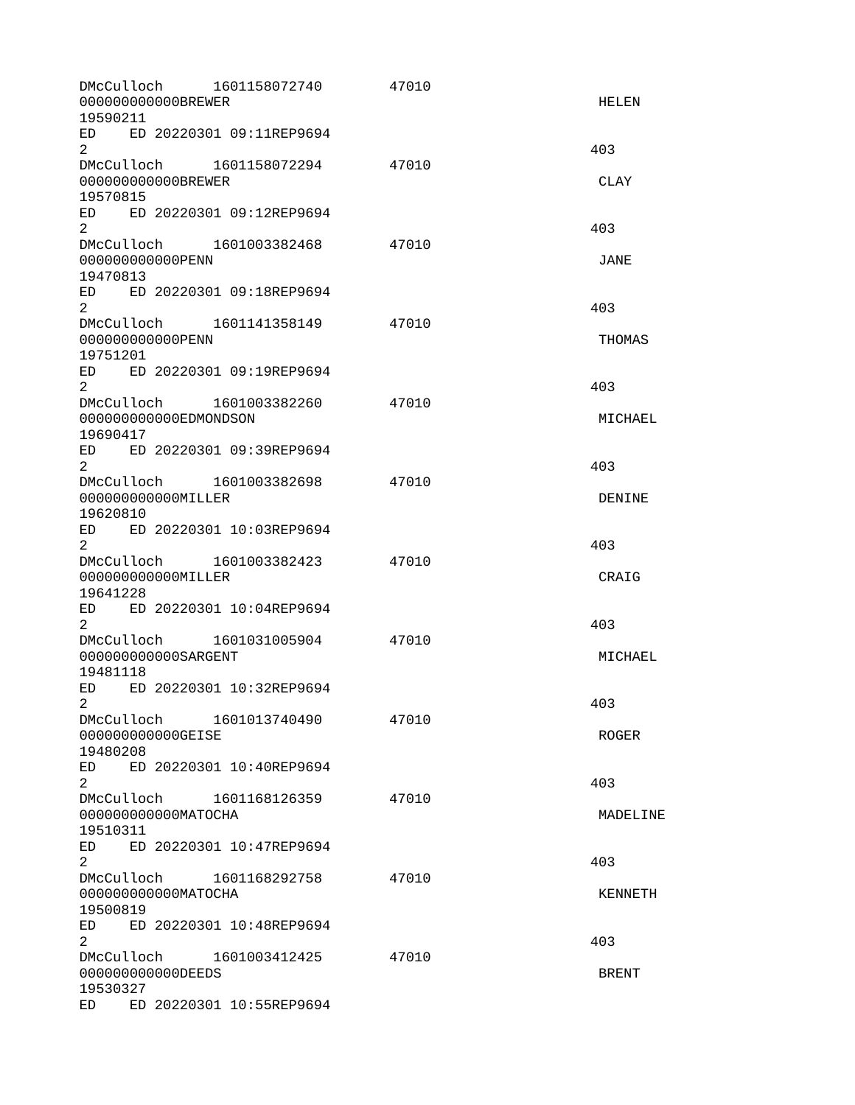| DMcCulloch<br>000000000000BREWER<br>19590211                                                                                                                                                                                                     | 1601158072740            | 47010 | <b>HELEN</b>   |
|--------------------------------------------------------------------------------------------------------------------------------------------------------------------------------------------------------------------------------------------------|--------------------------|-------|----------------|
| ED ED 20220301 09:11REP9694<br>$\overline{2}$                                                                                                                                                                                                    |                          |       | 403            |
| DMcCulloch<br>000000000000BREWER<br>19570815                                                                                                                                                                                                     | 1601158072294            | 47010 | <b>CLAY</b>    |
| ED and the set of the set of the set of the set of the set of the set of the set of the set of the set of the set of the set of the set of the set of the set of the set of the set of the set of the set of the set of the se<br>$\overline{2}$ | ED 20220301 09:12REP9694 |       | 403            |
| DMcCulloch 1601003382468<br>00000000000PENN<br>19470813                                                                                                                                                                                          |                          | 47010 | JANE           |
| ED<br>ED 20220301 09:18REP9694<br>$\overline{2}$                                                                                                                                                                                                 |                          |       | 403            |
| DMcCulloch 1601141358149<br>00000000000PENN<br>19751201                                                                                                                                                                                          |                          | 47010 | THOMAS         |
| ED<br>$\overline{2}$                                                                                                                                                                                                                             | ED 20220301 09:19REP9694 |       | 403            |
| DMcCulloch 1601003382260<br>000000000000EDMONDSON<br>19690417                                                                                                                                                                                    |                          | 47010 | MICHAEL        |
| ED ED 20220301 09:39REP9694<br>2                                                                                                                                                                                                                 |                          |       | 403            |
| DMcCulloch 1601003382698<br>00000000000MILLER<br>19620810                                                                                                                                                                                        |                          | 47010 | <b>DENINE</b>  |
| ED ED 20220301 10:03REP9694<br>$\overline{2}$                                                                                                                                                                                                    |                          |       | 403            |
| DMcCulloch<br>00000000000MILLER<br>19641228                                                                                                                                                                                                      | 1601003382423            | 47010 | CRAIG          |
| ED 20220301 10:04REP9694<br>ED<br>2                                                                                                                                                                                                              |                          |       | 403            |
| DMcCulloch<br>000000000000SARGENT<br>19481118                                                                                                                                                                                                    | 1601031005904            | 47010 | MICHAEL        |
| ED 20220301 10:32REP9694<br>ED<br>2.                                                                                                                                                                                                             |                          |       | 403            |
| DMcCulloch<br>000000000000GEISE<br>19480208                                                                                                                                                                                                      | 1601013740490            | 47010 | <b>ROGER</b>   |
| ED<br>ED 20220301 10:40REP9694<br>2                                                                                                                                                                                                              |                          |       | 403            |
| DMcCulloch 1601168126359<br>000000000000MATOCHA<br>19510311                                                                                                                                                                                      |                          | 47010 | MADELINE       |
| ED ED 20220301 10:47REP9694<br>$\overline{2}$                                                                                                                                                                                                    |                          |       | 403            |
| DMcCulloch<br>000000000000MATOCHA<br>19500819                                                                                                                                                                                                    | 1601168292758            | 47010 | <b>KENNETH</b> |
| ED and the set of the set of the set of the set of the set of the set of the set of the set of the set of the set of the set of the set of the set of the set of the set of the set of the set of the set of the set of the se<br>$\overline{2}$ | ED 20220301 10:48REP9694 |       | 403            |
| DMcCulloch 1601003412425<br>00000000000DEEDS<br>19530327                                                                                                                                                                                         |                          | 47010 | <b>BRENT</b>   |
| ED and the set of the set of the set of the set of the set of the set of the set of the set of the set of the set of the set of the set of the set of the set of the set of the set of the set of the set of the set of the se                   | ED 20220301 10:55REP9694 |       |                |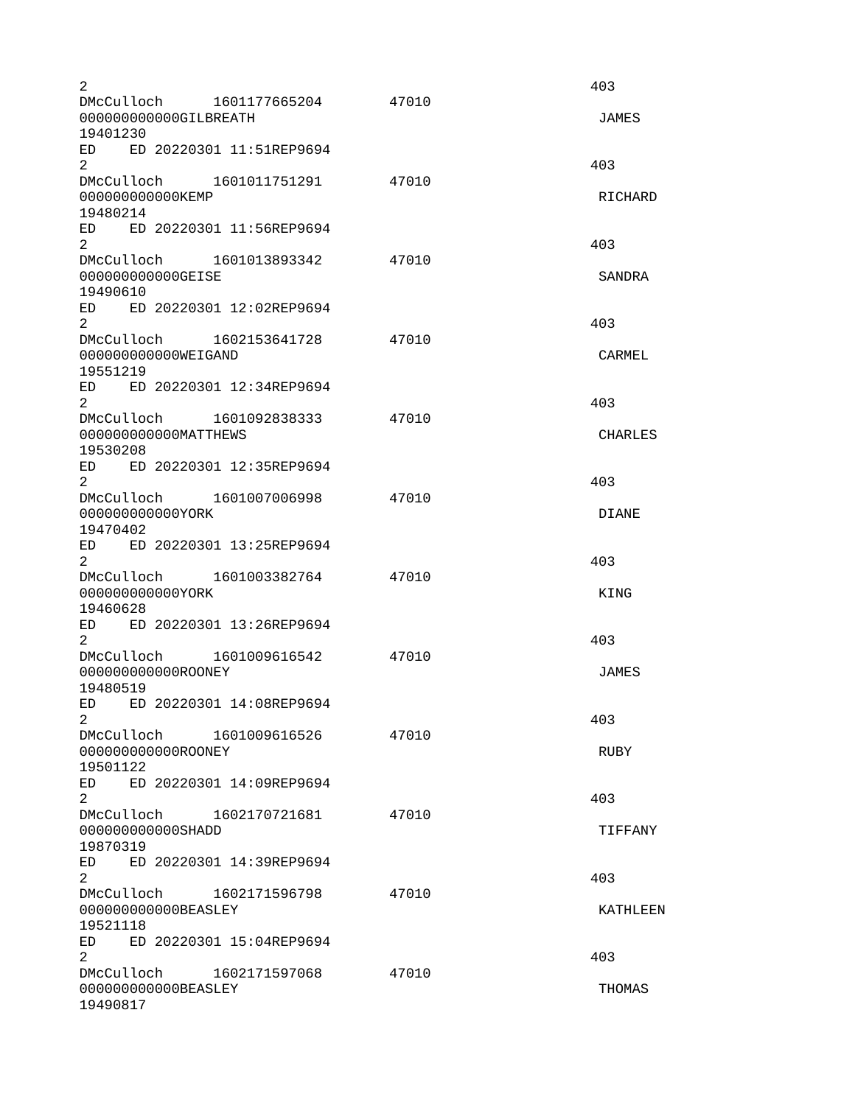| $\overline{2}$                                                            |       | 403             |
|---------------------------------------------------------------------------|-------|-----------------|
| DMcCulloch 1601177665204<br>000000000000GILBREATH<br>19401230             | 47010 | <b>JAMES</b>    |
| ED ED 20220301 11:51REP9694                                               |       |                 |
| $\overline{2}$<br>DMcCulloch 1601011751291                                | 47010 | 403             |
| 00000000000KEMP<br>19480214                                               |       | <b>RICHARD</b>  |
| ED ED 20220301 11:56REP9694<br>$\overline{2}$                             |       | 403             |
| DMcCulloch 1601013893342<br>000000000000GEISE<br>19490610                 | 47010 | SANDRA          |
| ED 20220301 12:02REP9694<br>ED.<br>2                                      |       | 403             |
| DMcCulloch 1602153641728<br>000000000000WEIGAND<br>19551219               | 47010 | CARMEL          |
| ED<br>ED 20220301 12:34REP9694<br>$\overline{2}$                          |       | 403             |
| DMcCulloch 1601092838333<br>000000000000MATTHEWS<br>19530208              | 47010 | <b>CHARLES</b>  |
| ED ED 20220301 12:35REP9694<br>2                                          |       | 403             |
| DMcCulloch 1601007006998<br>000000000000Y0RK<br>19470402                  | 47010 | <b>DIANE</b>    |
| ED ED 20220301 13:25REP9694<br>$\overline{2}$<br>DMcCulloch 1601003382764 | 47010 | 403             |
| 000000000000Y0RK<br>19460628<br>ED 20220301 13:26REP9694<br>ED            |       | KING            |
| 2<br>DMcCulloch 1601009616542                                             | 47010 | 403             |
| 00000000000R00NEY<br>19480519                                             |       | <b>JAMES</b>    |
| ED ED 20220301 14:08REP9694<br>2<br>DMcCulloch<br>1601009616526           | 47010 | 403             |
| 000000000000R00NEY<br>19501122<br>ED<br>ED 20220301 14:09REP9694          |       | <b>RUBY</b>     |
| $\overline{2}$<br>DMcCulloch 1602170721681                                | 47010 | 403             |
| 000000000000SHADD<br>19870319<br>ED<br>ED 20220301 14:39REP9694           |       | TIFFANY         |
| $\overline{2}$<br>DMcCulloch<br>1602171596798                             | 47010 | 403             |
| 000000000000BEASLEY<br>19521118<br>ED<br>ED 20220301 15:04REP9694         |       | <b>KATHLEEN</b> |
| $\overline{2}$<br>DMcCulloch<br>1602171597068                             | 47010 | 403             |
| 000000000000BEASLEY<br>19490817                                           |       | THOMAS          |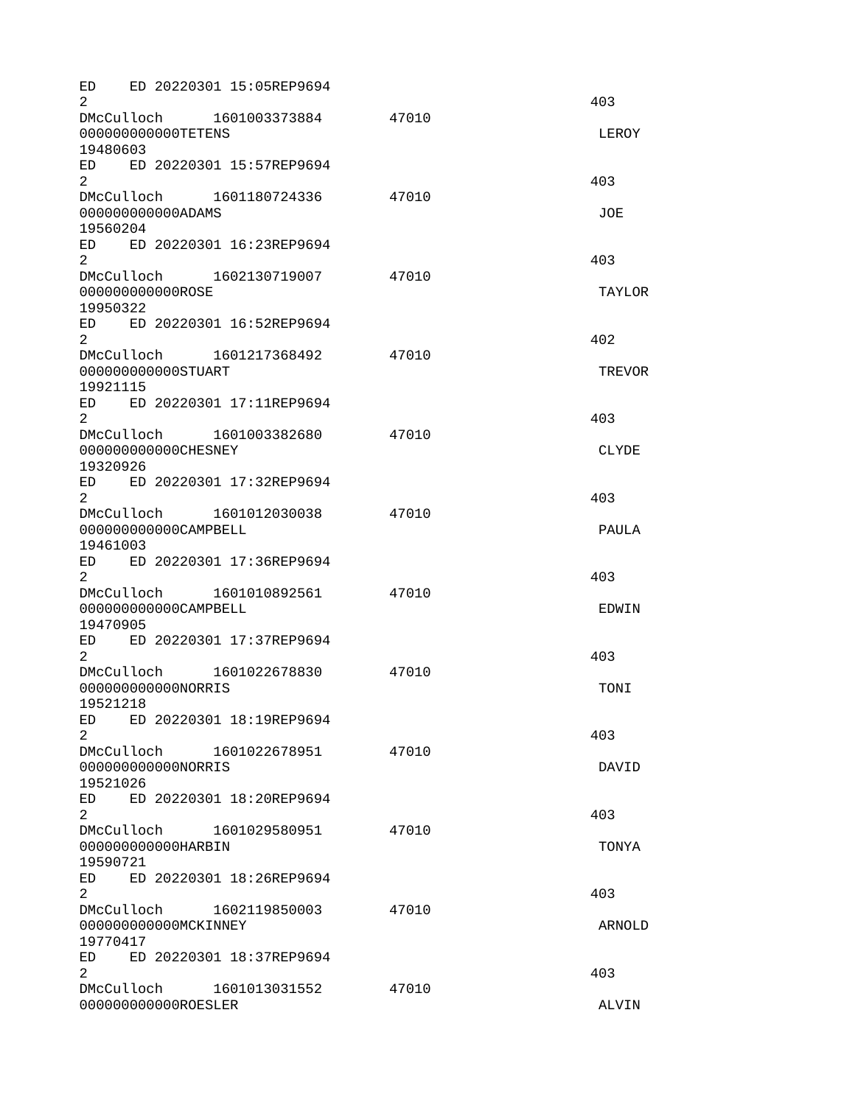| ED<br>2                                   |                      | ED 20220301 15:05REP9694 |       | 403           |
|-------------------------------------------|----------------------|--------------------------|-------|---------------|
| DMcCulloch                                | 000000000000TETENS   | 1601003373884            | 47010 | <b>LEROY</b>  |
| 19480603                                  |                      |                          |       |               |
| ED.<br>$\overline{2}$                     |                      | ED 20220301 15:57REP9694 |       | 403           |
| DMcCulloch                                | 000000000000ADAMS    | 1601180724336            | 47010 | J0E           |
| 19560204                                  |                      |                          |       |               |
| ED<br>$\overline{2}$                      |                      | ED 20220301 16:23REP9694 |       | 403           |
| DMcCulloch<br>00000000000R0SE<br>19950322 |                      | 1602130719007            | 47010 | <b>TAYLOR</b> |
| ED<br>2                                   |                      | ED 20220301 16:52REP9694 |       | 402           |
| DMcCulloch                                |                      | 1601217368492            | 47010 |               |
| 19921115                                  | 000000000000STUART   |                          |       | <b>TREVOR</b> |
| ED<br>$\overline{c}$                      |                      | ED 20220301 17:11REP9694 |       | 403           |
| DMcCulloch                                | 000000000000CHESNEY  | 1601003382680            | 47010 |               |
| 19320926                                  |                      |                          |       | <b>CLYDE</b>  |
| ED<br>2                                   |                      | ED 20220301 17:32REP9694 |       | 403           |
| DMcCulloch                                | 000000000000CAMPBELL | 1601012030038            | 47010 | <b>PAULA</b>  |
| 19461003                                  |                      |                          |       |               |
| ED.<br>$\overline{2}$                     |                      | ED 20220301 17:36REP9694 |       | 403           |
| DMcCulloch                                | 000000000000CAMPBELL | 1601010892561            | 47010 | EDWIN         |
| 19470905                                  |                      |                          |       |               |
| ED<br>2                                   |                      | ED 20220301 17:37REP9694 |       | 403           |
| DMcCulloch                                | 000000000000NORRIS   | 1601022678830            | 47010 | TONI          |
| 19521218                                  |                      |                          |       |               |
| ED.<br>$\overline{2}$                     |                      | ED 20220301 18:19REP9694 |       | 403           |
| DMcCulloch                                | 0000000000000RRIS    | 1601022678951            | 47010 | DAVID         |
| 19521026                                  |                      |                          |       |               |
| ED<br>2                                   |                      | ED 20220301 18:20REP9694 |       | 403           |
| DMcCulloch                                |                      | 1601029580951            | 47010 |               |
| 19590721                                  | 000000000000HARBIN   |                          |       | <b>TONYA</b>  |
| ED<br>$\overline{2}$                      |                      | ED 20220301 18:26REP9694 |       | 403           |
| DMcCulloch                                |                      | 1602119850003            | 47010 |               |
| 19770417                                  | 000000000000MCKINNEY |                          |       | ARNOLD        |
| ED                                        |                      | ED 20220301 18:37REP9694 |       |               |
| $\overline{2}$<br>DMcCulloch              |                      | 1601013031552            | 47010 | 403           |
|                                           | 00000000000R0ESLER   |                          |       | <b>ALVIN</b>  |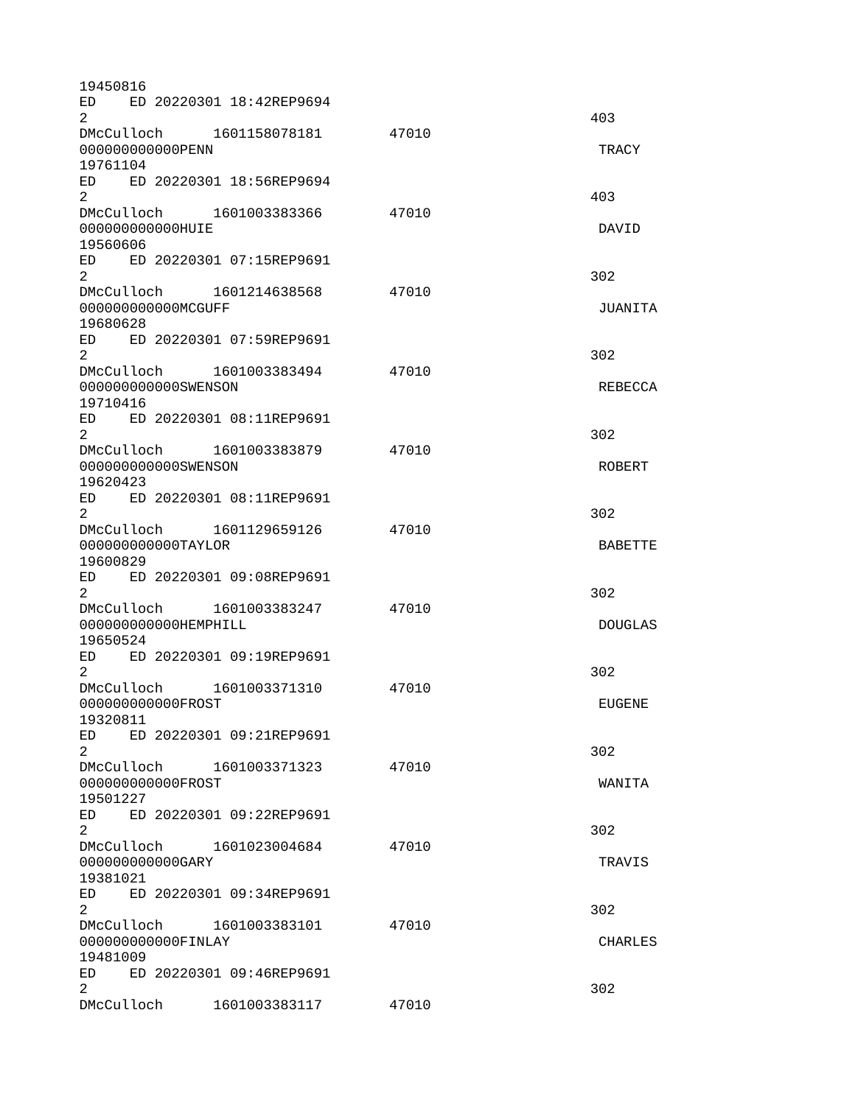| 19450816                                                                                                                                                                                                                                         |                             |       |                |
|--------------------------------------------------------------------------------------------------------------------------------------------------------------------------------------------------------------------------------------------------|-----------------------------|-------|----------------|
| ED.<br>$\overline{2}$                                                                                                                                                                                                                            | ED 20220301 18:42REP9694    |       | 403            |
|                                                                                                                                                                                                                                                  | DMcCulloch 1601158078181    | 47010 |                |
| 00000000000PENN                                                                                                                                                                                                                                  |                             |       | <b>TRACY</b>   |
| 19761104                                                                                                                                                                                                                                         |                             |       |                |
|                                                                                                                                                                                                                                                  | ED ED 20220301 18:56REP9694 |       |                |
| $\overline{2}$<br>DMcCulloch                                                                                                                                                                                                                     |                             | 47010 | 403            |
| 00000000000HUIE                                                                                                                                                                                                                                  | 1601003383366               |       | DAVID          |
| 19560606                                                                                                                                                                                                                                         |                             |       |                |
|                                                                                                                                                                                                                                                  | ED ED 20220301 07:15REP9691 |       |                |
| $\overline{2}$                                                                                                                                                                                                                                   |                             |       | 302            |
|                                                                                                                                                                                                                                                  | DMcCulloch 1601214638568    | 47010 |                |
| 00000000000MCGUFF<br>19680628                                                                                                                                                                                                                    |                             |       | JUANITA        |
| ED.                                                                                                                                                                                                                                              | ED 20220301 07:59REP9691    |       |                |
| 2                                                                                                                                                                                                                                                |                             |       | 302            |
|                                                                                                                                                                                                                                                  | DMcCulloch 1601003383494    | 47010 |                |
| 000000000000SWENSON                                                                                                                                                                                                                              |                             |       | REBECCA        |
| 19710416                                                                                                                                                                                                                                         |                             |       |                |
| $\overline{2}$                                                                                                                                                                                                                                   | ED ED 20220301 08:11REP9691 |       |                |
|                                                                                                                                                                                                                                                  | DMcCulloch 1601003383879    | 47010 | 302            |
| 000000000000SWENSON                                                                                                                                                                                                                              |                             |       | <b>ROBERT</b>  |
| 19620423                                                                                                                                                                                                                                         |                             |       |                |
| ED and the set of the set of the set of the set of the set of the set of the set of the set of the set of the set of the set of the set of the set of the set of the set of the set of the set of the set of the set of the se                   | ED 20220301 08:11REP9691    |       |                |
| $\overline{2}$                                                                                                                                                                                                                                   |                             |       | 302            |
|                                                                                                                                                                                                                                                  | DMcCulloch 1601129659126    | 47010 |                |
| 000000000000TAYLOR<br>19600829                                                                                                                                                                                                                   |                             |       | <b>BABETTE</b> |
|                                                                                                                                                                                                                                                  | ED ED 20220301 09:08REP9691 |       |                |
| $\overline{2}$                                                                                                                                                                                                                                   |                             |       | 302            |
|                                                                                                                                                                                                                                                  | DMcCulloch 1601003383247    | 47010 |                |
| 000000000000HEMPHILL                                                                                                                                                                                                                             |                             |       | <b>DOUGLAS</b> |
| 19650524                                                                                                                                                                                                                                         |                             |       |                |
| ED<br>2                                                                                                                                                                                                                                          | ED 20220301 09:19REP9691    |       |                |
| DMcCulloch                                                                                                                                                                                                                                       | 1601003371310               | 47010 | 302            |
| 00000000000FR0ST                                                                                                                                                                                                                                 |                             |       | <b>EUGENE</b>  |
| 19320811                                                                                                                                                                                                                                         |                             |       |                |
| ED                                                                                                                                                                                                                                               | ED 20220301 09:21REP9691    |       |                |
| $\mathbf{2}^{\prime}$                                                                                                                                                                                                                            |                             |       | 302            |
|                                                                                                                                                                                                                                                  | DMcCulloch 1601003371323    | 47010 |                |
| 00000000000FR0ST<br>19501227                                                                                                                                                                                                                     |                             |       | WANITA         |
| ED                                                                                                                                                                                                                                               | ED 20220301 09:22REP9691    |       |                |
| $\overline{2}$                                                                                                                                                                                                                                   |                             |       | 302            |
|                                                                                                                                                                                                                                                  | DMcCulloch 1601023004684    | 47010 |                |
| 000000000000GARY                                                                                                                                                                                                                                 |                             |       | TRAVIS         |
| 19381021                                                                                                                                                                                                                                         |                             |       |                |
| ED and the set of the set of the set of the set of the set of the set of the set of the set of the set of the set of the set of the set of the set of the set of the set of the set of the set of the set of the set of the se<br>$\overline{2}$ | ED 20220301 09:34REP9691    |       | 302            |
| DMcCulloch                                                                                                                                                                                                                                       | 1601003383101               | 47010 |                |
| 00000000000FINLAY                                                                                                                                                                                                                                |                             |       | <b>CHARLES</b> |
| 19481009                                                                                                                                                                                                                                         |                             |       |                |
| ED <sub>12</sub>                                                                                                                                                                                                                                 | ED 20220301 09:46REP9691    |       |                |
| $\overline{2}$                                                                                                                                                                                                                                   |                             |       | 302            |
| DMcCulloch                                                                                                                                                                                                                                       | 1601003383117               | 47010 |                |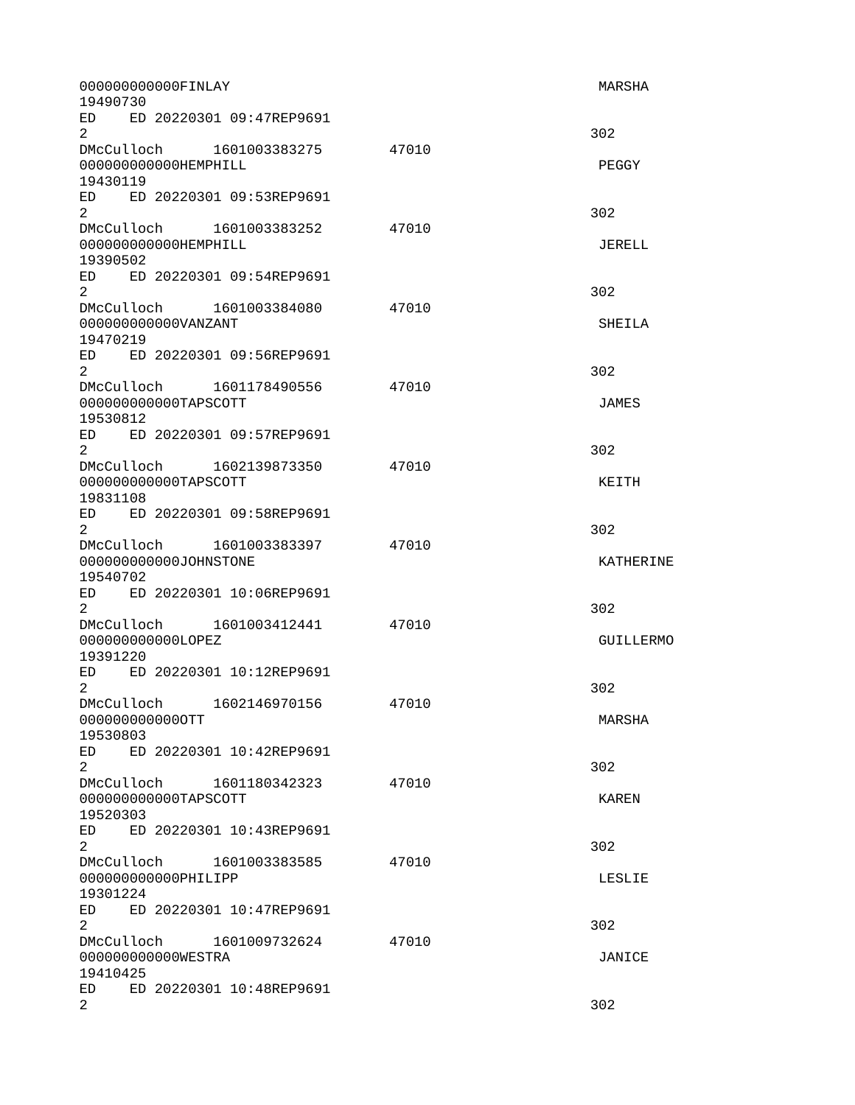| 00000000000FINLAY<br>19490730                                                                                                                                                                                                                                                |               |       | <b>MARSHA</b>    |
|------------------------------------------------------------------------------------------------------------------------------------------------------------------------------------------------------------------------------------------------------------------------------|---------------|-------|------------------|
| ED <sub>12</sub><br>ED 20220301 09:47REP9691<br>$\overline{2}$                                                                                                                                                                                                               |               |       | 302              |
| 000000000000HEMPHILL<br>19430119                                                                                                                                                                                                                                             |               | 47010 | PEGGY            |
| ED ED 20220301 09:53REP9691<br>$\overline{2}$                                                                                                                                                                                                                                |               |       | 302              |
| 000000000000HEMPHILL<br>19390502                                                                                                                                                                                                                                             |               | 47010 | <b>JERELL</b>    |
| ED ED 20220301 09:54REP9691<br>2 <sup>1</sup>                                                                                                                                                                                                                                |               |       | 302              |
| DMcCulloch 1601003384080<br>000000000000VANZANT<br>19470219                                                                                                                                                                                                                  |               | 47010 | SHEILA           |
| ED ED 20220301 09:56REP9691<br>$\overline{2}$                                                                                                                                                                                                                                |               |       | 302              |
| 000000000000TAPSC0TT<br>19530812                                                                                                                                                                                                                                             |               | 47010 | <b>JAMES</b>     |
| ED ED 20220301 09:57REP9691<br>$\overline{2}$                                                                                                                                                                                                                                |               |       | 302              |
| DMcCulloch 1602139873350<br>000000000000TAPSC0TT<br>19831108                                                                                                                                                                                                                 |               | 47010 | KEITH            |
| ED ED 20220301 09:58REP9691<br>$\overline{2}$                                                                                                                                                                                                                                |               |       | 302              |
| DMcCulloch 1601003383397<br>000000000000J0HNSTONE<br>19540702                                                                                                                                                                                                                |               | 47010 | KATHERINE        |
| ED ED 20220301 10:06REP9691<br>$\overline{2}$                                                                                                                                                                                                                                |               |       | 302              |
| 00000000000L0PEZ<br>19391220                                                                                                                                                                                                                                                 |               | 47010 | <b>GUILLERMO</b> |
| ED<br>ED 20220301 10:12REP9691<br>$\overline{2}$                                                                                                                                                                                                                             |               |       | 302              |
| DMcCulloch 1602146970156<br>000000000000TT<br>19530803                                                                                                                                                                                                                       |               | 47010 | <b>MARSHA</b>    |
| ED<br>ED 20220301 10:42REP9691<br>$\overline{2}$                                                                                                                                                                                                                             |               |       | 302              |
| DMcCulloch<br>000000000000TAPSC0TT<br>19520303                                                                                                                                                                                                                               | 1601180342323 | 47010 | <b>KAREN</b>     |
| ED<br>ED 20220301 10:43REP9691<br>$\overline{2}$                                                                                                                                                                                                                             |               |       | 302              |
| DMcCulloch 1601003383585<br>000000000000PHILIPP<br>19301224                                                                                                                                                                                                                  |               | 47010 | LESLIE           |
| ED and the set of the set of the set of the set of the set of the set of the set of the set of the set of the set of the set of the set of the set of the set of the set of the set of the set of the set of the set of the se<br>ED 20220301 10:47REP9691<br>$\overline{2}$ |               |       | 302              |
| DMcCulloch<br>000000000000WESTRA<br>19410425                                                                                                                                                                                                                                 | 1601009732624 | 47010 | JANICE           |
| ED<br>ED 20220301 10:48REP9691<br>$\overline{2}$                                                                                                                                                                                                                             |               |       | 302              |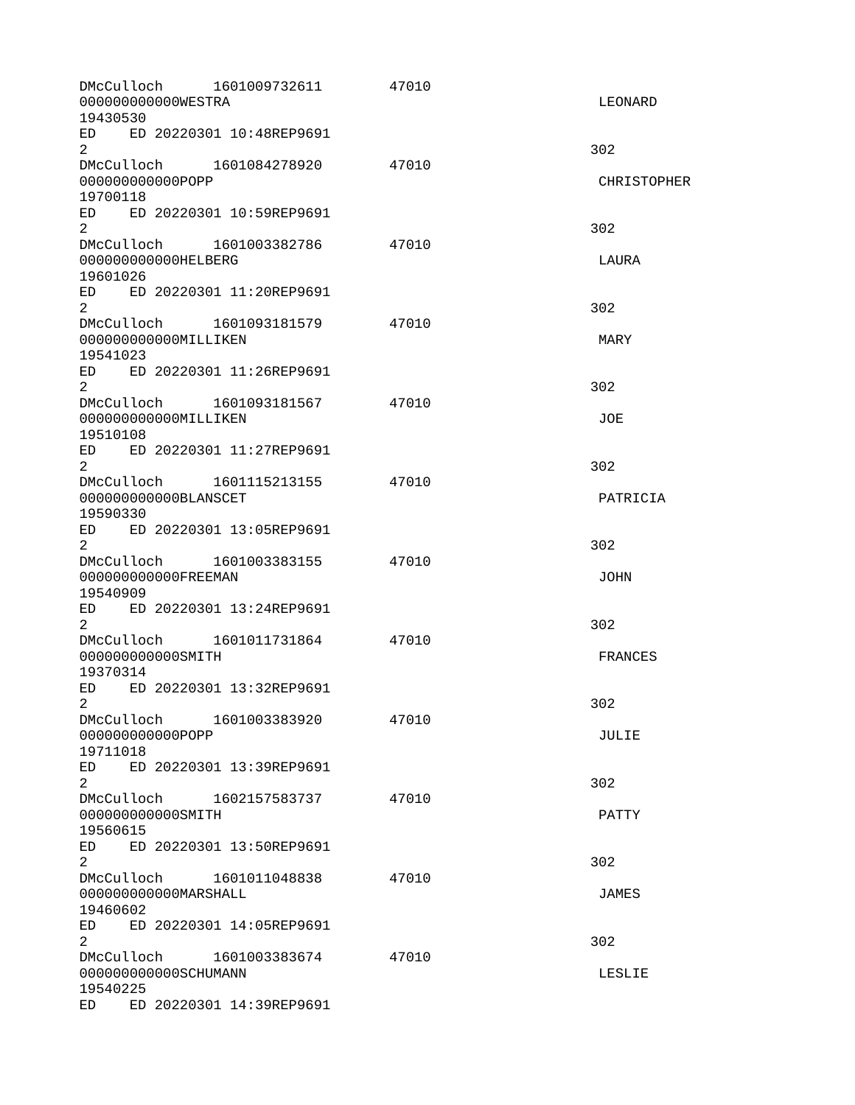| 000000000000WESTRA<br>19430530                                                                                                                                                                                                                   | DMcCulloch 1601009732611    | 47010 | LEONARD            |
|--------------------------------------------------------------------------------------------------------------------------------------------------------------------------------------------------------------------------------------------------|-----------------------------|-------|--------------------|
| $\overline{2}$                                                                                                                                                                                                                                   | ED ED 20220301 10:48REP9691 |       | 302                |
| DMcCulloch<br>000000000000POPP<br>19700118                                                                                                                                                                                                       | 1601084278920               | 47010 | <b>CHRISTOPHER</b> |
| ED and the set of the set of the set of the set of the set of the set of the set of the set of the set of the set of the set of the set of the set of the set of the set of the set of the set of the set of the set of the se<br>$\overline{2}$ | ED 20220301 10:59REP9691    |       | 302                |
| 000000000000HELBERG<br>19601026                                                                                                                                                                                                                  | DMcCulloch 1601003382786    | 47010 | LAURA              |
| ED and the set of the set of the set of the set of the set of the set of the set of the set of the set of the set of the set of the set of the set of the set of the set of the set of the set of the set of the set of the se<br>$\overline{2}$ | ED 20220301 11:20REP9691    |       | 302                |
| 000000000000MILLIKEN<br>19541023                                                                                                                                                                                                                 | DMcCulloch 1601093181579    | 47010 | MARY               |
| ED.<br>$\overline{2}$                                                                                                                                                                                                                            | ED 20220301 11:26REP9691    |       | 302                |
| 000000000000MILLIKEN<br>19510108                                                                                                                                                                                                                 | DMcCulloch 1601093181567    | 47010 | JOE                |
| $\overline{2}$                                                                                                                                                                                                                                   | ED ED 20220301 11:27REP9691 |       | 302                |
| 000000000000BLANSCET<br>19590330                                                                                                                                                                                                                 | DMcCulloch 1601115213155    | 47010 | PATRICIA           |
| $\overline{2}$                                                                                                                                                                                                                                   | ED ED 20220301 13:05REP9691 |       | 302                |
| DMcCulloch<br>000000000000FREEMAN<br>19540909                                                                                                                                                                                                    | 1601003383155               | 47010 | <b>JOHN</b>        |
| ED.<br>2                                                                                                                                                                                                                                         | ED 20220301 13:24REP9691    |       | 302                |
| 000000000000SMITH<br>19370314                                                                                                                                                                                                                    | DMcCulloch 1601011731864    | 47010 | <b>FRANCES</b>     |
| ED<br>2                                                                                                                                                                                                                                          | ED 20220301 13:32REP9691    |       | 302                |
| DMcCulloch<br>00000000000P0PP<br>19711018                                                                                                                                                                                                        | 1601003383920               | 47010 | JULIE              |
| ED<br>$\overline{2}$                                                                                                                                                                                                                             | ED 20220301 13:39REP9691    |       | 302                |
| 000000000000SMITH<br>19560615                                                                                                                                                                                                                    | DMcCulloch 1602157583737    | 47010 | <b>PATTY</b>       |
| ED <sub>11</sub><br>$\overline{2}$                                                                                                                                                                                                               | ED 20220301 13:50REP9691    |       | 302                |
| DMcCulloch<br>000000000000MARSHALL<br>19460602                                                                                                                                                                                                   | 1601011048838               | 47010 | <b>JAMES</b>       |
| ED <sub>1</sub><br>$\overline{2}$                                                                                                                                                                                                                | ED 20220301 14:05REP9691    |       | 302                |
| 000000000000SCHUMANN<br>19540225                                                                                                                                                                                                                 | DMcCulloch 1601003383674    | 47010 | <b>LESLIE</b>      |
| ED and the set of the set of the set of the set of the set of the set of the set of the set of the set of the set of the set of the set of the set of the set of the set of the set of the set of the set of the set of the se                   | ED 20220301 14:39REP9691    |       |                    |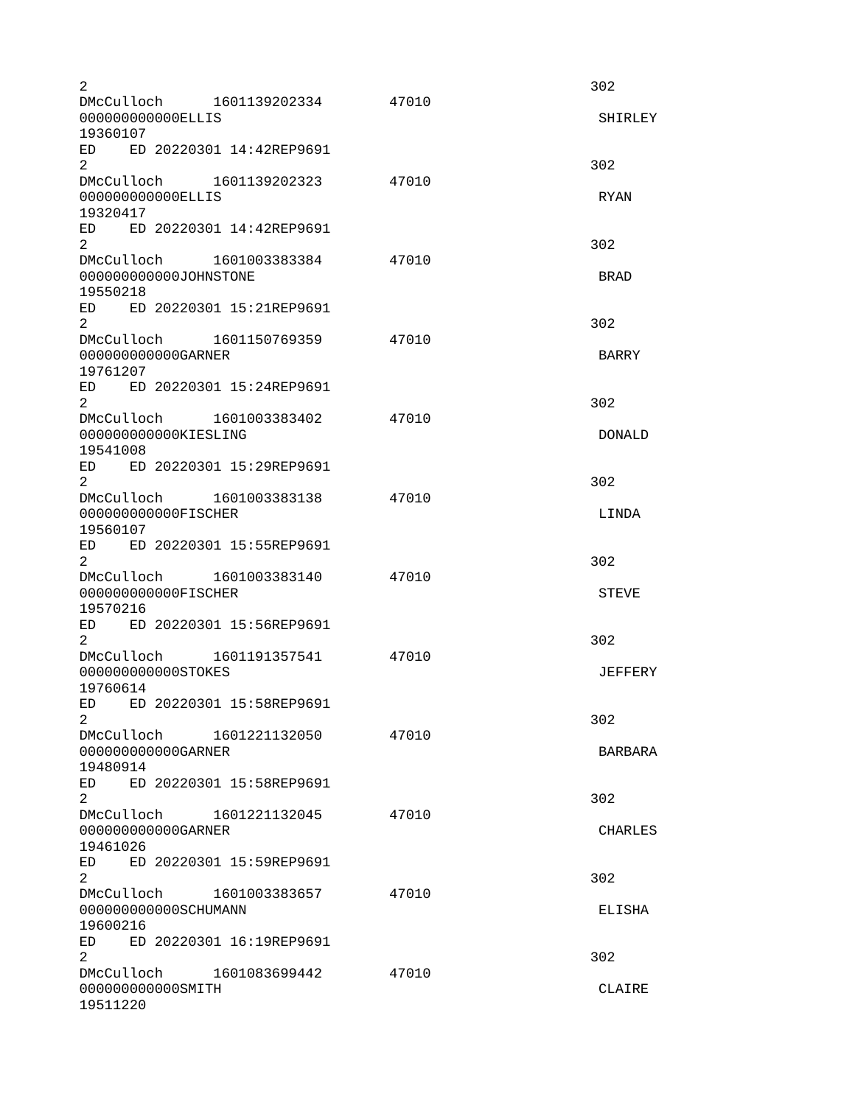| 2                                                                                                                                                                                                                                                                            |       | 302            |
|------------------------------------------------------------------------------------------------------------------------------------------------------------------------------------------------------------------------------------------------------------------------------|-------|----------------|
| DMcCulloch 1601139202334<br>00000000000ELLIS<br>19360107                                                                                                                                                                                                                     | 47010 | <b>SHIRLEY</b> |
| ED ED 20220301 14:42REP9691                                                                                                                                                                                                                                                  |       |                |
| $\overline{2}$<br>DMcCulloch 1601139202323                                                                                                                                                                                                                                   | 47010 | 302            |
| 00000000000ELLIS<br>19320417                                                                                                                                                                                                                                                 |       | <b>RYAN</b>    |
| ED and the set of the set of the set of the set of the set of the set of the set of the set of the set of the set of the set of the set of the set of the set of the set of the set of the set of the set of the set of the se<br>ED 20220301 14:42REP9691<br>$\overline{2}$ |       | 302            |
| DMcCulloch 1601003383384<br>000000000000JOHNSTONE<br>19550218                                                                                                                                                                                                                | 47010 | <b>BRAD</b>    |
| ED<br>ED 20220301 15:21REP9691<br>2                                                                                                                                                                                                                                          |       | 302            |
| DMcCulloch 1601150769359<br>000000000000GARNER<br>19761207                                                                                                                                                                                                                   | 47010 | <b>BARRY</b>   |
| ED<br>ED 20220301 15:24REP9691<br>$\overline{2}$                                                                                                                                                                                                                             |       | 302            |
| DMcCulloch 1601003383402<br>000000000000KIESLING<br>19541008                                                                                                                                                                                                                 | 47010 | <b>DONALD</b>  |
| ED ED 20220301 15:29REP9691<br>2                                                                                                                                                                                                                                             |       | 302            |
| DMcCulloch 1601003383138<br>000000000000FISCHER<br>19560107                                                                                                                                                                                                                  | 47010 | LINDA          |
| ED ED 20220301 15:55REP9691<br>$\overline{2}$                                                                                                                                                                                                                                |       | 302            |
| DMcCulloch 1601003383140<br>00000000000FISCHER<br>19570216                                                                                                                                                                                                                   | 47010 | <b>STEVE</b>   |
| ED 20220301 15:56REP9691<br>ED<br>2<br>DMcCulloch<br>1601191357541                                                                                                                                                                                                           | 47010 | 302            |
| 000000000000ST0KES<br>19760614                                                                                                                                                                                                                                               |       | <b>JEFFERY</b> |
| ED ED 20220301 15:58REP9691<br>$\overline{c}$<br>DMcCulloch                                                                                                                                                                                                                  | 47010 | 302            |
| 1601221132050<br>000000000000GARNER<br>19480914                                                                                                                                                                                                                              |       | <b>BARBARA</b> |
| ED 20220301 15:58REP9691<br>ED<br>2<br>DMcCulloch<br>1601221132045                                                                                                                                                                                                           | 47010 | 302            |
| 000000000000GARNER<br>19461026<br>ED<br>ED 20220301 15:59REP9691                                                                                                                                                                                                             |       | <b>CHARLES</b> |
| $\overline{2}$<br>DMcCulloch<br>1601003383657                                                                                                                                                                                                                                | 47010 | 302            |
| 000000000000SCHUMANN<br>19600216<br>ED 20220301 16:19REP9691<br>ED                                                                                                                                                                                                           |       | <b>ELISHA</b>  |
| $\overline{2}$<br>DMcCulloch 1601083699442                                                                                                                                                                                                                                   | 47010 | 302            |
| 000000000000SMITH<br>19511220                                                                                                                                                                                                                                                |       | CLAIRE         |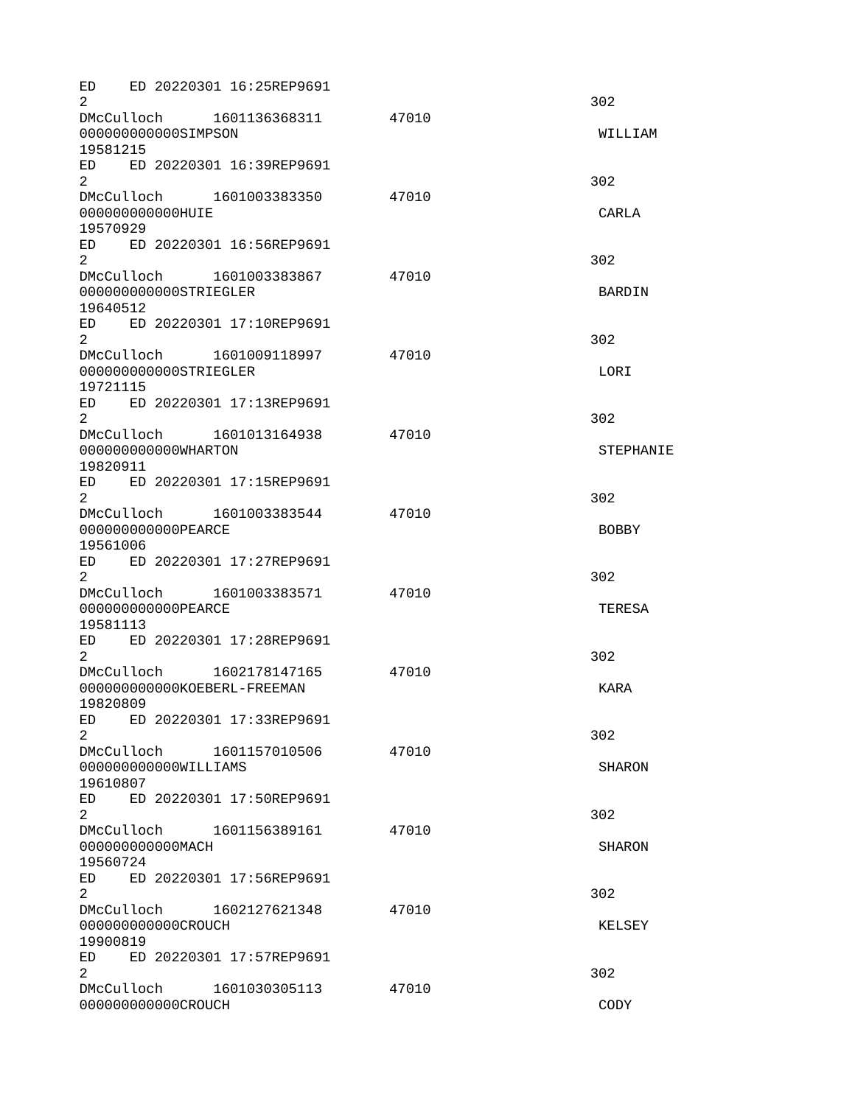ED ED 20220301 16:25REP9691  $2\overline{)}$ DMcCulloch 1601136368311 47010 000000000000SIMPSON WILLIAM 19581215 ED ED 20220301 16:39REP9691  $2 \times 302$ DMcCulloch 1601003383350 47010 000000000000HUIE CARLA 19570929 ED ED 20220301 16:56REP9691  $2 \times 302$ DMcCulloch 1601003383867 47010 00000000000000STRIEGLER BARDIN 19640512 ED ED 20220301 17:10REP9691  $2\overline{)}$ DMcCulloch 1601009118997 47010 0000000000000STRIEGLER LORI 19721115 ED ED 20220301 17:13REP9691  $2 \times 302$ DMcCulloch 1601013164938 47010 000000000000WHARTON STEPHANIE 19820911 ED ED 20220301 17:15REP9691  $2\overline{)}$ DMcCulloch 1601003383544 47010 000000000000PEARCE BOBBY 19561006 ED ED 20220301 17:27REP9691  $2\overline{)}$ DMcCulloch 1601003383571 47010 000000000000PEARCE TERESA 19581113 ED ED 20220301 17:28REP9691  $2 \times 302$ DMcCulloch 1602178147165 47010 000000000000KOEBERL-FREEMAN KARA 19820809 ED ED 20220301 17:33REP9691  $2 \times 302$ DMcCulloch 1601157010506 47010 000000000000WILLIAMS SHARON 19610807 ED ED 20220301 17:50REP9691  $2\overline{)}$ DMcCulloch 1601156389161 47010 00000000000000MACH 3HARON 3HARON 19560724 ED ED 20220301 17:56REP9691  $2 \times 302$ DMcCulloch 1602127621348 47010 000000000000CROUCH KELSEY 19900819 ED ED 20220301 17:57REP9691  $2\overline{)}$ DMcCulloch 1601030305113 47010 000000000000CROUCH CODY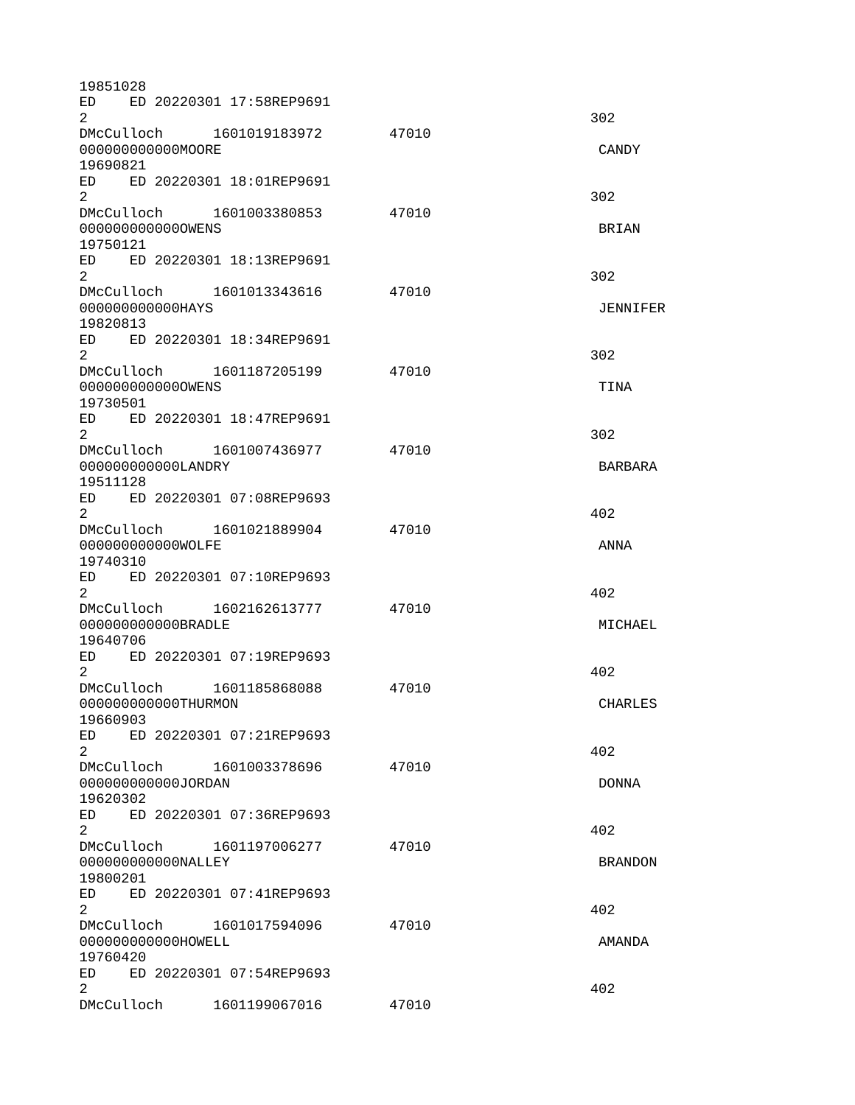| 19851028                                                                                                                                                                                                                                         |                             |       |                |
|--------------------------------------------------------------------------------------------------------------------------------------------------------------------------------------------------------------------------------------------------|-----------------------------|-------|----------------|
| ED                                                                                                                                                                                                                                               | ED 20220301 17:58REP9691    |       |                |
| 2                                                                                                                                                                                                                                                | DMcCulloch 1601019183972    | 47010 | 302            |
| 000000000000MOORE                                                                                                                                                                                                                                |                             |       | <b>CANDY</b>   |
| 19690821                                                                                                                                                                                                                                         |                             |       |                |
|                                                                                                                                                                                                                                                  | ED ED 20220301 18:01REP9691 |       |                |
| 2                                                                                                                                                                                                                                                |                             |       | 302            |
|                                                                                                                                                                                                                                                  | DMcCulloch 1601003380853    | 47010 |                |
| 0000000000000WENS                                                                                                                                                                                                                                |                             |       | <b>BRIAN</b>   |
| 19750121                                                                                                                                                                                                                                         |                             |       |                |
|                                                                                                                                                                                                                                                  | ED ED 20220301 18:13REP9691 |       |                |
| $\overline{2}$                                                                                                                                                                                                                                   | DMcCulloch 1601013343616    | 47010 | 302            |
| 000000000000HAYS                                                                                                                                                                                                                                 |                             |       | JENNIFER       |
| 19820813                                                                                                                                                                                                                                         |                             |       |                |
| ED                                                                                                                                                                                                                                               | ED 20220301 18:34REP9691    |       |                |
| 2                                                                                                                                                                                                                                                |                             |       | 302            |
|                                                                                                                                                                                                                                                  | DMcCulloch 1601187205199    | 47010 |                |
| 0000000000000WENS                                                                                                                                                                                                                                |                             |       | <b>TINA</b>    |
| 19730501                                                                                                                                                                                                                                         |                             |       |                |
|                                                                                                                                                                                                                                                  | ED ED 20220301 18:47REP9691 |       |                |
| $\overline{2}$                                                                                                                                                                                                                                   | DMcCulloch 1601007436977    | 47010 | 302            |
| 000000000000LANDRY                                                                                                                                                                                                                               |                             |       | <b>BARBARA</b> |
| 19511128                                                                                                                                                                                                                                         |                             |       |                |
|                                                                                                                                                                                                                                                  | ED ED 20220301 07:08REP9693 |       |                |
| $\overline{2}$                                                                                                                                                                                                                                   |                             |       | 402            |
|                                                                                                                                                                                                                                                  | DMcCulloch 1601021889904    | 47010 |                |
| 000000000000W0LFE                                                                                                                                                                                                                                |                             |       | <b>ANNA</b>    |
| 19740310                                                                                                                                                                                                                                         |                             |       |                |
|                                                                                                                                                                                                                                                  | ED ED 20220301 07:10REP9693 |       |                |
| $\overline{2}$                                                                                                                                                                                                                                   | DMcCulloch 1602162613777    | 47010 | 402            |
| 000000000000BRADLE                                                                                                                                                                                                                               |                             |       | MICHAEL        |
| 19640706                                                                                                                                                                                                                                         |                             |       |                |
| ED                                                                                                                                                                                                                                               | ED 20220301 07:19REP9693    |       |                |
| 2                                                                                                                                                                                                                                                |                             |       | 402            |
| DMcCulloch                                                                                                                                                                                                                                       | 1601185868088               | 47010 |                |
| 000000000000THURMON                                                                                                                                                                                                                              |                             |       | <b>CHARLES</b> |
| 19660903                                                                                                                                                                                                                                         |                             |       |                |
| ED.                                                                                                                                                                                                                                              | ED 20220301 07:21REP9693    |       |                |
| $\overline{2}$                                                                                                                                                                                                                                   | DMcCulloch 1601003378696    | 47010 | 402            |
| 000000000000JORDAN                                                                                                                                                                                                                               |                             |       | <b>DONNA</b>   |
| 19620302                                                                                                                                                                                                                                         |                             |       |                |
| ED                                                                                                                                                                                                                                               | ED 20220301 07:36REP9693    |       |                |
| $\overline{2}$                                                                                                                                                                                                                                   |                             |       | 402            |
| DMcCulloch                                                                                                                                                                                                                                       | 1601197006277               | 47010 |                |
| 000000000000NALLEY                                                                                                                                                                                                                               |                             |       | <b>BRANDON</b> |
| 19800201                                                                                                                                                                                                                                         |                             |       |                |
| ED and the set of the set of the set of the set of the set of the set of the set of the set of the set of the set of the set of the set of the set of the set of the set of the set of the set of the set of the set of the se<br>$\overline{2}$ | ED 20220301 07:41REP9693    |       | 402            |
|                                                                                                                                                                                                                                                  | DMcCulloch 1601017594096    | 47010 |                |
| 000000000000H0WELL                                                                                                                                                                                                                               |                             |       | AMANDA         |
| 19760420                                                                                                                                                                                                                                         |                             |       |                |
| ED and the set of the set of the set of the set of the set of the set of the set of the set of the set of the set of the set of the set of the set of the set of the set of the set of the set of the set of the set of the se                   | ED 20220301 07:54REP9693    |       |                |
| $\overline{2}$                                                                                                                                                                                                                                   |                             |       | 402            |
| DMcCulloch                                                                                                                                                                                                                                       | 1601199067016               | 47010 |                |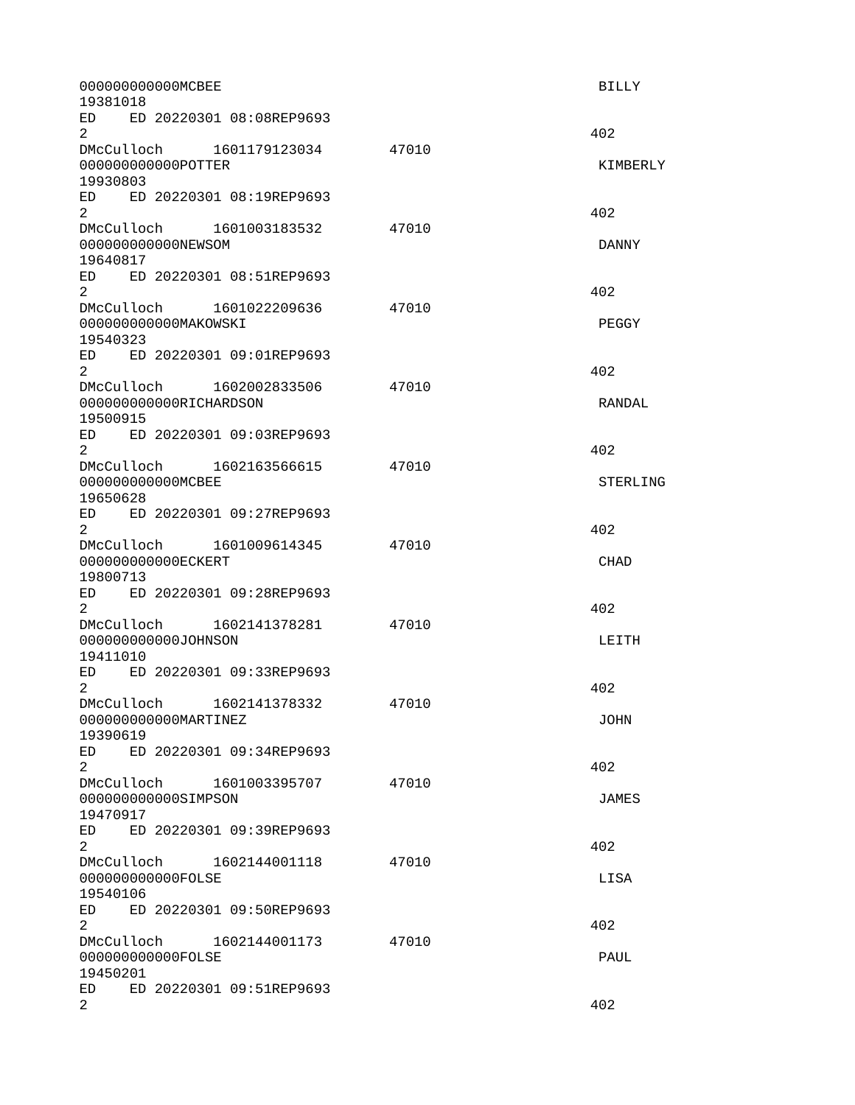| 000000000000MCBEE<br>19381018                                                                                                                                                                                                                                                | <b>BILLY</b>    |
|------------------------------------------------------------------------------------------------------------------------------------------------------------------------------------------------------------------------------------------------------------------------------|-----------------|
| ED ED 20220301 08:08REP9693<br>2                                                                                                                                                                                                                                             | 402             |
| DMcCulloch 1601179123034<br>47010<br>000000000000P0TTER                                                                                                                                                                                                                      | KIMBERLY        |
| 19930803<br>ED ED 20220301 08:19REP9693                                                                                                                                                                                                                                      |                 |
| 2<br>DMcCulloch 1601003183532<br>47010                                                                                                                                                                                                                                       | 402             |
| 000000000000NEWSOM<br>19640817                                                                                                                                                                                                                                               | <b>DANNY</b>    |
| ED ED 20220301 08:51REP9693<br>$\overline{2}$                                                                                                                                                                                                                                | 402             |
| DMcCulloch 1601022209636<br>47010<br>000000000000MAK0WSKI<br>19540323                                                                                                                                                                                                        | PEGGY           |
| ED 20220301 09:01REP9693<br>ED.<br>2                                                                                                                                                                                                                                         | 402             |
| DMcCulloch 1602002833506<br>47010<br>000000000000RICHARDSON<br>19500915                                                                                                                                                                                                      | RANDAL          |
| ED ED 20220301 09:03REP9693<br>2                                                                                                                                                                                                                                             | 402             |
| DMcCulloch 1602163566615<br>47010<br>00000000000MCBEE<br>19650628                                                                                                                                                                                                            | <b>STERLING</b> |
| ED ED 20220301 09:27REP9693<br>$\overline{2}$                                                                                                                                                                                                                                | 402             |
| DMcCulloch 1601009614345<br>47010<br>000000000000ECKERT<br>19800713                                                                                                                                                                                                          | <b>CHAD</b>     |
| ED ED 20220301 09:28REP9693<br>$\overline{2}$                                                                                                                                                                                                                                | 402             |
| DMcCulloch 1602141378281<br>47010<br>000000000000J0HNSON<br>19411010                                                                                                                                                                                                         | LEITH           |
| ED<br>ED 20220301 09:33REP9693<br>2                                                                                                                                                                                                                                          | 402             |
| DMcCulloch 1602141378332<br>47010<br>000000000000MARTINEZ<br>19390619                                                                                                                                                                                                        | <b>JOHN</b>     |
| ED<br>ED 20220301 09:34REP9693<br>$\overline{2}$                                                                                                                                                                                                                             | 402             |
| DMcCulloch 1601003395707<br>47010<br>000000000000SIMPSON<br>19470917                                                                                                                                                                                                         | <b>JAMES</b>    |
| ED<br>ED 20220301 09:39REP9693<br>$\overline{2}$                                                                                                                                                                                                                             | 402             |
| DMcCulloch 1602144001118<br>47010<br>000000000000F0LSE<br>19540106                                                                                                                                                                                                           | <b>LISA</b>     |
| ED 20220301 09:50REP9693<br>ED and the set of the set of the set of the set of the set of the set of the set of the set of the set of the set of the set of the set of the set of the set of the set of the set of the set of the set of the set of the se<br>$\overline{2}$ | 402             |
| DMcCulloch 1602144001173<br>47010<br>00000000000F0LSE                                                                                                                                                                                                                        | <b>PAUL</b>     |
| 19450201<br>ED.<br>ED 20220301 09:51REP9693<br>$\overline{2}$                                                                                                                                                                                                                | 402             |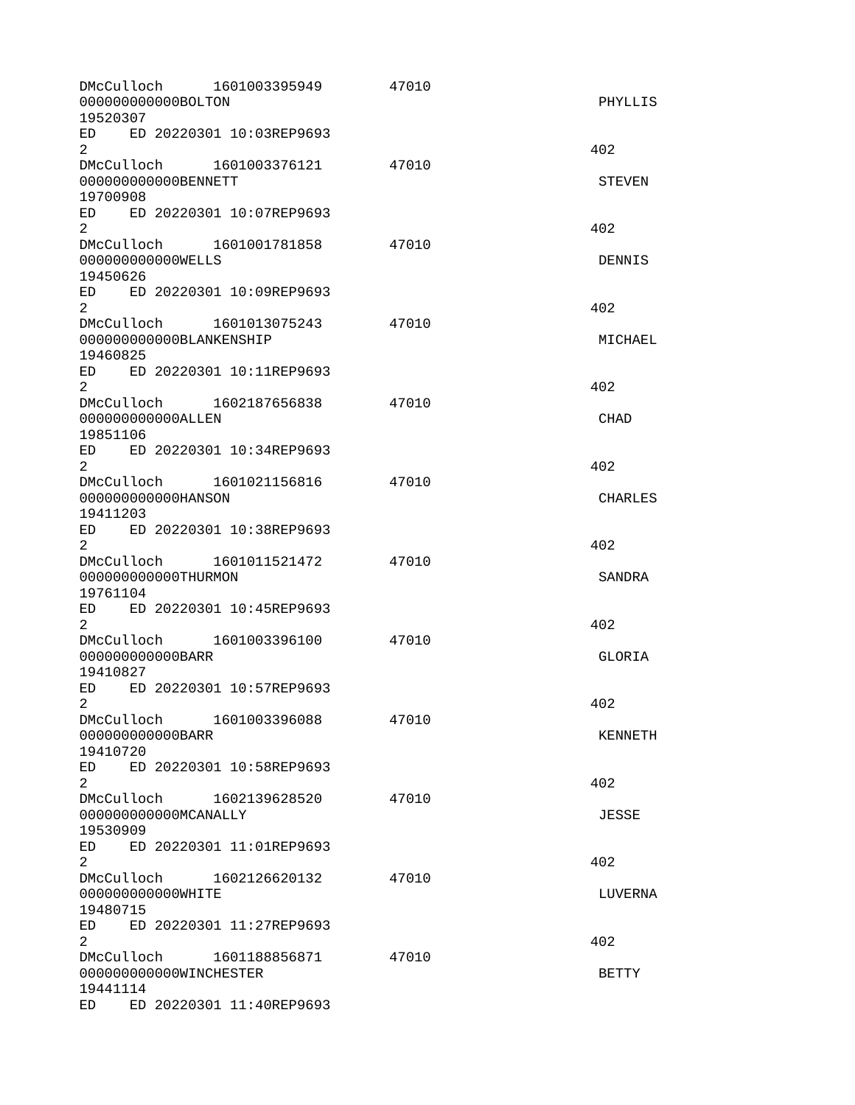| DMcCulloch<br>00000000000B0LT0N<br>19520307                                                                                                                                                                                                      | 1601003395949               | 47010 | <b>PHYLLIS</b> |
|--------------------------------------------------------------------------------------------------------------------------------------------------------------------------------------------------------------------------------------------------|-----------------------------|-------|----------------|
| $\overline{2}$                                                                                                                                                                                                                                   | ED ED 20220301 10:03REP9693 |       | 402            |
| DMcCulloch 1601003376121<br>000000000000BENNETT<br>19700908                                                                                                                                                                                      |                             | 47010 | <b>STEVEN</b>  |
| ED<br>$\overline{2}$                                                                                                                                                                                                                             | ED 20220301 10:07REP9693    |       | 402            |
| DMcCulloch 1601001781858<br>000000000000WELLS<br>19450626                                                                                                                                                                                        |                             | 47010 | <b>DENNIS</b>  |
| $\overline{2}$                                                                                                                                                                                                                                   | ED ED 20220301 10:09REP9693 |       | 402            |
| DMcCulloch 1601013075243<br>000000000000BLANKENSHIP<br>19460825                                                                                                                                                                                  |                             | 47010 | MICHAEL        |
| ED<br>$\overline{2}$                                                                                                                                                                                                                             | ED 20220301 10:11REP9693    |       | 402            |
| DMcCulloch 1602187656838<br>00000000000ALLEN<br>19851106                                                                                                                                                                                         |                             | 47010 | <b>CHAD</b>    |
| $\overline{2}$                                                                                                                                                                                                                                   | ED ED 20220301 10:34REP9693 |       | 402            |
| DMcCulloch 1601021156816<br>000000000000HANSON<br>19411203                                                                                                                                                                                       |                             | 47010 | <b>CHARLES</b> |
| ED and the set of the set of the set of the set of the set of the set of the set of the set of the set of the set of the set of the set of the set of the set of the set of the set of the set of the set of the set of the se<br>$\overline{2}$ | ED 20220301 10:38REP9693    |       | 402            |
| DMcCulloch 1601011521472<br>000000000000THURMON<br>19761104                                                                                                                                                                                      |                             | 47010 | <b>SANDRA</b>  |
| ED.<br>2                                                                                                                                                                                                                                         | ED 20220301 10:45REP9693    |       | 402            |
| DMcCulloch 1601003396100<br>00000000000BARR<br>19410827                                                                                                                                                                                          |                             | 47010 | GLORIA         |
| ED<br>$\mathcal{P}$                                                                                                                                                                                                                              | ED 20220301 10:57REP9693    |       | 402            |
| DMcCulloch<br>00000000000BARR<br>19410720                                                                                                                                                                                                        | 1601003396088               | 47010 | <b>KENNETH</b> |
| ED<br>2                                                                                                                                                                                                                                          | ED 20220301 10:58REP9693    |       | 402            |
| DMcCulloch 1602139628520<br>000000000000MCANALLY<br>19530909                                                                                                                                                                                     |                             | 47010 | <b>JESSE</b>   |
| ED<br>$\overline{2}$                                                                                                                                                                                                                             | ED 20220301 11:01REP9693    |       | 402            |
| DMcCulloch<br>000000000000WHITE<br>19480715                                                                                                                                                                                                      | 1602126620132               | 47010 | LUVERNA        |
| ED and the set of the set of the set of the set of the set of the set of the set of the set of the set of the set of the set of the set of the set of the set of the set of the set of the set of the set of the set of the se<br>$\overline{2}$ | ED 20220301 11:27REP9693    |       | 402            |
| DMcCulloch<br>000000000000WINCHESTER<br>19441114                                                                                                                                                                                                 | 1601188856871               | 47010 | <b>BETTY</b>   |
| ED and the set of the set of the set of the set of the set of the set of the set of the set of the set of the set of the set of the set of the set of the set of the set of the set of the set of the set of the set of the se                   | ED 20220301 11:40REP9693    |       |                |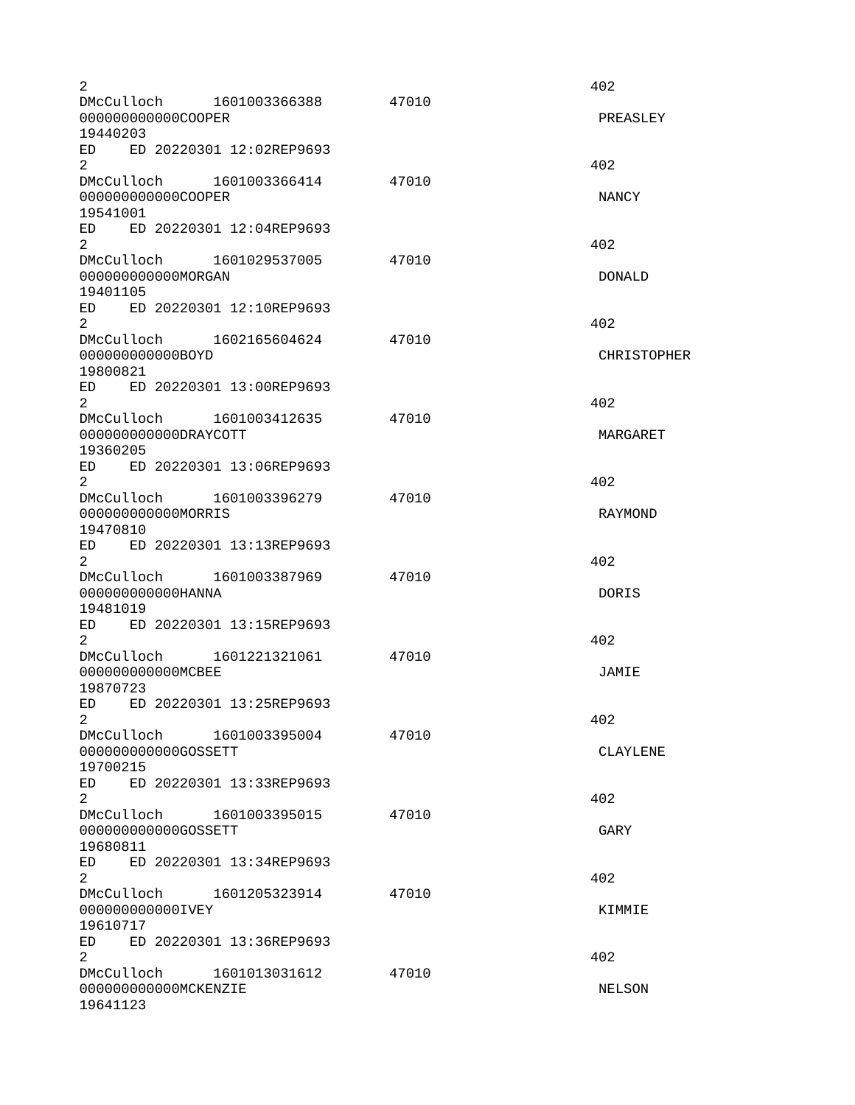| $\overline{2}$                                                                  |       | 402                |
|---------------------------------------------------------------------------------|-------|--------------------|
| DMcCulloch 1601003366388<br>000000000000C00PER                                  | 47010 | <b>PREASLEY</b>    |
| 19440203                                                                        |       |                    |
| ED ED 20220301 12:02REP9693<br>$\overline{2}$                                   |       | 402                |
| DMcCulloch 1601003366414<br>000000000000C00PER<br>19541001                      | 47010 | <b>NANCY</b>       |
| ED ED 20220301 12:04REP9693<br>$\overline{2}$                                   |       | 402                |
| DMcCulloch 1601029537005<br>000000000000MORGAN<br>19401105                      | 47010 | <b>DONALD</b>      |
| ED 20220301 12:10REP9693<br>ED.<br>2                                            |       | 402                |
| DMcCulloch 1602165604624<br>00000000000B0YD<br>19800821                         | 47010 | <b>CHRISTOPHER</b> |
| ED<br>ED 20220301 13:00REP9693<br>$\overline{2}$                                |       | 402                |
| DMcCulloch<br>1601003412635<br>000000000000DRAYC0TT<br>19360205                 | 47010 | MARGARET           |
| ED ED 20220301 13:06REP9693<br>2<br>DMcCulloch 1601003396279                    | 47010 | 402                |
| 00000000000MORRIS<br>19470810                                                   |       | <b>RAYMOND</b>     |
| ED ED 20220301 13:13REP9693<br>$\overline{2}$<br>DMcCulloch 1601003387969       | 47010 | 402                |
| 000000000000HANNA<br>19481019                                                   |       | DORIS              |
| ED 20220301 13:15REP9693<br>ED<br>2<br>DMcCulloch 1601221321061                 | 47010 | 402                |
| 00000000000MCBEE<br>19870723                                                    |       | JAMIE              |
| ED ED 20220301 13:25REP9693<br>$\overline{c}$<br>DMcCulloch<br>1601003395004    | 47010 | 402                |
| 000000000000G0SSETT<br>19700215                                                 |       | <b>CLAYLENE</b>    |
| ED<br>ED 20220301 13:33REP9693<br>$\overline{2}$<br>DMcCulloch 1601003395015    | 47010 | 402                |
| 00000000000000SSETT<br>19680811                                                 |       | GARY               |
| ED<br>ED 20220301 13:34REP9693<br>$\overline{2}$<br>DMcCulloch<br>1601205323914 | 47010 | 402                |
| 000000000000IVEY<br>19610717<br>ED<br>ED 20220301 13:36REP9693                  |       | KIMMIE             |
| $\overline{2}$<br>DMcCulloch<br>1601013031612                                   | 47010 | 402                |
| 000000000000MCKENZIE<br>19641123                                                |       | <b>NELSON</b>      |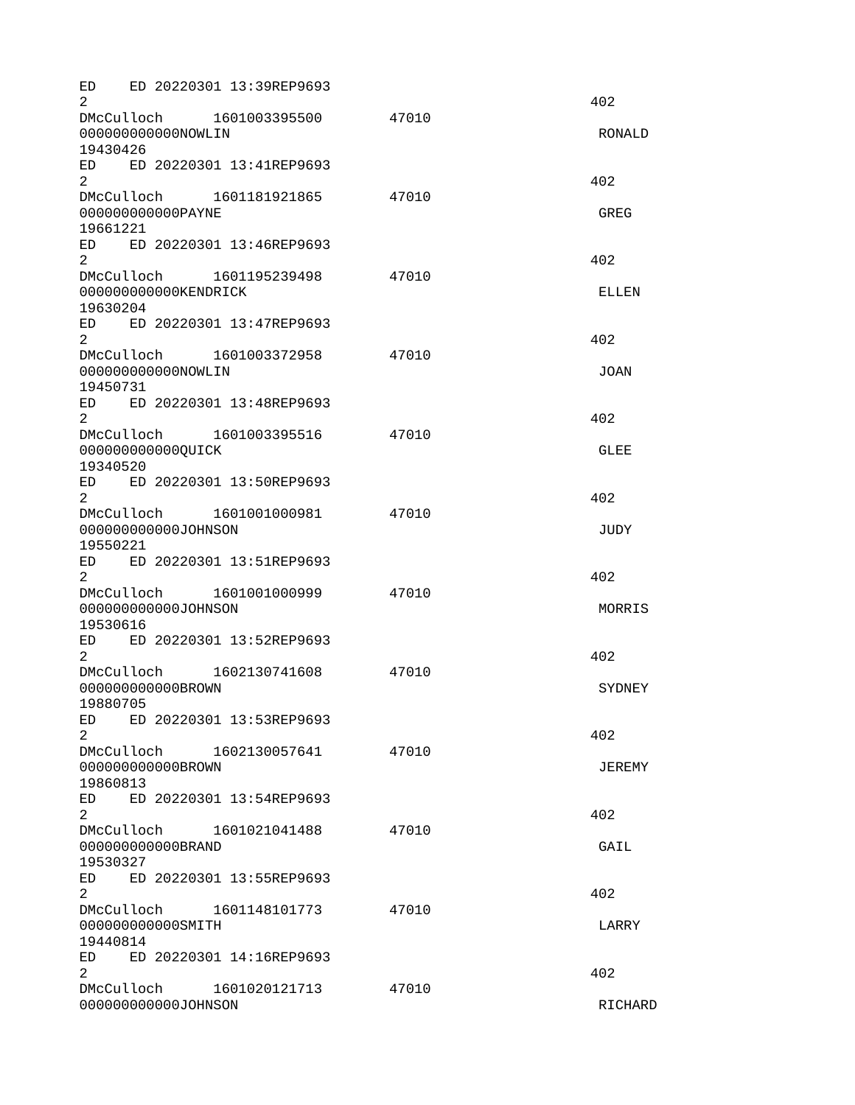| ED.<br>2                                                                                                                                                                                                                                         |                                   | ED 20220301 13:39REP9693    |       | 402           |
|--------------------------------------------------------------------------------------------------------------------------------------------------------------------------------------------------------------------------------------------------|-----------------------------------|-----------------------------|-------|---------------|
| 19430426                                                                                                                                                                                                                                         | 000000000000NOWLIN                | DMcCulloch 1601003395500    | 47010 | <b>RONALD</b> |
| ED and the set of the set of the set of the set of the set of the set of the set of the set of the set of the set of the set of the set of the set of the set of the set of the set of the set of the set of the set of the se<br>$\overline{2}$ |                                   | ED 20220301 13:41REP9693    |       | 402           |
| 19661221                                                                                                                                                                                                                                         | DMcCulloch<br>000000000000PAYNE   | 1601181921865               | 47010 | <b>GREG</b>   |
| $\overline{2}$                                                                                                                                                                                                                                   |                                   | ED ED 20220301 13:46REP9693 |       | 402           |
| DMcCulloch<br>19630204                                                                                                                                                                                                                           | 000000000000KENDRICK              | 1601195239498               | 47010 | <b>ELLEN</b>  |
| ED<br>2                                                                                                                                                                                                                                          |                                   | ED 20220301 13:47REP9693    |       | 402           |
| 19450731                                                                                                                                                                                                                                         | 0000000000000WLIN                 | DMcCulloch 1601003372958    | 47010 | JOAN          |
| $\overline{2}$                                                                                                                                                                                                                                   |                                   | ED ED 20220301 13:48REP9693 |       | 402           |
| DMcCulloch<br>19340520                                                                                                                                                                                                                           | 0000000000000UICK                 | 1601003395516               | 47010 | GLEE          |
| ED<br>$\overline{2}$                                                                                                                                                                                                                             |                                   | ED 20220301 13:50REP9693    |       | 402           |
| DMcCulloch<br>19550221                                                                                                                                                                                                                           | 000000000000J0HNSON               | 1601001000981               | 47010 | <b>JUDY</b>   |
| $\overline{2}$                                                                                                                                                                                                                                   |                                   | ED ED 20220301 13:51REP9693 |       | 402           |
| 19530616                                                                                                                                                                                                                                         | 000000000000J0HNSON               | DMcCulloch 1601001000999    | 47010 | <b>MORRIS</b> |
| ED<br>$\overline{2}$                                                                                                                                                                                                                             |                                   | ED 20220301 13:52REP9693    |       | 402           |
| DMcCulloch<br>19880705                                                                                                                                                                                                                           | 000000000000BR0WN                 | 1602130741608               | 47010 | <b>SYDNEY</b> |
| ED<br>$\overline{2}$                                                                                                                                                                                                                             |                                   | ED 20220301 13:53REP9693    |       | 402           |
| 19860813                                                                                                                                                                                                                                         | DMcCulloch<br>000000000000BR0WN   | 1602130057641               | 47010 | <b>JEREMY</b> |
| ED<br>$\overline{2}$                                                                                                                                                                                                                             |                                   | ED 20220301 13:54REP9693    |       | 402           |
| 19530327                                                                                                                                                                                                                                         | 000000000000BRAND                 | DMcCulloch 1601021041488    | 47010 | GAIL          |
| ED and the set of the set of the set of the set of the set of the set of the set of the set of the set of the set of the set of the set of the set of the set of the set of the set of the set of the set of the set of the se<br>$\overline{2}$ |                                   | ED 20220301 13:55REP9693    |       | 402           |
| 19440814                                                                                                                                                                                                                                         | DMcCulloch<br>000000000000SMITH   | 1601148101773               | 47010 | LARRY         |
| ED <sub>2</sub><br>$\overline{2}$                                                                                                                                                                                                                |                                   | ED 20220301 14:16REP9693    |       | 402           |
|                                                                                                                                                                                                                                                  | DMcCulloch<br>000000000000J0HNSON | 1601020121713               | 47010 | RICHARD       |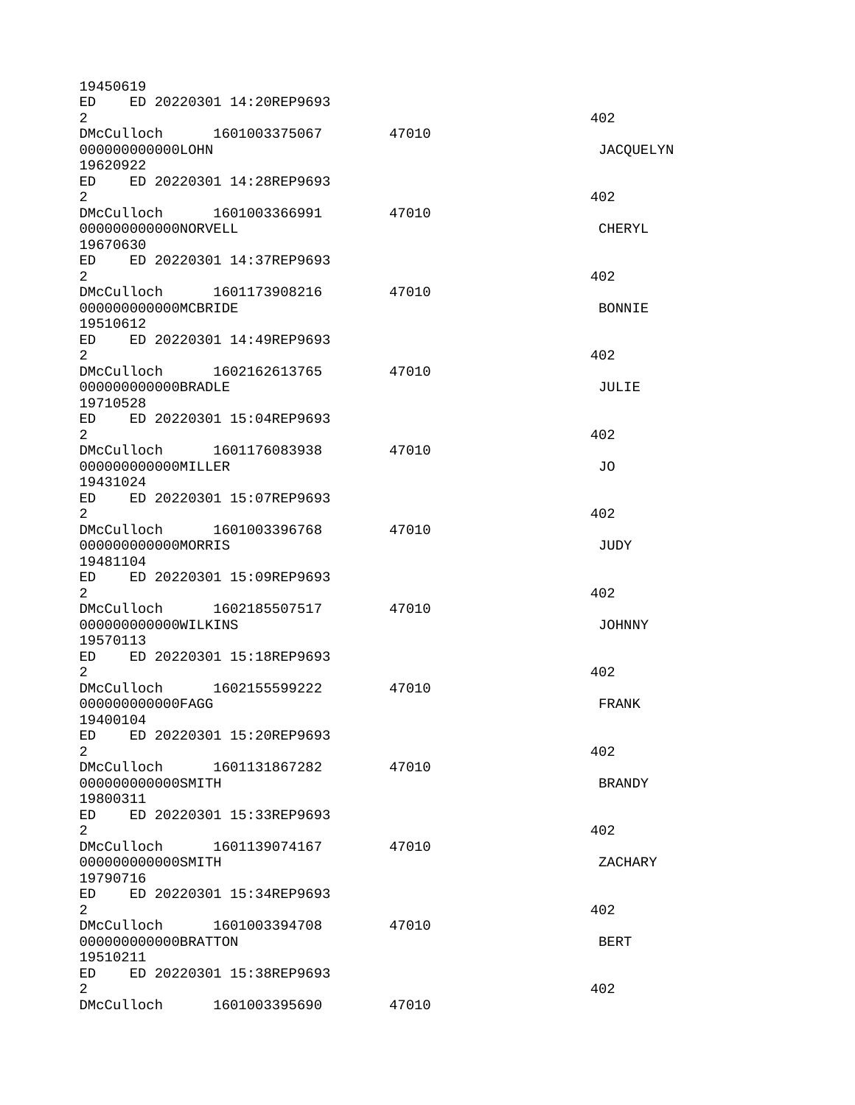| 19450619            |                             |       |               |
|---------------------|-----------------------------|-------|---------------|
| ED.<br>2            | ED 20220301 14:20REP9693    |       | 402           |
| 000000000000L0HN    | DMcCulloch 1601003375067    | 47010 | JACQUELYN     |
| 19620922            |                             |       |               |
| $\overline{2}$      | ED ED 20220301 14:28REP9693 |       | 402           |
|                     | DMcCulloch 1601003366991    | 47010 |               |
| 0000000000000RVELL  |                             |       | <b>CHERYL</b> |
| 19670630            |                             |       |               |
|                     | ED ED 20220301 14:37REP9693 |       |               |
|                     |                             |       |               |
| $\overline{2}$      |                             |       | 402           |
|                     | DMcCulloch 1601173908216    | 47010 |               |
| 000000000000MCBRIDE |                             |       | BONNIE        |
| 19510612            |                             |       |               |
| ED                  | ED 20220301 14:49REP9693    |       |               |
| $\overline{2}$      |                             |       | 402           |
|                     | DMcCulloch 1602162613765    | 47010 |               |
| 000000000000BRADLE  |                             |       | JULIE         |
| 19710528            |                             |       |               |
|                     | ED ED 20220301 15:04REP9693 |       |               |
| $\overline{2}$      |                             |       | 402           |
|                     | DMcCulloch 1601176083938    | 47010 |               |
| 00000000000MILLER   |                             |       | J0            |
|                     |                             |       |               |
| 19431024            |                             |       |               |
|                     | ED ED 20220301 15:07REP9693 |       |               |
| $\overline{2}$      |                             |       | 402           |
|                     | DMcCulloch 1601003396768    | 47010 |               |
| 00000000000MORRIS   |                             |       | <b>JUDY</b>   |
| 19481104            |                             |       |               |
|                     | ED ED 20220301 15:09REP9693 |       |               |
| $\overline{2}$      |                             |       | 402           |
| DMcCulloch          | 1602185507517               | 47010 |               |
| 000000000000WILKINS |                             |       | <b>JOHNNY</b> |
| 19570113            |                             |       |               |
| ED                  | ED 20220301 15:18REP9693    |       |               |
| $\overline{2}$      |                             |       | 402           |
|                     |                             |       |               |
| DMcCulloch          | 1602155599222               | 47010 |               |
| 00000000000FAGG     |                             |       | <b>FRANK</b>  |
| 19400104            |                             |       |               |
| ED                  | ED 20220301 15:20REP9693    |       |               |
| $\overline{2}$      |                             |       | 402           |
|                     | DMcCulloch 1601131867282    | 47010 |               |
| 000000000000SMITH   |                             |       | <b>BRANDY</b> |
| 19800311            |                             |       |               |
| ED                  | ED 20220301 15:33REP9693    |       |               |
| $\overline{2}$      |                             |       | 402           |
|                     | DMcCulloch 1601139074167    | 47010 |               |
| 000000000000SMITH   |                             |       |               |
|                     |                             |       | ZACHARY       |
| 19790716            |                             |       |               |
|                     | ED ED 20220301 15:34REP9693 |       |               |
| $\overline{2}$      |                             |       | 402           |
|                     | DMcCulloch 1601003394708    | 47010 |               |
| 000000000000BRATTON |                             |       | <b>BERT</b>   |
| 19510211            |                             |       |               |
|                     | ED ED 20220301 15:38REP9693 |       |               |
| $\overline{2}$      |                             |       | 402           |
|                     | DMcCulloch 1601003395690    | 47010 |               |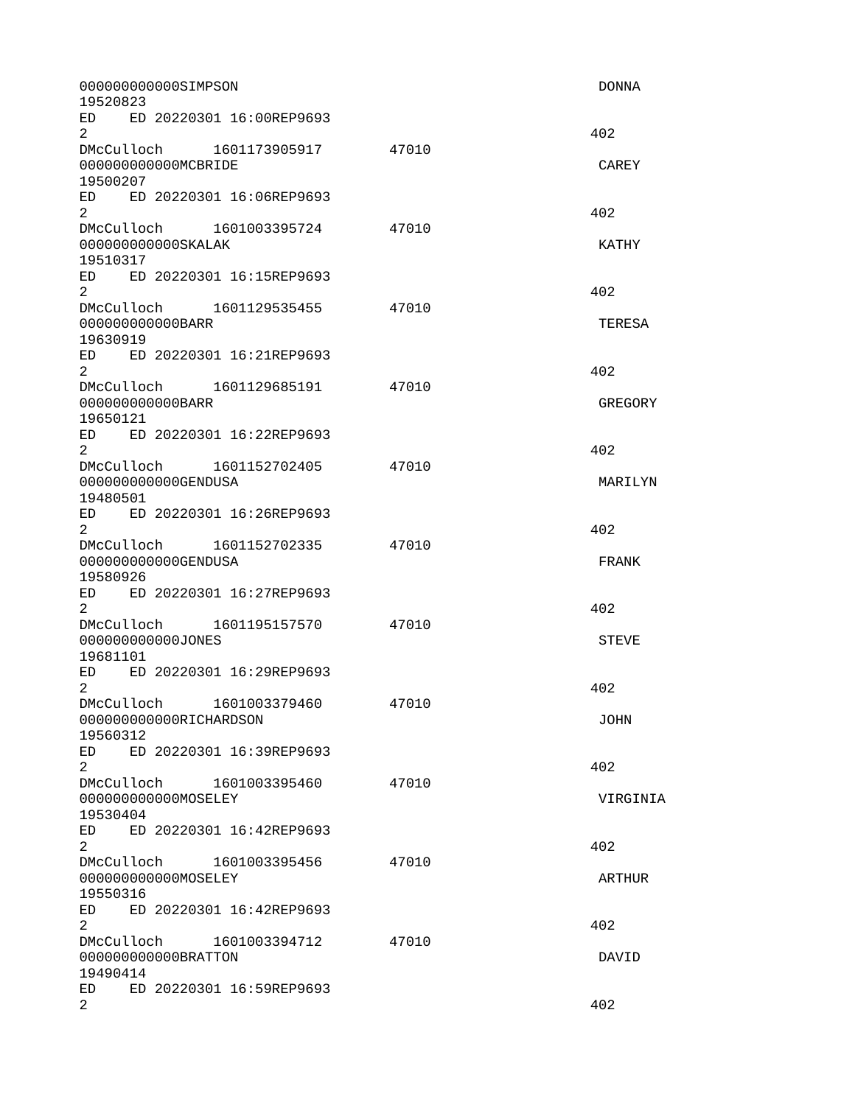| 000000000000SIMPSON<br>19520823                                                                                                                                                                                                                |                                   |                                  |       | <b>DONNA</b>  |
|------------------------------------------------------------------------------------------------------------------------------------------------------------------------------------------------------------------------------------------------|-----------------------------------|----------------------------------|-------|---------------|
| $\overline{2}$                                                                                                                                                                                                                                 |                                   | ED ED 20220301 16:00REP9693      |       | 402           |
| 19500207                                                                                                                                                                                                                                       | 000000000000MCBRIDE               | DMcCulloch 1601173905917 47010   |       | <b>CAREY</b>  |
| $\overline{2}$                                                                                                                                                                                                                                 |                                   | ED ED 20220301 16:06REP9693      |       | 402           |
| 19510317                                                                                                                                                                                                                                       | 000000000000SKALAK                | DMcCulloch 1601003395724 47010   |       | <b>KATHY</b>  |
| $\overline{2}$                                                                                                                                                                                                                                 |                                   | ED ED 20220301 16:15REP9693      |       | 402           |
| 19630919                                                                                                                                                                                                                                       | 00000000000BARR                   | DMcCulloch 1601129535455 47010   |       | TERESA        |
| $\mathbf{2}$                                                                                                                                                                                                                                   |                                   | ED ED 20220301 16:21REP9693      |       | 402           |
| 19650121                                                                                                                                                                                                                                       | 00000000000BARR                   | DMcCulloch 1601129685191 47010   |       | GREGORY       |
| 2 <sup>1</sup>                                                                                                                                                                                                                                 |                                   | ED ED 20220301 16:22REP9693      |       | 402           |
| 19480501                                                                                                                                                                                                                                       | 000000000000GENDUSA               | DMcCulloch 1601152702405 47010   |       | MARILYN       |
| $\overline{2}$                                                                                                                                                                                                                                 |                                   | ED ED 20220301 16:26REP9693      |       | 402           |
| 19580926                                                                                                                                                                                                                                       | 000000000000GENDUSA               | DMcCulloch  1601152702335  47010 |       | <b>FRANK</b>  |
| $\overline{2}$                                                                                                                                                                                                                                 |                                   | ED ED 20220301 16:27REP9693      |       | 402           |
| 19681101                                                                                                                                                                                                                                       | 000000000000JONES                 | DMcCulloch 1601195157570 47010   |       | <b>STEVE</b>  |
| ED<br>$\overline{2}$                                                                                                                                                                                                                           |                                   | ED 20220301 16:29REP9693         |       | 402           |
| 19560312                                                                                                                                                                                                                                       | 000000000000RICHARDSON            | DMcCulloch 1601003379460         | 47010 | <b>JOHN</b>   |
| ED<br>$\overline{2}$                                                                                                                                                                                                                           |                                   | ED 20220301 16:39REP9693         |       | 402           |
| 19530404                                                                                                                                                                                                                                       | 000000000000M0SELEY               | DMcCulloch 1601003395460         | 47010 | VIRGINIA      |
| ED.<br>$\overline{2}$                                                                                                                                                                                                                          |                                   | ED 20220301 16:42REP9693         |       | 402           |
| 19550316                                                                                                                                                                                                                                       | DMcCulloch<br>000000000000M0SELEY | 1601003395456                    | 47010 | <b>ARTHUR</b> |
| ED and the set of the set of the set of the set of the set of the set of the set of the set of the set of the set of the set of the set of the set of the set of the set of the set of the set of the set of the set of the se<br>$\mathbf{2}$ |                                   | ED 20220301 16:42REP9693         |       | 402           |
| 19490414                                                                                                                                                                                                                                       | 000000000000BRATTON               | DMcCulloch 1601003394712         | 47010 | DAVID         |
| ED.<br>$\overline{2}$                                                                                                                                                                                                                          |                                   | ED 20220301 16:59REP9693         |       | 402           |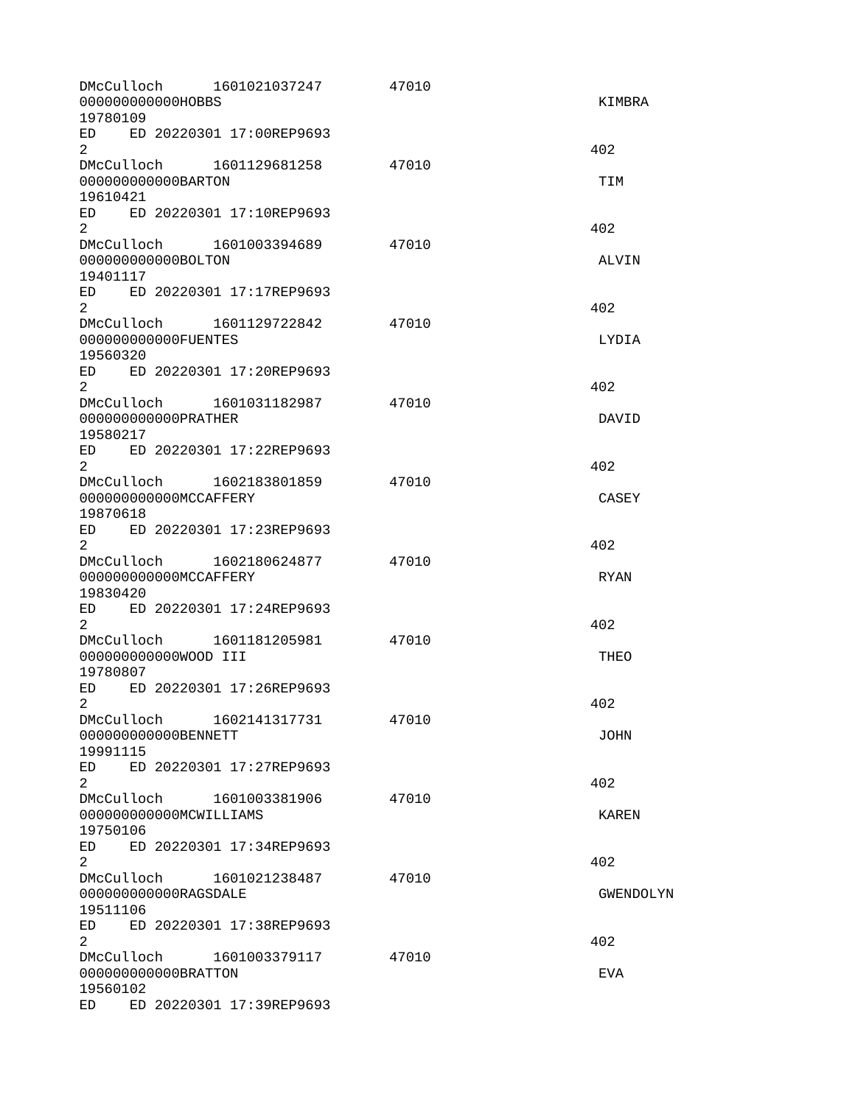| DMcCulloch<br>1601021037247<br>000000000000H0BBS<br>19780109                                                                                                                                                                                                                 | 47010<br>KIMBRA       |  |
|------------------------------------------------------------------------------------------------------------------------------------------------------------------------------------------------------------------------------------------------------------------------------|-----------------------|--|
| ED ED 20220301 17:00REP9693<br>$\overline{2}$                                                                                                                                                                                                                                | 402                   |  |
| DMcCulloch 1601129681258<br>00000000000BARTON<br>19610421                                                                                                                                                                                                                    | 47010<br><b>TIM</b>   |  |
| ED ED 20220301 17:10REP9693<br>$\overline{2}$                                                                                                                                                                                                                                | 402                   |  |
| DMcCulloch 1601003394689<br>00000000000B0LT0N<br>19401117                                                                                                                                                                                                                    | 47010<br>ALVIN        |  |
| ED ED 20220301 17:17REP9693<br>$\overline{2}$                                                                                                                                                                                                                                | 402                   |  |
| DMcCulloch<br>1601129722842<br>00000000000FUENTES<br>19560320                                                                                                                                                                                                                | 47010<br>LYDIA        |  |
| ED<br>ED 20220301 17:20REP9693<br>2                                                                                                                                                                                                                                          | 402                   |  |
| DMcCulloch 1601031182987<br>000000000000PRATHER<br>19580217                                                                                                                                                                                                                  | 47010<br>DAVID        |  |
| ED ED 20220301 17:22REP9693<br>$\overline{2}$                                                                                                                                                                                                                                | 402                   |  |
| DMcCulloch 1602183801859<br>000000000000MCCAFFERY<br>19870618                                                                                                                                                                                                                | 47010<br><b>CASEY</b> |  |
| ED ED 20220301 17:23REP9693<br>$\overline{2}$                                                                                                                                                                                                                                | 402                   |  |
| DMcCulloch 1602180624877<br>000000000000MCCAFFERY<br>19830420                                                                                                                                                                                                                | 47010<br><b>RYAN</b>  |  |
| ED 20220301 17:24REP9693<br>ED.<br>2                                                                                                                                                                                                                                         | 402                   |  |
| DMcCulloch 1601181205981<br>000000000000000 III<br>19780807                                                                                                                                                                                                                  | 47010<br><b>THEO</b>  |  |
| ED 20220301 17:26REP9693<br>ED.<br>$2^{\circ}$                                                                                                                                                                                                                               | 402                   |  |
| DMcCulloch<br>1602141317731<br>000000000000BENNETT<br>19991115                                                                                                                                                                                                               | 47010<br><b>JOHN</b>  |  |
| ED<br>ED 20220301 17:27REP9693<br>2                                                                                                                                                                                                                                          | 402                   |  |
| DMcCulloch<br>1601003381906<br>000000000000MCWILLIAMS<br>19750106                                                                                                                                                                                                            | 47010<br><b>KAREN</b> |  |
| ED<br>ED 20220301 17:34REP9693<br>$\overline{2}$                                                                                                                                                                                                                             | 402                   |  |
| DMcCulloch<br>1601021238487<br>000000000000RAGSDALE<br>19511106                                                                                                                                                                                                              | 47010<br>GWENDOLYN    |  |
| ED and the set of the set of the set of the set of the set of the set of the set of the set of the set of the set of the set of the set of the set of the set of the set of the set of the set of the set of the set of the se<br>ED 20220301 17:38REP9693<br>$\overline{2}$ | 402                   |  |
| DMcCulloch 1601003379117<br>000000000000BRATTON<br>19560102                                                                                                                                                                                                                  | 47010<br><b>EVA</b>   |  |
| ED and the set of the set of the set of the set of the set of the set of the set of the set of the set of the set of the set of the set of the set of the set of the set of the set of the set of the set of the set of the se<br>ED 20220301 17:39REP9693                   |                       |  |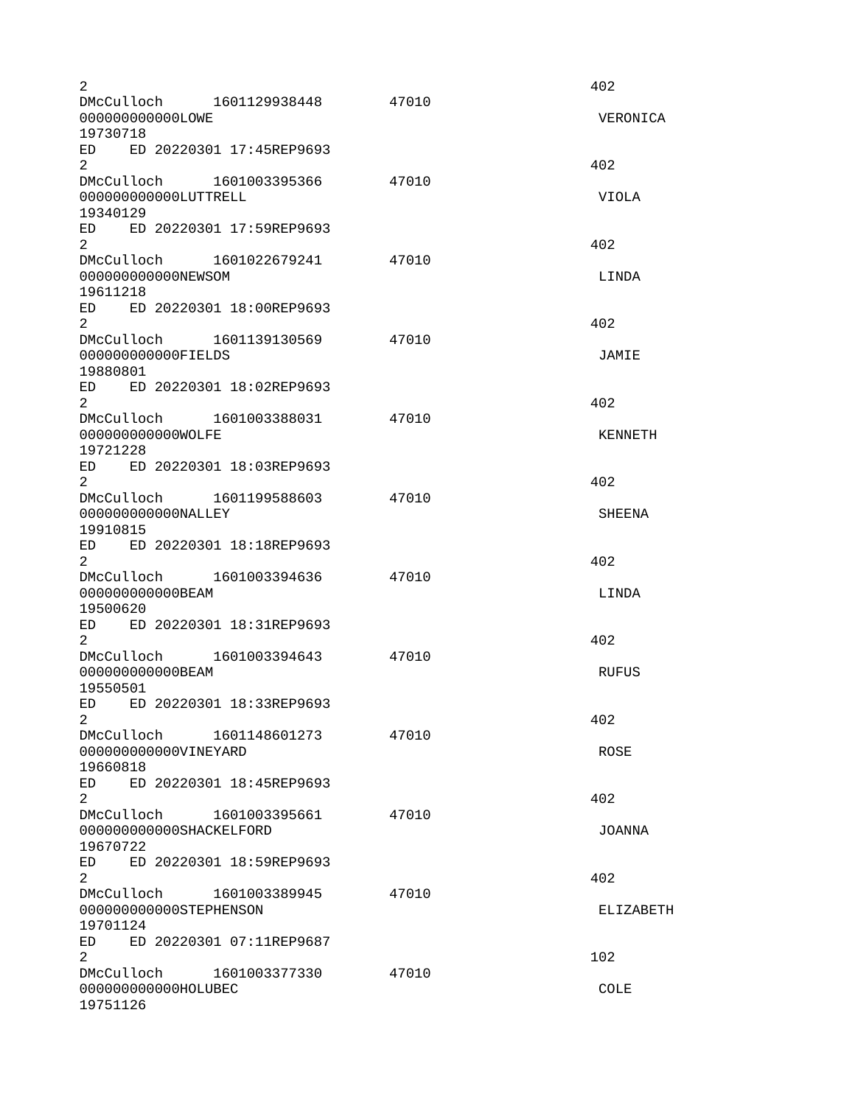| $\overline{2}$                                                               |       | 402              |
|------------------------------------------------------------------------------|-------|------------------|
| DMcCulloch 1601129938448<br>000000000000L0WE                                 | 47010 | VERONICA         |
| 19730718                                                                     |       |                  |
| ED ED 20220301 17:45REP9693<br>$\overline{2}$<br>DMcCulloch 1601003395366    | 47010 | 402              |
| 000000000000LUTTRELL<br>19340129                                             |       | <b>VIOLA</b>     |
| ED ED 20220301 17:59REP9693<br>$\overline{2}$                                |       | 402              |
| DMcCulloch 1601022679241<br>000000000000NEWSOM<br>19611218                   | 47010 | LINDA            |
| ED ED 20220301 18:00REP9693<br>2                                             |       | 402              |
| DMcCulloch 1601139130569<br>00000000000FIELDS<br>19880801                    | 47010 | JAMIE            |
| ED ED 20220301 18:02REP9693<br>$\overline{2}$                                |       | 402              |
| DMcCulloch 1601003388031<br>000000000000WOLFE<br>19721228                    | 47010 | <b>KENNETH</b>   |
| ED ED 20220301 18:03REP9693<br>2                                             |       | 402              |
| DMcCulloch 1601199588603<br>000000000000NALLEY<br>19910815                   | 47010 | <b>SHEENA</b>    |
| ED ED 20220301 18:18REP9693<br>$\overline{2}$                                |       | 402              |
| DMcCulloch 1601003394636<br>00000000000BEAM<br>19500620                      | 47010 | LINDA            |
| ED<br>ED 20220301 18:31REP9693<br>$\overline{2}$<br>DMcCulloch 1601003394643 | 47010 | 402              |
| 00000000000BEAM<br>19550501                                                  |       | <b>RUFUS</b>     |
| ED ED 20220301 18:33REP9693<br>2<br>DMcCulloch<br>1601148601273              | 47010 | 402              |
| 000000000000VINEYARD<br>19660818<br>ED<br>ED 20220301 18:45REP9693           |       | <b>ROSE</b>      |
| $\overline{2}$<br>DMcCulloch 1601003395661                                   | 47010 | 402              |
| 000000000000SHACKELF0RD<br>19670722<br>ED<br>ED 20220301 18:59REP9693        |       | JOANNA           |
| $\overline{2}$<br>DMcCulloch<br>1601003389945                                | 47010 | 402              |
| 000000000000STEPHENSON<br>19701124<br>ED<br>ED 20220301 07:11REP9687         |       | <b>ELIZABETH</b> |
| $\overline{2}$<br>DMcCulloch<br>1601003377330<br>000000000000HOLUBEC         | 47010 | 102<br>COLE      |
| 19751126                                                                     |       |                  |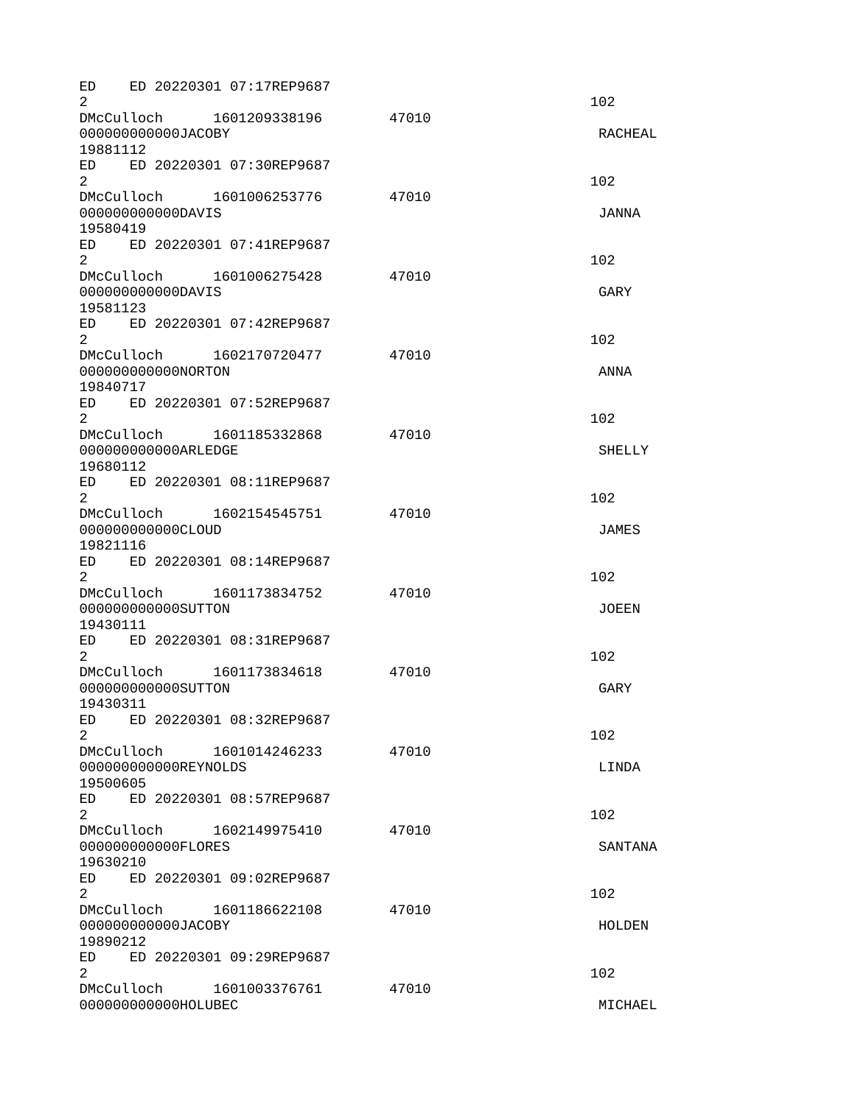| ED.<br>$\overline{2}$                                                                                                                                                                                                                                        | ED 20220301 07:17REP9687 |       | 102            |
|--------------------------------------------------------------------------------------------------------------------------------------------------------------------------------------------------------------------------------------------------------------|--------------------------|-------|----------------|
| DMcCulloch 1601209338196<br>000000000000JAC0BY                                                                                                                                                                                                               |                          | 47010 | <b>RACHEAL</b> |
| 19881112<br>ED ED 20220301 07:30REP9687<br>$\overline{2}$                                                                                                                                                                                                    |                          |       | 102            |
| DMcCulloch 1601006253776<br>000000000000DAVIS                                                                                                                                                                                                                |                          | 47010 | JANNA          |
| 19580419<br>ED ED 20220301 07:41REP9687<br>$\overline{2}$                                                                                                                                                                                                    |                          |       | 102            |
| DMcCulloch 1601006275428<br>00000000000DAVIS                                                                                                                                                                                                                 |                          | 47010 | GARY           |
| 19581123<br>ED<br>2                                                                                                                                                                                                                                          | ED 20220301 07:42REP9687 |       | 102            |
| DMcCulloch<br>0000000000000RT0N                                                                                                                                                                                                                              | 1602170720477            | 47010 | ANNA           |
| 19840717<br>ED ED 20220301 07:52REP9687<br>$\overline{2}$                                                                                                                                                                                                    |                          |       | 102            |
| DMcCulloch<br>000000000000ARLEDGE                                                                                                                                                                                                                            | 1601185332868            | 47010 | <b>SHELLY</b>  |
| 19680112<br>ED –<br>$\overline{2}$                                                                                                                                                                                                                           | ED 20220301 08:11REP9687 |       | 102            |
| DMcCulloch 1602154545751<br>000000000000CL0UD                                                                                                                                                                                                                |                          | 47010 | <b>JAMES</b>   |
| 19821116<br>ED ED 20220301 08:14REP9687<br>$\overline{2}$                                                                                                                                                                                                    |                          |       | 102            |
| DMcCulloch 1601173834752<br>000000000000SUTT0N                                                                                                                                                                                                               |                          | 47010 | <b>JOEEN</b>   |
| 19430111<br>ED<br>$\overline{2}$                                                                                                                                                                                                                             | ED 20220301 08:31REP9687 |       | 102            |
| DMcCulloch<br>000000000000SUTTON                                                                                                                                                                                                                             | 1601173834618            | 47010 | GARY           |
| 19430311<br>ED.<br>$\overline{2}$                                                                                                                                                                                                                            | ED 20220301 08:32REP9687 |       | 102            |
| DMcCulloch 1601014246233<br>000000000000REYNOLDS                                                                                                                                                                                                             |                          | 47010 | LINDA          |
| 19500605<br>ED<br>$\overline{2}$                                                                                                                                                                                                                             | ED 20220301 08:57REP9687 |       | 102            |
| DMcCulloch 1602149975410<br>00000000000FL0RES                                                                                                                                                                                                                |                          | 47010 | SANTANA        |
| 19630210<br>ED and the set of the set of the set of the set of the set of the set of the set of the set of the set of the set of the set of the set of the set of the set of the set of the set of the set of the set of the set of the se<br>$\overline{2}$ | ED 20220301 09:02REP9687 |       | 102            |
| DMcCulloch<br>000000000000JAC0BY                                                                                                                                                                                                                             | 1601186622108            | 47010 | HOLDEN         |
| 19890212<br>ED and the set of the set of the set of the set of the set of the set of the set of the set of the set of the set of the set of the set of the set of the set of the set of the set of the set of the set of the set of the se<br>$\overline{2}$ | ED 20220301 09:29REP9687 |       | 102            |
| DMcCulloch 1601003376761<br>000000000000HOLUBEC                                                                                                                                                                                                              |                          | 47010 | MICHAEL        |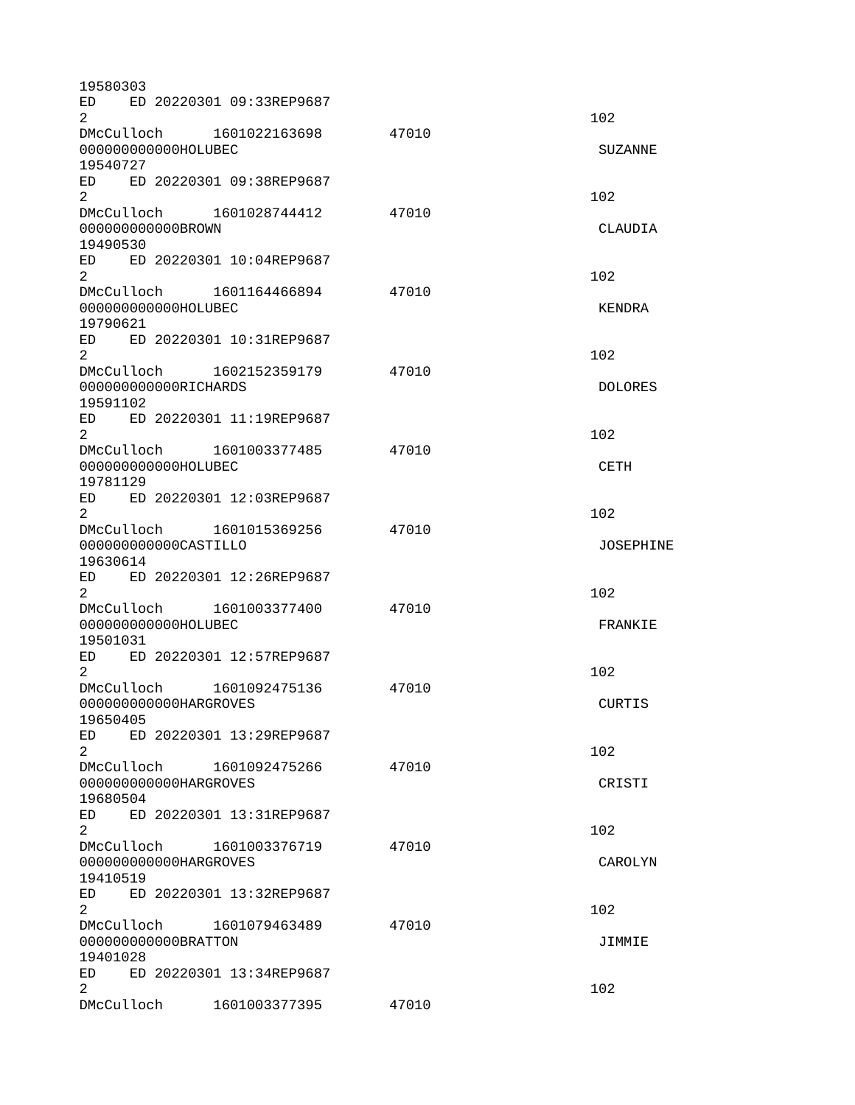| 19580303                                                                                                                                                                                                                       |  |                             |       |                  |
|--------------------------------------------------------------------------------------------------------------------------------------------------------------------------------------------------------------------------------|--|-----------------------------|-------|------------------|
| ED.                                                                                                                                                                                                                            |  | ED 20220301 09:33REP9687    |       |                  |
| $\overline{2}$                                                                                                                                                                                                                 |  | DMcCulloch 1601022163698    | 47010 | 102              |
| 000000000000HOLUBEC                                                                                                                                                                                                            |  |                             |       | <b>SUZANNE</b>   |
| 19540727                                                                                                                                                                                                                       |  |                             |       |                  |
|                                                                                                                                                                                                                                |  | ED ED 20220301 09:38REP9687 |       |                  |
| $\overline{2}$                                                                                                                                                                                                                 |  |                             |       | 102              |
|                                                                                                                                                                                                                                |  | DMcCulloch 1601028744412    | 47010 |                  |
| 000000000000BR0WN                                                                                                                                                                                                              |  |                             |       | CLAUDIA          |
| 19490530                                                                                                                                                                                                                       |  | ED ED 20220301 10:04REP9687 |       |                  |
| $2^{\circ}$                                                                                                                                                                                                                    |  |                             |       | 102              |
|                                                                                                                                                                                                                                |  | DMcCulloch 1601164466894    | 47010 |                  |
| 000000000000HOLUBEC                                                                                                                                                                                                            |  |                             |       | <b>KENDRA</b>    |
| 19790621                                                                                                                                                                                                                       |  |                             |       |                  |
| ED                                                                                                                                                                                                                             |  | ED 20220301 10:31REP9687    |       |                  |
| 2                                                                                                                                                                                                                              |  |                             |       | 102              |
|                                                                                                                                                                                                                                |  | DMcCulloch 1602152359179    | 47010 |                  |
| 000000000000RICHARDS<br>19591102                                                                                                                                                                                               |  |                             |       | <b>DOLORES</b>   |
|                                                                                                                                                                                                                                |  | ED ED 20220301 11:19REP9687 |       |                  |
| $\overline{2}$                                                                                                                                                                                                                 |  |                             |       | 102              |
|                                                                                                                                                                                                                                |  | DMcCulloch 1601003377485    | 47010 |                  |
| 000000000000HOLUBEC                                                                                                                                                                                                            |  |                             |       | <b>CETH</b>      |
| 19781129                                                                                                                                                                                                                       |  |                             |       |                  |
| ED and the set of the set of the set of the set of the set of the set of the set of the set of the set of the set of the set of the set of the set of the set of the set of the set of the set of the set of the set of the se |  | ED 20220301 12:03REP9687    |       |                  |
| $\overline{2}$                                                                                                                                                                                                                 |  |                             |       | 102              |
| 000000000000CASTILL0                                                                                                                                                                                                           |  | DMcCulloch 1601015369256    | 47010 | <b>JOSEPHINE</b> |
| 19630614                                                                                                                                                                                                                       |  |                             |       |                  |
|                                                                                                                                                                                                                                |  | ED ED 20220301 12:26REP9687 |       |                  |
| $\overline{2}$                                                                                                                                                                                                                 |  |                             |       | 102              |
| DMcCulloch                                                                                                                                                                                                                     |  | 1601003377400               | 47010 |                  |
| 000000000000HOLUBEC                                                                                                                                                                                                            |  |                             |       | FRANKIE          |
| 19501031                                                                                                                                                                                                                       |  | ED 20220301 12:57REP9687    |       |                  |
| ED<br>2                                                                                                                                                                                                                        |  |                             |       | 102              |
| DMcCulloch                                                                                                                                                                                                                     |  | 1601092475136               | 47010 |                  |
| 000000000000HARGROVES                                                                                                                                                                                                          |  |                             |       | <b>CURTIS</b>    |
| 19650405                                                                                                                                                                                                                       |  |                             |       |                  |
| ED                                                                                                                                                                                                                             |  | ED 20220301 13:29REP9687    |       |                  |
| $\overline{2}$                                                                                                                                                                                                                 |  |                             |       | 102              |
| DMcCulloch                                                                                                                                                                                                                     |  | 1601092475266               | 47010 |                  |
| 000000000000HARGROVES<br>19680504                                                                                                                                                                                              |  |                             |       | CRISTI           |
| ED                                                                                                                                                                                                                             |  | ED 20220301 13:31REP9687    |       |                  |
| $\overline{2}$                                                                                                                                                                                                                 |  |                             |       | 102              |
| DMcCulloch                                                                                                                                                                                                                     |  | 1601003376719               | 47010 |                  |
| 000000000000HARGROVES                                                                                                                                                                                                          |  |                             |       | CAROLYN          |
| 19410519                                                                                                                                                                                                                       |  |                             |       |                  |
|                                                                                                                                                                                                                                |  | ED ED 20220301 13:32REP9687 |       |                  |
| $\overline{2}$                                                                                                                                                                                                                 |  |                             |       | 102              |
| 000000000000BRATTON                                                                                                                                                                                                            |  | DMcCulloch 1601079463489    | 47010 | JIMMIE           |
| 19401028                                                                                                                                                                                                                       |  |                             |       |                  |
| ED ED 20220301 13:34REP9687                                                                                                                                                                                                    |  |                             |       |                  |
| $\overline{2}$                                                                                                                                                                                                                 |  |                             |       | 102              |
| DMcCulloch                                                                                                                                                                                                                     |  | 1601003377395               | 47010 |                  |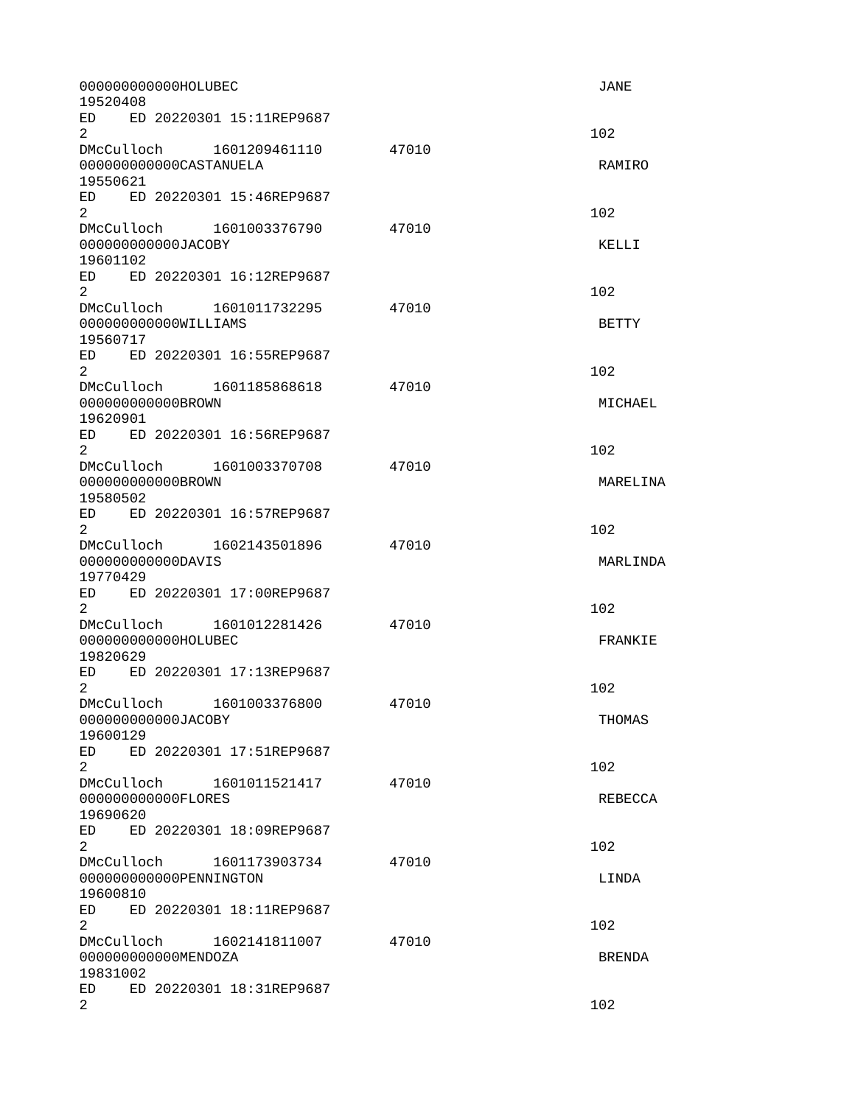| 000000000000HOLUBEC                                                        |               |  |  |
|----------------------------------------------------------------------------|---------------|--|--|
| 19520408<br>ED ED 20220301 15:11REP9687<br>2                               | 102           |  |  |
| DMcCulloch 1601209461110<br>47010<br>000000000000CASTANUELA                | <b>RAMIRO</b> |  |  |
| 19550621<br>ED ED 20220301 15:46REP9687<br>2                               | 102           |  |  |
| DMcCulloch 1601003376790<br>47010<br>000000000000JAC0BY<br>19601102        | KELLI         |  |  |
| ED ED 20220301 16:12REP9687<br>$\overline{2}$                              | 102           |  |  |
| DMcCulloch 1601011732295<br>47010<br>000000000000WILLIAMS<br>19560717      | <b>BETTY</b>  |  |  |
| ED<br>ED 20220301 16:55REP9687<br>2                                        | 102           |  |  |
| DMcCulloch 1601185868618<br>47010<br>00000000000BR0WN<br>19620901          | MICHAEL       |  |  |
| ED ED 20220301 16:56REP9687<br>$\overline{2}$                              | 102           |  |  |
| DMcCulloch 1601003370708<br>47010<br>00000000000BR0WN<br>19580502          | MARELINA      |  |  |
| ED ED 20220301 16:57REP9687<br>$\overline{2}$                              | 102           |  |  |
| DMcCulloch 1602143501896<br>47010<br>000000000000DAVIS<br>19770429         | MARLINDA      |  |  |
| ED ED 20220301 17:00REP9687<br>$\overline{2}$                              | 102           |  |  |
| DMcCulloch 1601012281426<br>47010<br>000000000000HOLUBEC<br>19820629       | FRANKIE       |  |  |
| ED<br>ED 20220301 17:13REP9687<br>2                                        | 102           |  |  |
| DMcCulloch 1601003376800<br>47010<br>000000000000JAC0BY<br>19600129        | <b>THOMAS</b> |  |  |
| ED<br>ED 20220301 17:51REP9687<br>$\overline{2}$                           | 102           |  |  |
| DMcCulloch 1601011521417<br>47010<br>00000000000FL0RES<br>19690620         | REBECCA       |  |  |
| ED<br>ED 20220301 18:09REP9687<br>$\overline{2}$                           | 102           |  |  |
| DMcCulloch<br>1601173903734<br>47010<br>000000000000PENNINGTON<br>19600810 | LINDA         |  |  |
| ED 20220301 18:11REP9687<br>ED.<br>$\overline{2}$                          | 102           |  |  |
| DMcCulloch 1602141811007<br>47010<br>000000000000MEND0ZA<br>19831002       | <b>BRENDA</b> |  |  |
| ED<br>ED 20220301 18:31REP9687<br>$\overline{2}$                           | 102           |  |  |